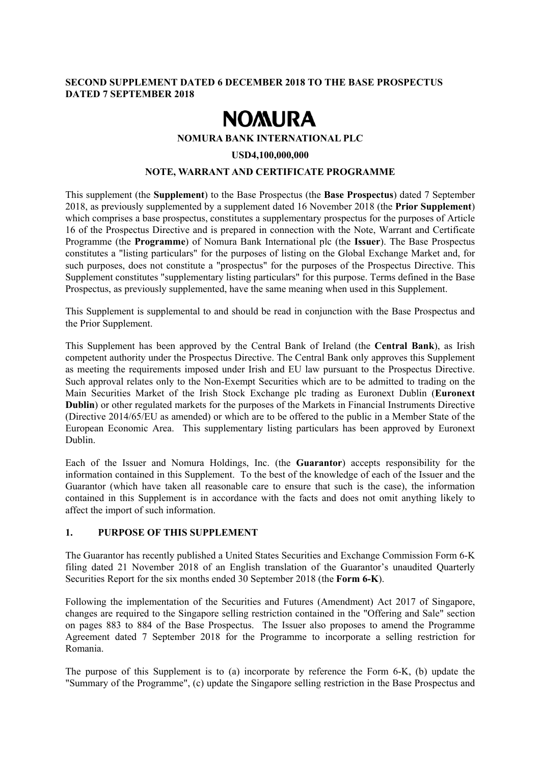## **SECOND SUPPLEMENT DATED 6 DECEMBER 2018 TO THE BASE PROSPECTUS DATED 7 SEPTEMBER 2018**

# **NOMURA**

## **NOMURA BANK INTERNATIONAL PLC**

#### **USD4,100,000,000**

## **NOTE, WARRANT AND CERTIFICATE PROGRAMME**

This supplement (the **Supplement**) to the Base Prospectus (the **Base Prospectus**) dated 7 September 2018, as previously supplemented by a supplement dated 16 November 2018 (the **Prior Supplement**) which comprises a base prospectus, constitutes a supplementary prospectus for the purposes of Article 16 of the Prospectus Directive and is prepared in connection with the Note, Warrant and Certificate Programme (the **Programme**) of Nomura Bank International plc (the **Issuer**). The Base Prospectus constitutes a "listing particulars" for the purposes of listing on the Global Exchange Market and, for such purposes, does not constitute a "prospectus" for the purposes of the Prospectus Directive. This Supplement constitutes "supplementary listing particulars" for this purpose. Terms defined in the Base Prospectus, as previously supplemented, have the same meaning when used in this Supplement.

This Supplement is supplemental to and should be read in conjunction with the Base Prospectus and the Prior Supplement.

This Supplement has been approved by the Central Bank of Ireland (the **Central Bank**), as Irish competent authority under the Prospectus Directive. The Central Bank only approves this Supplement as meeting the requirements imposed under Irish and EU law pursuant to the Prospectus Directive. Such approval relates only to the Non-Exempt Securities which are to be admitted to trading on the Main Securities Market of the Irish Stock Exchange plc trading as Euronext Dublin (**Euronext Dublin**) or other regulated markets for the purposes of the Markets in Financial Instruments Directive (Directive 2014/65/EU as amended) or which are to be offered to the public in a Member State of the European Economic Area. This supplementary listing particulars has been approved by Euronext Dublin.

Each of the Issuer and Nomura Holdings, Inc. (the **Guarantor**) accepts responsibility for the information contained in this Supplement. To the best of the knowledge of each of the Issuer and the Guarantor (which have taken all reasonable care to ensure that such is the case), the information contained in this Supplement is in accordance with the facts and does not omit anything likely to affect the import of such information.

# **1. PURPOSE OF THIS SUPPLEMENT**

The Guarantor has recently published a United States Securities and Exchange Commission Form 6-K filing dated 21 November 2018 of an English translation of the Guarantor's unaudited Quarterly Securities Report for the six months ended 30 September 2018 (the **Form 6-K**).

Following the implementation of the Securities and Futures (Amendment) Act 2017 of Singapore, changes are required to the Singapore selling restriction contained in the "Offering and Sale" section on pages 883 to 884 of the Base Prospectus. The Issuer also proposes to amend the Programme Agreement dated 7 September 2018 for the Programme to incorporate a selling restriction for Romania.

The purpose of this Supplement is to (a) incorporate by reference the Form 6-K, (b) update the "Summary of the Programme", (c) update the Singapore selling restriction in the Base Prospectus and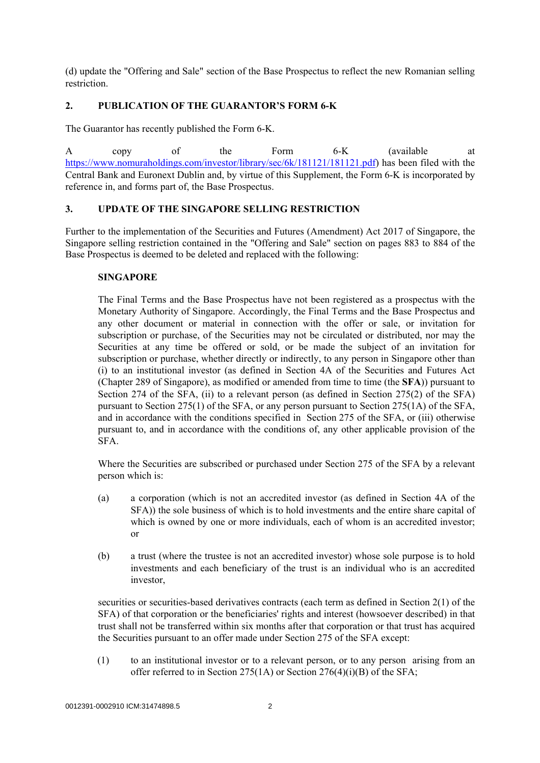(d) update the "Offering and Sale" section of the Base Prospectus to reflect the new Romanian selling restriction.

## **2. PUBLICATION OF THE GUARANTOR'S FORM 6-K**

The Guarantor has recently published the Form 6-K.

A copy of the Form 6-K (available at https://www.nomuraholdings.com/investor/library/sec/6k/181121/181121.pdf) has been filed with the Central Bank and Euronext Dublin and, by virtue of this Supplement, the Form 6-K is incorporated by reference in, and forms part of, the Base Prospectus.

## **3. UPDATE OF THE SINGAPORE SELLING RESTRICTION**

Further to the implementation of the Securities and Futures (Amendment) Act 2017 of Singapore, the Singapore selling restriction contained in the "Offering and Sale" section on pages 883 to 884 of the Base Prospectus is deemed to be deleted and replaced with the following:

#### **SINGAPORE**

The Final Terms and the Base Prospectus have not been registered as a prospectus with the Monetary Authority of Singapore. Accordingly, the Final Terms and the Base Prospectus and any other document or material in connection with the offer or sale, or invitation for subscription or purchase, of the Securities may not be circulated or distributed, nor may the Securities at any time be offered or sold, or be made the subject of an invitation for subscription or purchase, whether directly or indirectly, to any person in Singapore other than (i) to an institutional investor (as defined in Section 4A of the Securities and Futures Act (Chapter 289 of Singapore), as modified or amended from time to time (the **SFA**)) pursuant to Section 274 of the SFA, (ii) to a relevant person (as defined in Section 275(2) of the SFA) pursuant to Section 275(1) of the SFA, or any person pursuant to Section 275(1A) of the SFA, and in accordance with the conditions specified in Section 275 of the SFA, or (iii) otherwise pursuant to, and in accordance with the conditions of, any other applicable provision of the SFA.

Where the Securities are subscribed or purchased under Section 275 of the SFA by a relevant person which is:

- (a) a corporation (which is not an accredited investor (as defined in Section 4A of the SFA)) the sole business of which is to hold investments and the entire share capital of which is owned by one or more individuals, each of whom is an accredited investor; or
- (b) a trust (where the trustee is not an accredited investor) whose sole purpose is to hold investments and each beneficiary of the trust is an individual who is an accredited investor,

securities or securities-based derivatives contracts (each term as defined in Section 2(1) of the SFA) of that corporation or the beneficiaries' rights and interest (howsoever described) in that trust shall not be transferred within six months after that corporation or that trust has acquired the Securities pursuant to an offer made under Section 275 of the SFA except:

(1) to an institutional investor or to a relevant person, or to any person arising from an offer referred to in Section 275(1A) or Section 276(4)(i)(B) of the SFA;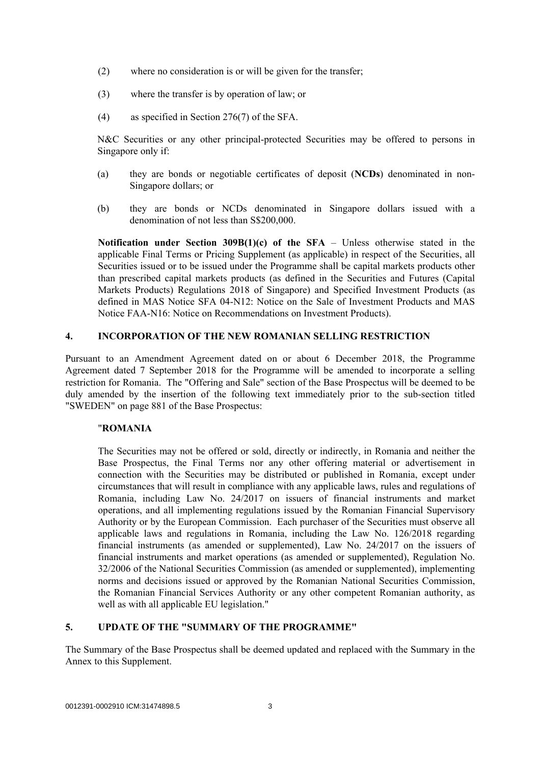- (2) where no consideration is or will be given for the transfer;
- (3) where the transfer is by operation of law; or
- (4) as specified in Section 276(7) of the SFA.

N&C Securities or any other principal-protected Securities may be offered to persons in Singapore only if:

- (a) they are bonds or negotiable certificates of deposit (**NCDs**) denominated in non-Singapore dollars; or
- (b) they are bonds or NCDs denominated in Singapore dollars issued with a denomination of not less than S\$200,000.

**Notification under Section 309B(1)(c) of the SFA** – Unless otherwise stated in the applicable Final Terms or Pricing Supplement (as applicable) in respect of the Securities, all Securities issued or to be issued under the Programme shall be capital markets products other than prescribed capital markets products (as defined in the Securities and Futures (Capital Markets Products) Regulations 2018 of Singapore) and Specified Investment Products (as defined in MAS Notice SFA 04-N12: Notice on the Sale of Investment Products and MAS Notice FAA-N16: Notice on Recommendations on Investment Products).

## **4. INCORPORATION OF THE NEW ROMANIAN SELLING RESTRICTION**

Pursuant to an Amendment Agreement dated on or about 6 December 2018, the Programme Agreement dated 7 September 2018 for the Programme will be amended to incorporate a selling restriction for Romania. The "Offering and Sale" section of the Base Prospectus will be deemed to be duly amended by the insertion of the following text immediately prior to the sub-section titled "SWEDEN" on page 881 of the Base Prospectus:

# "**ROMANIA**

The Securities may not be offered or sold, directly or indirectly, in Romania and neither the Base Prospectus, the Final Terms nor any other offering material or advertisement in connection with the Securities may be distributed or published in Romania, except under circumstances that will result in compliance with any applicable laws, rules and regulations of Romania, including Law No. 24/2017 on issuers of financial instruments and market operations, and all implementing regulations issued by the Romanian Financial Supervisory Authority or by the European Commission. Each purchaser of the Securities must observe all applicable laws and regulations in Romania, including the Law No. 126/2018 regarding financial instruments (as amended or supplemented), Law No. 24/2017 on the issuers of financial instruments and market operations (as amended or supplemented), Regulation No. 32/2006 of the National Securities Commission (as amended or supplemented), implementing norms and decisions issued or approved by the Romanian National Securities Commission, the Romanian Financial Services Authority or any other competent Romanian authority, as well as with all applicable EU legislation."

# **5. UPDATE OF THE "SUMMARY OF THE PROGRAMME"**

The Summary of the Base Prospectus shall be deemed updated and replaced with the Summary in the Annex to this Supplement.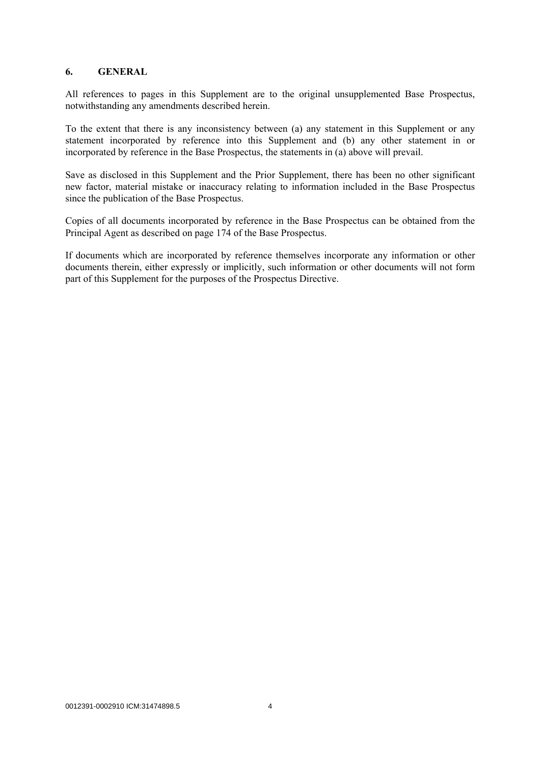#### **6. GENERAL**

All references to pages in this Supplement are to the original unsupplemented Base Prospectus, notwithstanding any amendments described herein.

To the extent that there is any inconsistency between (a) any statement in this Supplement or any statement incorporated by reference into this Supplement and (b) any other statement in or incorporated by reference in the Base Prospectus, the statements in (a) above will prevail.

Save as disclosed in this Supplement and the Prior Supplement, there has been no other significant new factor, material mistake or inaccuracy relating to information included in the Base Prospectus since the publication of the Base Prospectus.

Copies of all documents incorporated by reference in the Base Prospectus can be obtained from the Principal Agent as described on page 174 of the Base Prospectus.

If documents which are incorporated by reference themselves incorporate any information or other documents therein, either expressly or implicitly, such information or other documents will not form part of this Supplement for the purposes of the Prospectus Directive.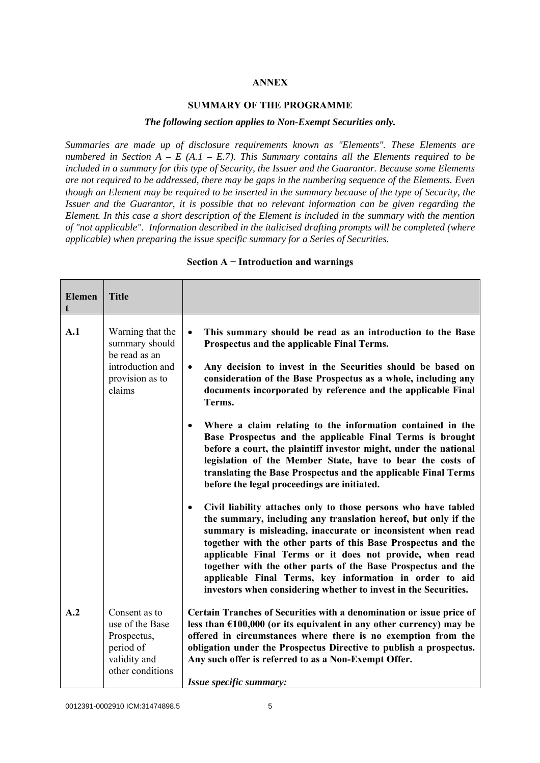## **ANNEX**

#### **SUMMARY OF THE PROGRAMME**

#### *The following section applies to Non-Exempt Securities only.*

*Summaries are made up of disclosure requirements known as "Elements". These Elements are numbered in Section A – E (A.1 – E.7). This Summary contains all the Elements required to be included in a summary for this type of Security, the Issuer and the Guarantor. Because some Elements are not required to be addressed, there may be gaps in the numbering sequence of the Elements. Even though an Element may be required to be inserted in the summary because of the type of Security, the Issuer and the Guarantor, it is possible that no relevant information can be given regarding the Element. In this case a short description of the Element is included in the summary with the mention of "not applicable". Information described in the italicised drafting prompts will be completed (where applicable) when preparing the issue specific summary for a Series of Securities.*

| <b>Elemen</b><br>t | <b>Title</b>                                                                                         |                                                                                                                                                                                                                                                                                                                                                                                                                                                                                                                                                                                                                                                                                                                                                                                                                                                                                           |
|--------------------|------------------------------------------------------------------------------------------------------|-------------------------------------------------------------------------------------------------------------------------------------------------------------------------------------------------------------------------------------------------------------------------------------------------------------------------------------------------------------------------------------------------------------------------------------------------------------------------------------------------------------------------------------------------------------------------------------------------------------------------------------------------------------------------------------------------------------------------------------------------------------------------------------------------------------------------------------------------------------------------------------------|
| A.1                | Warning that the<br>summary should<br>be read as an<br>introduction and<br>provision as to<br>claims | This summary should be read as an introduction to the Base<br>$\bullet$<br>Prospectus and the applicable Final Terms.<br>Any decision to invest in the Securities should be based on<br>$\bullet$<br>consideration of the Base Prospectus as a whole, including any<br>documents incorporated by reference and the applicable Final<br>Terms.<br>Where a claim relating to the information contained in the<br>$\bullet$<br>Base Prospectus and the applicable Final Terms is brought<br>before a court, the plaintiff investor might, under the national<br>legislation of the Member State, have to bear the costs of<br>translating the Base Prospectus and the applicable Final Terms<br>before the legal proceedings are initiated.<br>Civil liability attaches only to those persons who have tabled<br>$\bullet$<br>the summary, including any translation hereof, but only if the |
|                    |                                                                                                      | summary is misleading, inaccurate or inconsistent when read<br>together with the other parts of this Base Prospectus and the<br>applicable Final Terms or it does not provide, when read<br>together with the other parts of the Base Prospectus and the<br>applicable Final Terms, key information in order to aid<br>investors when considering whether to invest in the Securities.                                                                                                                                                                                                                                                                                                                                                                                                                                                                                                    |
| A.2                | Consent as to<br>use of the Base<br>Prospectus,<br>period of<br>validity and<br>other conditions     | Certain Tranches of Securities with a denomination or issue price of<br>less than $£100,000$ (or its equivalent in any other currency) may be<br>offered in circumstances where there is no exemption from the<br>obligation under the Prospectus Directive to publish a prospectus.<br>Any such offer is referred to as a Non-Exempt Offer.<br>Issue specific summary:                                                                                                                                                                                                                                                                                                                                                                                                                                                                                                                   |

#### **Section A − Introduction and warnings**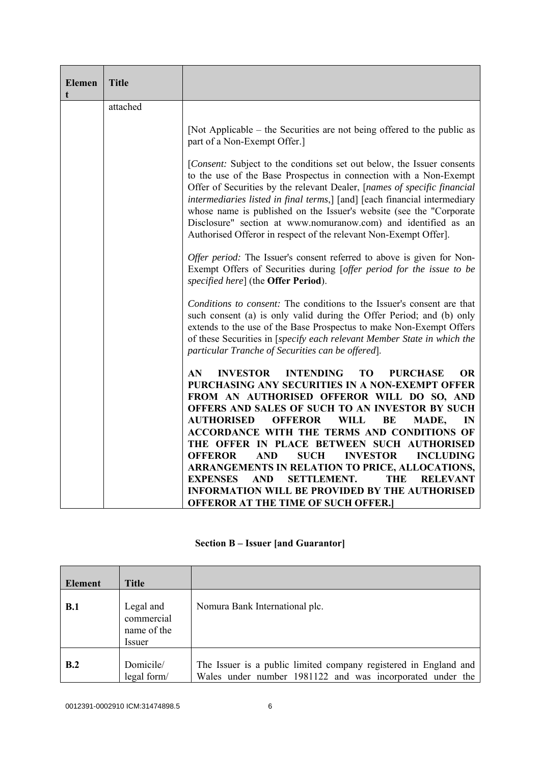| <b>Elemen</b><br>t | <b>Title</b> |                                                                                                                                                                                                                                                                                                                                                                                                                                                                                                                   |  |  |
|--------------------|--------------|-------------------------------------------------------------------------------------------------------------------------------------------------------------------------------------------------------------------------------------------------------------------------------------------------------------------------------------------------------------------------------------------------------------------------------------------------------------------------------------------------------------------|--|--|
|                    | attached     |                                                                                                                                                                                                                                                                                                                                                                                                                                                                                                                   |  |  |
|                    |              | [Not Applicable – the Securities are not being offered to the public as<br>part of a Non-Exempt Offer.]                                                                                                                                                                                                                                                                                                                                                                                                           |  |  |
|                    |              | [Consent: Subject to the conditions set out below, the Issuer consents<br>to the use of the Base Prospectus in connection with a Non-Exempt<br>Offer of Securities by the relevant Dealer, [names of specific financial<br>intermediaries listed in final terms,] [and] [each financial intermediary<br>whose name is published on the Issuer's website (see the "Corporate<br>Disclosure" section at www.nomuranow.com) and identified as an<br>Authorised Offeror in respect of the relevant Non-Exempt Offer]. |  |  |
|                    |              | Offer period: The Issuer's consent referred to above is given for Non-<br>Exempt Offers of Securities during [offer period for the issue to be<br>specified here] (the <b>Offer Period</b> ).                                                                                                                                                                                                                                                                                                                     |  |  |
|                    |              | Conditions to consent: The conditions to the Issuer's consent are that<br>such consent (a) is only valid during the Offer Period; and (b) only<br>extends to the use of the Base Prospectus to make Non-Exempt Offers<br>of these Securities in [specify each relevant Member State in which the<br>particular Tranche of Securities can be offered].                                                                                                                                                             |  |  |
|                    |              | AN<br><b>INVESTOR</b><br><b>INTENDING</b><br><b>TO</b><br><b>PURCHASE</b><br><b>OR</b><br>PURCHASING ANY SECURITIES IN A NON-EXEMPT OFFER<br>FROM AN AUTHORISED OFFEROR WILL DO SO, AND<br>OFFERS AND SALES OF SUCH TO AN INVESTOR BY SUCH<br><b>AUTHORISED</b><br><b>OFFEROR</b><br><b>WILL</b><br>BE<br>MADE,<br>IN<br><b>ACCORDANCE WITH THE TERMS AND CONDITIONS OF</b><br>THE OFFER IN PLACE BETWEEN SUCH AUTHORISED<br><b>SUCH</b><br><b>INVESTOR</b><br><b>INCLUDING</b><br><b>OFFEROR</b><br><b>AND</b>   |  |  |
|                    |              | ARRANGEMENTS IN RELATION TO PRICE, ALLOCATIONS,<br><b>AND</b><br><b>SETTLEMENT.</b><br><b>EXPENSES</b><br>THE<br><b>RELEVANT</b><br><b>INFORMATION WILL BE PROVIDED BY THE AUTHORISED</b><br><b>OFFEROR AT THE TIME OF SUCH OFFER.</b>                                                                                                                                                                                                                                                                            |  |  |

|  |  | <b>Section B – Issuer [and Guarantor]</b> |
|--|--|-------------------------------------------|
|  |  |                                           |

| <b>Element</b> | <b>Title</b>                                     |                                                                                                                               |
|----------------|--------------------------------------------------|-------------------------------------------------------------------------------------------------------------------------------|
| B.1            | Legal and<br>commercial<br>name of the<br>Issuer | Nomura Bank International plc.                                                                                                |
| B.2            | Domicile/<br>legal form/                         | The Issuer is a public limited company registered in England and<br>Wales under number 1981122 and was incorporated under the |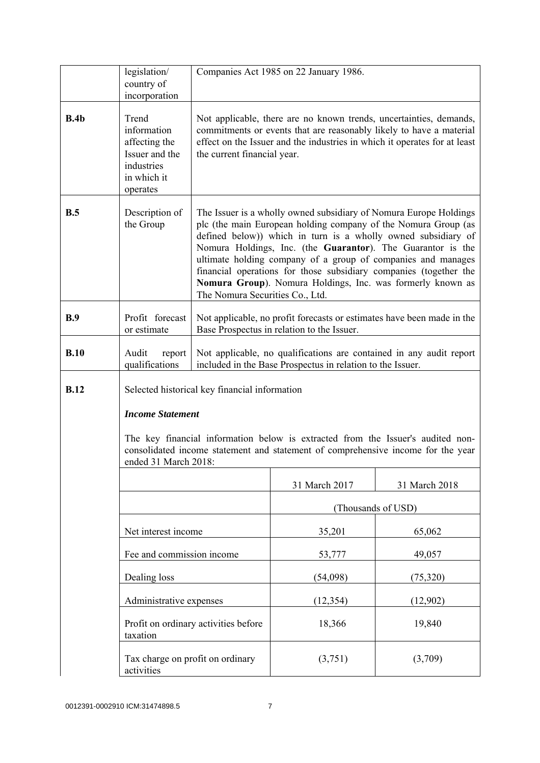|             | legislation/<br>country of                                                                       |                                                                                                                                                                                                                                                                                                                                                                                                                                                                                                           | Companies Act 1985 on 22 January 1986.                                                                                                                                                                                 |               |
|-------------|--------------------------------------------------------------------------------------------------|-----------------------------------------------------------------------------------------------------------------------------------------------------------------------------------------------------------------------------------------------------------------------------------------------------------------------------------------------------------------------------------------------------------------------------------------------------------------------------------------------------------|------------------------------------------------------------------------------------------------------------------------------------------------------------------------------------------------------------------------|---------------|
|             | incorporation                                                                                    |                                                                                                                                                                                                                                                                                                                                                                                                                                                                                                           |                                                                                                                                                                                                                        |               |
| B.4b        | Trend<br>information<br>affecting the<br>Issuer and the<br>industries<br>in which it<br>operates | the current financial year.                                                                                                                                                                                                                                                                                                                                                                                                                                                                               | Not applicable, there are no known trends, uncertainties, demands,<br>commitments or events that are reasonably likely to have a material<br>effect on the Issuer and the industries in which it operates for at least |               |
| B.5         | Description of<br>the Group                                                                      | The Issuer is a wholly owned subsidiary of Nomura Europe Holdings<br>plc (the main European holding company of the Nomura Group (as<br>defined below)) which in turn is a wholly owned subsidiary of<br>Nomura Holdings, Inc. (the Guarantor). The Guarantor is the<br>ultimate holding company of a group of companies and manages<br>financial operations for those subsidiary companies (together the<br>Nomura Group). Nomura Holdings, Inc. was formerly known as<br>The Nomura Securities Co., Ltd. |                                                                                                                                                                                                                        |               |
| B.9         | Profit forecast<br>or estimate                                                                   |                                                                                                                                                                                                                                                                                                                                                                                                                                                                                                           | Not applicable, no profit forecasts or estimates have been made in the<br>Base Prospectus in relation to the Issuer.                                                                                                   |               |
| B.10        | Audit<br>report<br>qualifications                                                                |                                                                                                                                                                                                                                                                                                                                                                                                                                                                                                           | Not applicable, no qualifications are contained in any audit report<br>included in the Base Prospectus in relation to the Issuer.                                                                                      |               |
| <b>B.12</b> |                                                                                                  | Selected historical key financial information                                                                                                                                                                                                                                                                                                                                                                                                                                                             |                                                                                                                                                                                                                        |               |
|             | <b>Income Statement</b>                                                                          |                                                                                                                                                                                                                                                                                                                                                                                                                                                                                                           |                                                                                                                                                                                                                        |               |
|             | ended 31 March 2018:                                                                             | The key financial information below is extracted from the Issuer's audited non-<br>consolidated income statement and statement of comprehensive income for the year                                                                                                                                                                                                                                                                                                                                       |                                                                                                                                                                                                                        |               |
|             |                                                                                                  |                                                                                                                                                                                                                                                                                                                                                                                                                                                                                                           | 31 March 2017                                                                                                                                                                                                          | 31 March 2018 |
|             |                                                                                                  |                                                                                                                                                                                                                                                                                                                                                                                                                                                                                                           | (Thousands of USD)                                                                                                                                                                                                     |               |
|             | Net interest income                                                                              |                                                                                                                                                                                                                                                                                                                                                                                                                                                                                                           | 35,201                                                                                                                                                                                                                 | 65,062        |
|             | Fee and commission income                                                                        |                                                                                                                                                                                                                                                                                                                                                                                                                                                                                                           | 53,777                                                                                                                                                                                                                 | 49,057        |
|             | Dealing loss                                                                                     |                                                                                                                                                                                                                                                                                                                                                                                                                                                                                                           | (54,098)                                                                                                                                                                                                               | (75,320)      |
|             | Administrative expenses                                                                          |                                                                                                                                                                                                                                                                                                                                                                                                                                                                                                           | (12, 354)                                                                                                                                                                                                              | (12,902)      |
|             | taxation                                                                                         | Profit on ordinary activities before                                                                                                                                                                                                                                                                                                                                                                                                                                                                      | 18,366                                                                                                                                                                                                                 | 19,840        |
|             | Tax charge on profit on ordinary<br>activities                                                   |                                                                                                                                                                                                                                                                                                                                                                                                                                                                                                           | (3,751)                                                                                                                                                                                                                | (3,709)       |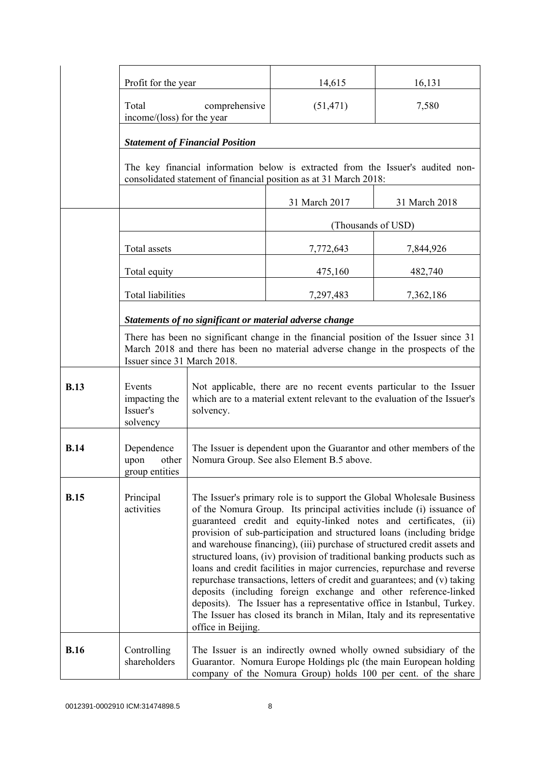|             | Profit for the year                             |                                                                                                                                                                                                                                                                                                                                                                                                                                                                                                                                                                                                                                                                                                                                                                                                                                                                                                        | 14,615                                                  | 16,131                                                                                                                                                                                                |
|-------------|-------------------------------------------------|--------------------------------------------------------------------------------------------------------------------------------------------------------------------------------------------------------------------------------------------------------------------------------------------------------------------------------------------------------------------------------------------------------------------------------------------------------------------------------------------------------------------------------------------------------------------------------------------------------------------------------------------------------------------------------------------------------------------------------------------------------------------------------------------------------------------------------------------------------------------------------------------------------|---------------------------------------------------------|-------------------------------------------------------------------------------------------------------------------------------------------------------------------------------------------------------|
|             | Total<br>income/(loss) for the year             | comprehensive                                                                                                                                                                                                                                                                                                                                                                                                                                                                                                                                                                                                                                                                                                                                                                                                                                                                                          | (51, 471)                                               | 7,580                                                                                                                                                                                                 |
|             |                                                 | <b>Statement of Financial Position</b>                                                                                                                                                                                                                                                                                                                                                                                                                                                                                                                                                                                                                                                                                                                                                                                                                                                                 |                                                         |                                                                                                                                                                                                       |
|             |                                                 | The key financial information below is extracted from the Issuer's audited non-<br>consolidated statement of financial position as at 31 March 2018:                                                                                                                                                                                                                                                                                                                                                                                                                                                                                                                                                                                                                                                                                                                                                   |                                                         |                                                                                                                                                                                                       |
|             |                                                 |                                                                                                                                                                                                                                                                                                                                                                                                                                                                                                                                                                                                                                                                                                                                                                                                                                                                                                        | 31 March 2017                                           | 31 March 2018                                                                                                                                                                                         |
|             |                                                 |                                                                                                                                                                                                                                                                                                                                                                                                                                                                                                                                                                                                                                                                                                                                                                                                                                                                                                        |                                                         | (Thousands of USD)                                                                                                                                                                                    |
|             | Total assets                                    |                                                                                                                                                                                                                                                                                                                                                                                                                                                                                                                                                                                                                                                                                                                                                                                                                                                                                                        | 7,772,643                                               | 7,844,926                                                                                                                                                                                             |
|             | Total equity                                    |                                                                                                                                                                                                                                                                                                                                                                                                                                                                                                                                                                                                                                                                                                                                                                                                                                                                                                        | 475,160                                                 | 482,740                                                                                                                                                                                               |
|             | <b>Total liabilities</b>                        |                                                                                                                                                                                                                                                                                                                                                                                                                                                                                                                                                                                                                                                                                                                                                                                                                                                                                                        | 7,297,483                                               | 7,362,186                                                                                                                                                                                             |
|             |                                                 |                                                                                                                                                                                                                                                                                                                                                                                                                                                                                                                                                                                                                                                                                                                                                                                                                                                                                                        | Statements of no significant or material adverse change |                                                                                                                                                                                                       |
|             |                                                 | There has been no significant change in the financial position of the Issuer since 31<br>March 2018 and there has been no material adverse change in the prospects of the<br>Issuer since 31 March 2018.                                                                                                                                                                                                                                                                                                                                                                                                                                                                                                                                                                                                                                                                                               |                                                         |                                                                                                                                                                                                       |
| <b>B.13</b> | Events<br>impacting the<br>Issuer's<br>solvency | solvency.                                                                                                                                                                                                                                                                                                                                                                                                                                                                                                                                                                                                                                                                                                                                                                                                                                                                                              |                                                         | Not applicable, there are no recent events particular to the Issuer<br>which are to a material extent relevant to the evaluation of the Issuer's                                                      |
| <b>B.14</b> | Dependence<br>upon<br>other<br>group entities   |                                                                                                                                                                                                                                                                                                                                                                                                                                                                                                                                                                                                                                                                                                                                                                                                                                                                                                        |                                                         | The Issuer is dependent upon the Guarantor and other members of the                                                                                                                                   |
| <b>B.15</b> | Principal<br>activities                         | Nomura Group. See also Element B.5 above.<br>The Issuer's primary role is to support the Global Wholesale Business<br>of the Nomura Group. Its principal activities include (i) issuance of<br>guaranteed credit and equity-linked notes and certificates, (ii)<br>provision of sub-participation and structured loans (including bridge<br>and warehouse financing), (iii) purchase of structured credit assets and<br>structured loans, (iv) provision of traditional banking products such as<br>loans and credit facilities in major currencies, repurchase and reverse<br>repurchase transactions, letters of credit and guarantees; and (v) taking<br>deposits (including foreign exchange and other reference-linked<br>deposits). The Issuer has a representative office in Istanbul, Turkey.<br>The Issuer has closed its branch in Milan, Italy and its representative<br>office in Beijing. |                                                         |                                                                                                                                                                                                       |
| <b>B.16</b> | Controlling<br>shareholders                     |                                                                                                                                                                                                                                                                                                                                                                                                                                                                                                                                                                                                                                                                                                                                                                                                                                                                                                        |                                                         | The Issuer is an indirectly owned wholly owned subsidiary of the<br>Guarantor. Nomura Europe Holdings plc (the main European holding<br>company of the Nomura Group) holds 100 per cent. of the share |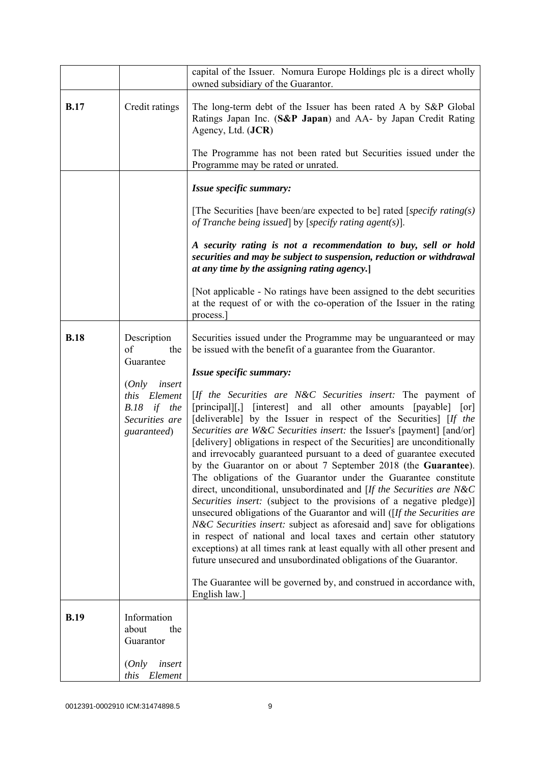|             |                                                                                       | capital of the Issuer. Nomura Europe Holdings plc is a direct wholly<br>owned subsidiary of the Guarantor.                                                                                                                                                                                                                                                                                                                                                                                                                                                                                                                                                                                                                                                                                                                                                                                                                                                                                                                                                                                                                                                                                |
|-------------|---------------------------------------------------------------------------------------|-------------------------------------------------------------------------------------------------------------------------------------------------------------------------------------------------------------------------------------------------------------------------------------------------------------------------------------------------------------------------------------------------------------------------------------------------------------------------------------------------------------------------------------------------------------------------------------------------------------------------------------------------------------------------------------------------------------------------------------------------------------------------------------------------------------------------------------------------------------------------------------------------------------------------------------------------------------------------------------------------------------------------------------------------------------------------------------------------------------------------------------------------------------------------------------------|
| <b>B.17</b> | Credit ratings                                                                        | The long-term debt of the Issuer has been rated A by S&P Global<br>Ratings Japan Inc. (S&P Japan) and AA- by Japan Credit Rating<br>Agency, Ltd. (JCR)<br>The Programme has not been rated but Securities issued under the                                                                                                                                                                                                                                                                                                                                                                                                                                                                                                                                                                                                                                                                                                                                                                                                                                                                                                                                                                |
|             |                                                                                       | Programme may be rated or unrated.                                                                                                                                                                                                                                                                                                                                                                                                                                                                                                                                                                                                                                                                                                                                                                                                                                                                                                                                                                                                                                                                                                                                                        |
|             |                                                                                       | Issue specific summary:                                                                                                                                                                                                                                                                                                                                                                                                                                                                                                                                                                                                                                                                                                                                                                                                                                                                                                                                                                                                                                                                                                                                                                   |
|             |                                                                                       | [The Securities [have been/are expected to be] rated [specify rating(s)]<br>of Tranche being issued by [specify rating agent(s)].                                                                                                                                                                                                                                                                                                                                                                                                                                                                                                                                                                                                                                                                                                                                                                                                                                                                                                                                                                                                                                                         |
|             |                                                                                       | A security rating is not a recommendation to buy, sell or hold<br>securities and may be subject to suspension, reduction or withdrawal<br>at any time by the assigning rating agency.                                                                                                                                                                                                                                                                                                                                                                                                                                                                                                                                                                                                                                                                                                                                                                                                                                                                                                                                                                                                     |
|             |                                                                                       | [Not applicable - No ratings have been assigned to the debt securities]<br>at the request of or with the co-operation of the Issuer in the rating<br>process.                                                                                                                                                                                                                                                                                                                                                                                                                                                                                                                                                                                                                                                                                                                                                                                                                                                                                                                                                                                                                             |
| <b>B.18</b> | Description<br>of<br>the<br>Guarantee                                                 | Securities issued under the Programme may be unguaranteed or may<br>be issued with the benefit of a guarantee from the Guarantor.                                                                                                                                                                                                                                                                                                                                                                                                                                                                                                                                                                                                                                                                                                                                                                                                                                                                                                                                                                                                                                                         |
|             |                                                                                       | Issue specific summary:                                                                                                                                                                                                                                                                                                                                                                                                                                                                                                                                                                                                                                                                                                                                                                                                                                                                                                                                                                                                                                                                                                                                                                   |
|             | insert<br>(Only<br>Element<br>this<br>B.18<br>if the<br>Securities are<br>guaranteed) | [If the Securities are N&C Securities insert: The payment of<br>[principal][,] [interest] and all other amounts [payable] [or]<br>[deliverable] by the Issuer in respect of the Securities] [If the<br>Securities are W&C Securities insert: the Issuer's [payment] [and/or]<br>[delivery] obligations in respect of the Securities] are unconditionally<br>and irrevocably guaranteed pursuant to a deed of guarantee executed<br>by the Guarantor on or about 7 September 2018 (the Guarantee).<br>The obligations of the Guarantor under the Guarantee constitute<br>direct, unconditional, unsubordinated and [If the Securities are N&C<br>Securities insert: (subject to the provisions of a negative pledge)]<br>unsecured obligations of the Guarantor and will ([If the Securities are<br>N&C Securities insert: subject as aforesaid and] save for obligations<br>in respect of national and local taxes and certain other statutory<br>exceptions) at all times rank at least equally with all other present and<br>future unsecured and unsubordinated obligations of the Guarantor.<br>The Guarantee will be governed by, and construed in accordance with,<br>English law.] |
| <b>B.19</b> | Information                                                                           |                                                                                                                                                                                                                                                                                                                                                                                                                                                                                                                                                                                                                                                                                                                                                                                                                                                                                                                                                                                                                                                                                                                                                                                           |
|             | about<br>the<br>Guarantor                                                             |                                                                                                                                                                                                                                                                                                                                                                                                                                                                                                                                                                                                                                                                                                                                                                                                                                                                                                                                                                                                                                                                                                                                                                                           |
|             | (Only<br>insert<br>Element<br>this                                                    |                                                                                                                                                                                                                                                                                                                                                                                                                                                                                                                                                                                                                                                                                                                                                                                                                                                                                                                                                                                                                                                                                                                                                                                           |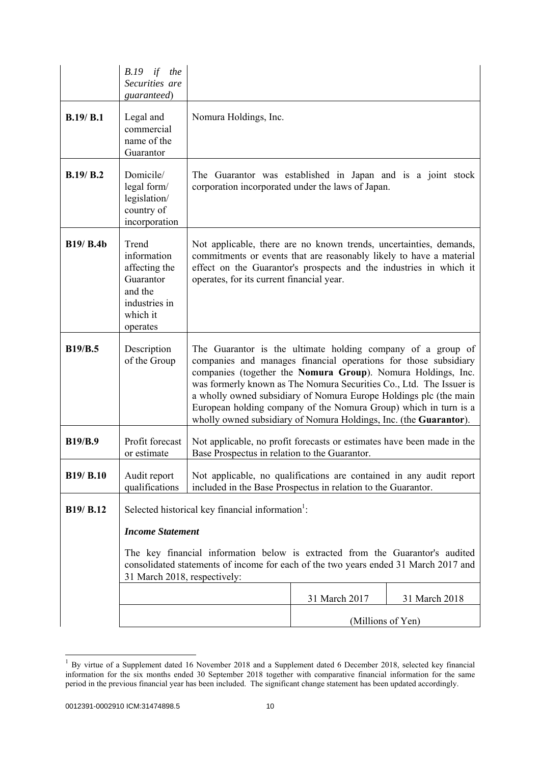|                  | <i>B.19</i><br>if the<br>Securities are<br>guaranteed)                                                 |                                                                                                                                                                                                                                                                                                                                                                                                                                                                                     |                   |               |
|------------------|--------------------------------------------------------------------------------------------------------|-------------------------------------------------------------------------------------------------------------------------------------------------------------------------------------------------------------------------------------------------------------------------------------------------------------------------------------------------------------------------------------------------------------------------------------------------------------------------------------|-------------------|---------------|
| B.19/B.1         | Legal and<br>commercial<br>name of the<br>Guarantor                                                    | Nomura Holdings, Inc.                                                                                                                                                                                                                                                                                                                                                                                                                                                               |                   |               |
| B.19/B.2         | Domicile/<br>legal form/<br>legislation/<br>country of<br>incorporation                                | The Guarantor was established in Japan and is a joint stock<br>corporation incorporated under the laws of Japan.                                                                                                                                                                                                                                                                                                                                                                    |                   |               |
| <b>B19/ B.4b</b> | Trend<br>information<br>affecting the<br>Guarantor<br>and the<br>industries in<br>which it<br>operates | Not applicable, there are no known trends, uncertainties, demands,<br>commitments or events that are reasonably likely to have a material<br>effect on the Guarantor's prospects and the industries in which it<br>operates, for its current financial year.                                                                                                                                                                                                                        |                   |               |
| <b>B19/B.5</b>   | Description<br>of the Group                                                                            | The Guarantor is the ultimate holding company of a group of<br>companies and manages financial operations for those subsidiary<br>companies (together the Nomura Group). Nomura Holdings, Inc.<br>was formerly known as The Nomura Securities Co., Ltd. The Issuer is<br>a wholly owned subsidiary of Nomura Europe Holdings plc (the main<br>European holding company of the Nomura Group) which in turn is a<br>wholly owned subsidiary of Nomura Holdings, Inc. (the Guarantor). |                   |               |
| <b>B19/B.9</b>   | Profit forecast<br>or estimate                                                                         | Not applicable, no profit forecasts or estimates have been made in the<br>Base Prospectus in relation to the Guarantor.                                                                                                                                                                                                                                                                                                                                                             |                   |               |
| B19/ B.10        | Audit report<br>qualifications                                                                         | Not applicable, no qualifications are contained in any audit report<br>included in the Base Prospectus in relation to the Guarantor.                                                                                                                                                                                                                                                                                                                                                |                   |               |
| B19/ B.12        |                                                                                                        | Selected historical key financial information <sup>1</sup> :                                                                                                                                                                                                                                                                                                                                                                                                                        |                   |               |
|                  | <b>Income Statement</b>                                                                                |                                                                                                                                                                                                                                                                                                                                                                                                                                                                                     |                   |               |
|                  | 31 March 2018, respectively:                                                                           | The key financial information below is extracted from the Guarantor's audited<br>consolidated statements of income for each of the two years ended 31 March 2017 and                                                                                                                                                                                                                                                                                                                |                   |               |
|                  |                                                                                                        |                                                                                                                                                                                                                                                                                                                                                                                                                                                                                     | 31 March 2017     | 31 March 2018 |
|                  |                                                                                                        |                                                                                                                                                                                                                                                                                                                                                                                                                                                                                     | (Millions of Yen) |               |

 $1$  By virtue of a Supplement dated 16 November 2018 and a Supplement dated 6 December 2018, selected key financial information for the six months ended 30 September 2018 together with comparative financial information for the same period in the previous financial year has been included. The significant change statement has been updated accordingly.

l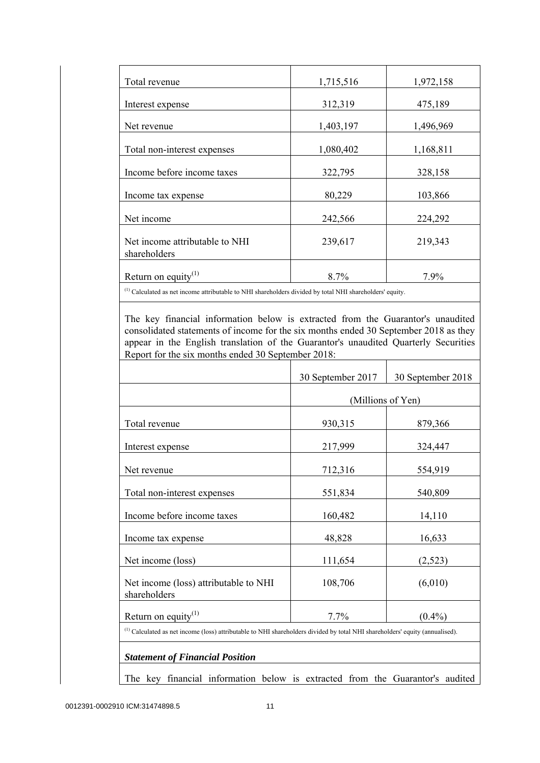| Total revenue                                  | 1,715,516 | 1,972,158 |
|------------------------------------------------|-----------|-----------|
| Interest expense                               | 312,319   | 475,189   |
| Net revenue                                    | 1,403,197 | 1,496,969 |
| Total non-interest expenses                    | 1,080,402 | 1,168,811 |
| Income before income taxes                     | 322,795   | 328,158   |
| Income tax expense                             | 80,229    | 103,866   |
| Net income                                     | 242,566   | 224,292   |
| Net income attributable to NHI<br>shareholders | 239,617   | 219,343   |
| Return on equity $(1)$                         | 8.7%      | 7.9%      |

(1) Calculated as net income attributable to NHI shareholders divided by total NHI shareholders' equity.

 The key financial information below is extracted from the Guarantor's unaudited consolidated statements of income for the six months ended 30 September 2018 as they appear in the English translation of the Guarantor's unaudited Quarterly Securities Report for the six months ended 30 September 2018:

|                                                                                                                                   | 30 September 2017 | 30 September 2018 |
|-----------------------------------------------------------------------------------------------------------------------------------|-------------------|-------------------|
|                                                                                                                                   |                   | (Millions of Yen) |
| Total revenue                                                                                                                     | 930,315           | 879,366           |
| Interest expense                                                                                                                  | 217,999           | 324,447           |
| Net revenue                                                                                                                       | 712,316           | 554,919           |
| Total non-interest expenses                                                                                                       | 551,834           | 540,809           |
| Income before income taxes                                                                                                        | 160,482           | 14,110            |
| Income tax expense                                                                                                                | 48,828            | 16,633            |
| Net income (loss)                                                                                                                 | 111,654           | (2,523)           |
| Net income (loss) attributable to NHI<br>shareholders                                                                             | 108,706           | (6,010)           |
| Return on equity <sup>(1)</sup>                                                                                                   | 7.7%              | $(0.4\%)$         |
| $^{(1)}$ Calculated as net income (loss) attributable to NHI shareholders divided by total NHI shareholders' equity (annualised). |                   |                   |

The key financial information below is extracted from the Guarantor's audited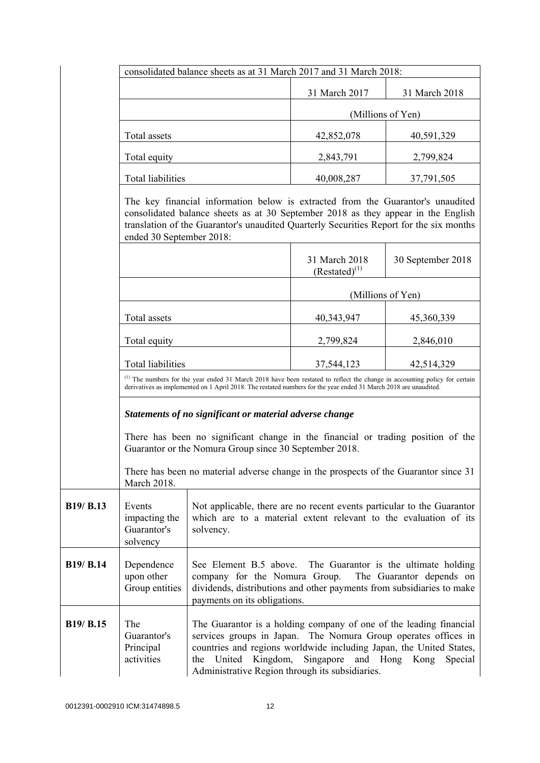|                  | consolidated balance sheets as at 31 March 2017 and 31 March 2018:                                                                                                                                                                                        |                                                                                                                                                                                                                                                                 |                                     |                                                                   |
|------------------|-----------------------------------------------------------------------------------------------------------------------------------------------------------------------------------------------------------------------------------------------------------|-----------------------------------------------------------------------------------------------------------------------------------------------------------------------------------------------------------------------------------------------------------------|-------------------------------------|-------------------------------------------------------------------|
|                  |                                                                                                                                                                                                                                                           |                                                                                                                                                                                                                                                                 | 31 March 2017                       | 31 March 2018                                                     |
|                  |                                                                                                                                                                                                                                                           |                                                                                                                                                                                                                                                                 | (Millions of Yen)                   |                                                                   |
|                  | Total assets                                                                                                                                                                                                                                              |                                                                                                                                                                                                                                                                 | 42,852,078                          | 40,591,329                                                        |
|                  | Total equity                                                                                                                                                                                                                                              |                                                                                                                                                                                                                                                                 | 2,843,791                           | 2,799,824                                                         |
|                  | Total liabilities                                                                                                                                                                                                                                         |                                                                                                                                                                                                                                                                 | 40,008,287                          | 37,791,505                                                        |
|                  | ended 30 September 2018:                                                                                                                                                                                                                                  | The key financial information below is extracted from the Guarantor's unaudited<br>consolidated balance sheets as at 30 September 2018 as they appear in the English<br>translation of the Guarantor's unaudited Quarterly Securities Report for the six months |                                     |                                                                   |
|                  |                                                                                                                                                                                                                                                           |                                                                                                                                                                                                                                                                 | 31 March 2018<br>$(Restated)^{(1)}$ | 30 September 2018                                                 |
|                  |                                                                                                                                                                                                                                                           |                                                                                                                                                                                                                                                                 | (Millions of Yen)                   |                                                                   |
|                  | Total assets                                                                                                                                                                                                                                              |                                                                                                                                                                                                                                                                 | 40,343,947                          | 45,360,339                                                        |
|                  | Total equity                                                                                                                                                                                                                                              |                                                                                                                                                                                                                                                                 | 2,799,824                           | 2,846,010                                                         |
|                  | <b>Total liabilities</b>                                                                                                                                                                                                                                  |                                                                                                                                                                                                                                                                 | 37,544,123                          | 42,514,329                                                        |
|                  | <sup>(1)</sup> The numbers for the year ended 31 March 2018 have been restated to reflect the change in accounting policy for certain<br>derivatives as implemented on 1 April 2018. The restated numbers for the year ended 31 March 2018 are unaudited. |                                                                                                                                                                                                                                                                 |                                     |                                                                   |
|                  | Statements of no significant or material adverse change                                                                                                                                                                                                   |                                                                                                                                                                                                                                                                 |                                     |                                                                   |
|                  | There has been no significant change in the financial or trading position of the<br>Guarantor or the Nomura Group since 30 September 2018.                                                                                                                |                                                                                                                                                                                                                                                                 |                                     |                                                                   |
|                  | March 2018.                                                                                                                                                                                                                                               | There has been no material adverse change in the prospects of the Guarantor since 31                                                                                                                                                                            |                                     |                                                                   |
| B19/ B.13        | Events<br>impacting the<br>Guarantor's<br>solvency                                                                                                                                                                                                        | Not applicable, there are no recent events particular to the Guarantor<br>which are to a material extent relevant to the evaluation of its<br>solvency.                                                                                                         |                                     |                                                                   |
| <b>B19/ B.14</b> | Dependence<br>upon other<br>Group entities                                                                                                                                                                                                                | See Element B.5 above.<br>company for the Nomura Group.<br>dividends, distributions and other payments from subsidiaries to make<br>payments on its obligations.                                                                                                |                                     | The Guarantor is the ultimate holding<br>The Guarantor depends on |
| B19/ B.15        | The<br>Guarantor's<br>Principal<br>activities                                                                                                                                                                                                             | The Guarantor is a holding company of one of the leading financial<br>services groups in Japan.<br>countries and regions worldwide including Japan, the United States,<br>United Kingdom,<br>the<br>Administrative Region through its subsidiaries.             | Singapore                           | The Nomura Group operates offices in<br>and Hong Kong<br>Special  |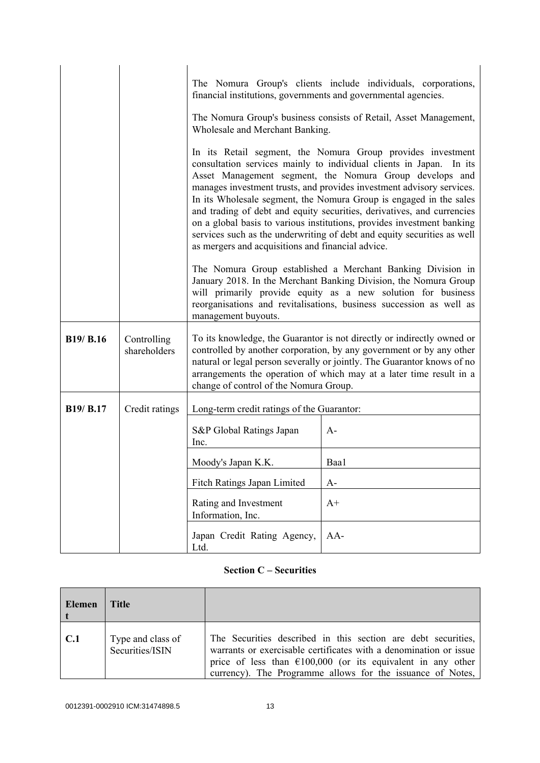|                  |                             | The Nomura Group's clients include individuals, corporations,<br>financial institutions, governments and governmental agencies.<br>The Nomura Group's business consists of Retail, Asset Management,<br>Wholesale and Merchant Banking.<br>In its Retail segment, the Nomura Group provides investment<br>consultation services mainly to individual clients in Japan.<br>In its<br>Asset Management segment, the Nomura Group develops and<br>manages investment trusts, and provides investment advisory services.<br>In its Wholesale segment, the Nomura Group is engaged in the sales<br>and trading of debt and equity securities, derivatives, and currencies<br>on a global basis to various institutions, provides investment banking<br>services such as the underwriting of debt and equity securities as well<br>as mergers and acquisitions and financial advice. |      |  |
|------------------|-----------------------------|--------------------------------------------------------------------------------------------------------------------------------------------------------------------------------------------------------------------------------------------------------------------------------------------------------------------------------------------------------------------------------------------------------------------------------------------------------------------------------------------------------------------------------------------------------------------------------------------------------------------------------------------------------------------------------------------------------------------------------------------------------------------------------------------------------------------------------------------------------------------------------|------|--|
|                  |                             | The Nomura Group established a Merchant Banking Division in<br>January 2018. In the Merchant Banking Division, the Nomura Group<br>will primarily provide equity as a new solution for business<br>reorganisations and revitalisations, business succession as well as<br>management buyouts.                                                                                                                                                                                                                                                                                                                                                                                                                                                                                                                                                                                  |      |  |
| B19/ B.16        | Controlling<br>shareholders | To its knowledge, the Guarantor is not directly or indirectly owned or<br>controlled by another corporation, by any government or by any other<br>natural or legal person severally or jointly. The Guarantor knows of no<br>arrangements the operation of which may at a later time result in a<br>change of control of the Nomura Group.                                                                                                                                                                                                                                                                                                                                                                                                                                                                                                                                     |      |  |
| <b>B19/ B.17</b> | Credit ratings              | Long-term credit ratings of the Guarantor:                                                                                                                                                                                                                                                                                                                                                                                                                                                                                                                                                                                                                                                                                                                                                                                                                                     |      |  |
|                  |                             | S&P Global Ratings Japan<br>Inc.                                                                                                                                                                                                                                                                                                                                                                                                                                                                                                                                                                                                                                                                                                                                                                                                                                               | $A-$ |  |
|                  |                             | Moody's Japan K.K.                                                                                                                                                                                                                                                                                                                                                                                                                                                                                                                                                                                                                                                                                                                                                                                                                                                             | Baa1 |  |
|                  |                             | Fitch Ratings Japan Limited                                                                                                                                                                                                                                                                                                                                                                                                                                                                                                                                                                                                                                                                                                                                                                                                                                                    | $A-$ |  |
|                  |                             | Rating and Investment<br>Information, Inc.                                                                                                                                                                                                                                                                                                                                                                                                                                                                                                                                                                                                                                                                                                                                                                                                                                     | $A+$ |  |
|                  |                             | Japan Credit Rating Agency,<br>Ltd.                                                                                                                                                                                                                                                                                                                                                                                                                                                                                                                                                                                                                                                                                                                                                                                                                                            | AA-  |  |

# **Section C – Securities**

| Elemen | Title                                |                                                                                                                                                                                                                                                                           |
|--------|--------------------------------------|---------------------------------------------------------------------------------------------------------------------------------------------------------------------------------------------------------------------------------------------------------------------------|
| C.1    | Type and class of<br>Securities/ISIN | The Securities described in this section are debt securities,<br>warrants or exercisable certificates with a denomination or issue<br>price of less than $\epsilon$ 100,000 (or its equivalent in any other<br>currency). The Programme allows for the issuance of Notes, |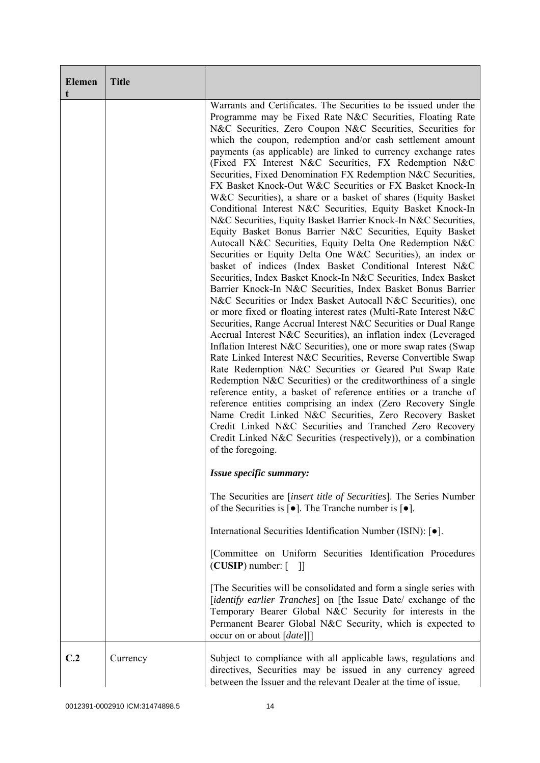| <b>Elemen</b><br>t | <b>Title</b> |                                                                                                                                                                                                                                                                                                                                                                                                                                                                                                                                                                                                                                                                                                                                                                                                                                                                                                                                                                                                                                                                                                                                                                                                                                                                                                                                                                                                                                                                                                                                                                                                                                                                                                                                                                                                                                                                                                                                                                                                     |
|--------------------|--------------|-----------------------------------------------------------------------------------------------------------------------------------------------------------------------------------------------------------------------------------------------------------------------------------------------------------------------------------------------------------------------------------------------------------------------------------------------------------------------------------------------------------------------------------------------------------------------------------------------------------------------------------------------------------------------------------------------------------------------------------------------------------------------------------------------------------------------------------------------------------------------------------------------------------------------------------------------------------------------------------------------------------------------------------------------------------------------------------------------------------------------------------------------------------------------------------------------------------------------------------------------------------------------------------------------------------------------------------------------------------------------------------------------------------------------------------------------------------------------------------------------------------------------------------------------------------------------------------------------------------------------------------------------------------------------------------------------------------------------------------------------------------------------------------------------------------------------------------------------------------------------------------------------------------------------------------------------------------------------------------------------------|
|                    |              | Warrants and Certificates. The Securities to be issued under the<br>Programme may be Fixed Rate N&C Securities, Floating Rate<br>N&C Securities, Zero Coupon N&C Securities, Securities for<br>which the coupon, redemption and/or cash settlement amount<br>payments (as applicable) are linked to currency exchange rates<br>(Fixed FX Interest N&C Securities, FX Redemption N&C<br>Securities, Fixed Denomination FX Redemption N&C Securities,<br>FX Basket Knock-Out W&C Securities or FX Basket Knock-In<br>W&C Securities), a share or a basket of shares (Equity Basket<br>Conditional Interest N&C Securities, Equity Basket Knock-In<br>N&C Securities, Equity Basket Barrier Knock-In N&C Securities,<br>Equity Basket Bonus Barrier N&C Securities, Equity Basket<br>Autocall N&C Securities, Equity Delta One Redemption N&C<br>Securities or Equity Delta One W&C Securities), an index or<br>basket of indices (Index Basket Conditional Interest N&C<br>Securities, Index Basket Knock-In N&C Securities, Index Basket<br>Barrier Knock-In N&C Securities, Index Basket Bonus Barrier<br>N&C Securities or Index Basket Autocall N&C Securities), one<br>or more fixed or floating interest rates (Multi-Rate Interest N&C<br>Securities, Range Accrual Interest N&C Securities or Dual Range<br>Accrual Interest N&C Securities), an inflation index (Leveraged<br>Inflation Interest N&C Securities), one or more swap rates (Swap<br>Rate Linked Interest N&C Securities, Reverse Convertible Swap<br>Rate Redemption N&C Securities or Geared Put Swap Rate<br>Redemption N&C Securities) or the creditworthiness of a single<br>reference entity, a basket of reference entities or a tranche of<br>reference entities comprising an index (Zero Recovery Single<br>Name Credit Linked N&C Securities, Zero Recovery Basket<br>Credit Linked N&C Securities and Tranched Zero Recovery<br>Credit Linked N&C Securities (respectively)), or a combination<br>of the foregoing. |
|                    |              | Issue specific summary:                                                                                                                                                                                                                                                                                                                                                                                                                                                                                                                                                                                                                                                                                                                                                                                                                                                                                                                                                                                                                                                                                                                                                                                                                                                                                                                                                                                                                                                                                                                                                                                                                                                                                                                                                                                                                                                                                                                                                                             |
|                    |              | The Securities are <i>[insert title of Securities]</i> . The Series Number<br>of the Securities is $\lceil \bullet \rceil$ . The Tranche number is $\lceil \bullet \rceil$ .                                                                                                                                                                                                                                                                                                                                                                                                                                                                                                                                                                                                                                                                                                                                                                                                                                                                                                                                                                                                                                                                                                                                                                                                                                                                                                                                                                                                                                                                                                                                                                                                                                                                                                                                                                                                                        |
|                    |              | International Securities Identification Number (ISIN): [ $\bullet$ ].                                                                                                                                                                                                                                                                                                                                                                                                                                                                                                                                                                                                                                                                                                                                                                                                                                                                                                                                                                                                                                                                                                                                                                                                                                                                                                                                                                                                                                                                                                                                                                                                                                                                                                                                                                                                                                                                                                                               |
|                    |              | [Committee on Uniform Securities Identification Procedures<br>$(CUSIP)$ number: $\lceil \quad \rceil$                                                                                                                                                                                                                                                                                                                                                                                                                                                                                                                                                                                                                                                                                                                                                                                                                                                                                                                                                                                                                                                                                                                                                                                                                                                                                                                                                                                                                                                                                                                                                                                                                                                                                                                                                                                                                                                                                               |
|                    |              | The Securities will be consolidated and form a single series with<br>[identify earlier Tranches] on [the Issue Date/ exchange of the<br>Temporary Bearer Global N&C Security for interests in the<br>Permanent Bearer Global N&C Security, which is expected to<br>occur on or about [date]]                                                                                                                                                                                                                                                                                                                                                                                                                                                                                                                                                                                                                                                                                                                                                                                                                                                                                                                                                                                                                                                                                                                                                                                                                                                                                                                                                                                                                                                                                                                                                                                                                                                                                                        |
| C.2                | Currency     | Subject to compliance with all applicable laws, regulations and<br>directives, Securities may be issued in any currency agreed<br>between the Issuer and the relevant Dealer at the time of issue.                                                                                                                                                                                                                                                                                                                                                                                                                                                                                                                                                                                                                                                                                                                                                                                                                                                                                                                                                                                                                                                                                                                                                                                                                                                                                                                                                                                                                                                                                                                                                                                                                                                                                                                                                                                                  |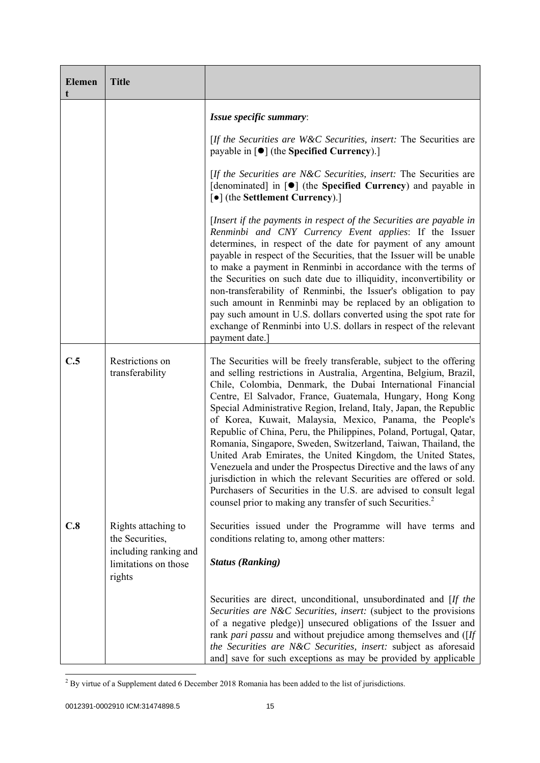| <b>Elemen</b> | <b>Title</b>                                                                                      |                                                                                                                                                                                                                                                                                                                                                                                                                                                                                                                                                                                                                                                                                                                                                                                                                                                                                                          |
|---------------|---------------------------------------------------------------------------------------------------|----------------------------------------------------------------------------------------------------------------------------------------------------------------------------------------------------------------------------------------------------------------------------------------------------------------------------------------------------------------------------------------------------------------------------------------------------------------------------------------------------------------------------------------------------------------------------------------------------------------------------------------------------------------------------------------------------------------------------------------------------------------------------------------------------------------------------------------------------------------------------------------------------------|
|               |                                                                                                   | Issue specific summary:                                                                                                                                                                                                                                                                                                                                                                                                                                                                                                                                                                                                                                                                                                                                                                                                                                                                                  |
|               |                                                                                                   | [If the Securities are W&C Securities, insert: The Securities are<br>payable in [ $\bullet$ ] (the Specified Currency).]                                                                                                                                                                                                                                                                                                                                                                                                                                                                                                                                                                                                                                                                                                                                                                                 |
|               |                                                                                                   | [If the Securities are N&C Securities, insert: The Securities are<br>[denominated] in [●] (the Specified Currency) and payable in<br>[ $\bullet$ ] (the Settlement Currency).]                                                                                                                                                                                                                                                                                                                                                                                                                                                                                                                                                                                                                                                                                                                           |
|               |                                                                                                   | [Insert if the payments in respect of the Securities are payable in<br>Renminbi and CNY Currency Event applies: If the Issuer<br>determines, in respect of the date for payment of any amount<br>payable in respect of the Securities, that the Issuer will be unable<br>to make a payment in Renminbi in accordance with the terms of<br>the Securities on such date due to illiquidity, inconvertibility or<br>non-transferability of Renminbi, the Issuer's obligation to pay<br>such amount in Renminbi may be replaced by an obligation to<br>pay such amount in U.S. dollars converted using the spot rate for<br>exchange of Renminbi into U.S. dollars in respect of the relevant<br>payment date.]                                                                                                                                                                                              |
| C.5           | Restrictions on<br>transferability                                                                | The Securities will be freely transferable, subject to the offering<br>and selling restrictions in Australia, Argentina, Belgium, Brazil,<br>Chile, Colombia, Denmark, the Dubai International Financial<br>Centre, El Salvador, France, Guatemala, Hungary, Hong Kong<br>Special Administrative Region, Ireland, Italy, Japan, the Republic<br>of Korea, Kuwait, Malaysia, Mexico, Panama, the People's<br>Republic of China, Peru, the Philippines, Poland, Portugal, Qatar,<br>Romania, Singapore, Sweden, Switzerland, Taiwan, Thailand, the<br>United Arab Emirates, the United Kingdom, the United States,<br>Venezuela and under the Prospectus Directive and the laws of any<br>jurisdiction in which the relevant Securities are offered or sold.<br>Purchasers of Securities in the U.S. are advised to consult legal<br>counsel prior to making any transfer of such Securities. <sup>2</sup> |
| C.8           | Rights attaching to<br>the Securities,<br>including ranking and<br>limitations on those<br>rights | Securities issued under the Programme will have terms and<br>conditions relating to, among other matters:<br><b>Status (Ranking)</b>                                                                                                                                                                                                                                                                                                                                                                                                                                                                                                                                                                                                                                                                                                                                                                     |
|               |                                                                                                   | Securities are direct, unconditional, unsubordinated and [If the<br>Securities are N&C Securities, insert: (subject to the provisions<br>of a negative pledge)] unsecured obligations of the Issuer and<br>rank pari passu and without prejudice among themselves and ([If<br>the Securities are N&C Securities, insert: subject as aforesaid<br>and] save for such exceptions as may be provided by applicable                                                                                                                                                                                                                                                                                                                                                                                                                                                                                          |

<sup>&</sup>lt;sup>2</sup> By virtue of a Supplement dated 6 December 2018 Romania has been added to the list of jurisdictions.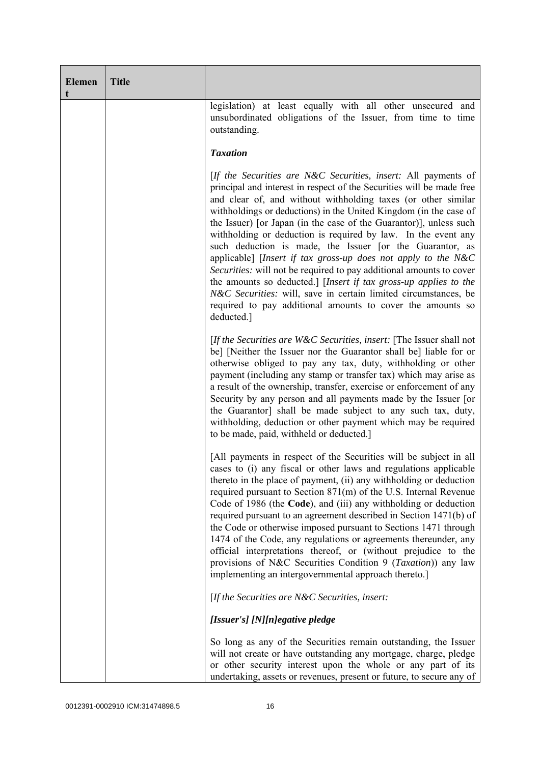| <b>Elemen</b><br>t | <b>Title</b> |                                                                                                                                                                                                                                                                                                                                                                                                                                                                                                                                                                                                                                                                                                                                                                                                                                              |
|--------------------|--------------|----------------------------------------------------------------------------------------------------------------------------------------------------------------------------------------------------------------------------------------------------------------------------------------------------------------------------------------------------------------------------------------------------------------------------------------------------------------------------------------------------------------------------------------------------------------------------------------------------------------------------------------------------------------------------------------------------------------------------------------------------------------------------------------------------------------------------------------------|
|                    |              | legislation) at least equally with all other unsecured and<br>unsubordinated obligations of the Issuer, from time to time<br>outstanding.                                                                                                                                                                                                                                                                                                                                                                                                                                                                                                                                                                                                                                                                                                    |
|                    |              | <b>Taxation</b>                                                                                                                                                                                                                                                                                                                                                                                                                                                                                                                                                                                                                                                                                                                                                                                                                              |
|                    |              | [If the Securities are N&C Securities, insert: All payments of<br>principal and interest in respect of the Securities will be made free<br>and clear of, and without withholding taxes (or other similar<br>withholdings or deductions) in the United Kingdom (in the case of<br>the Issuer) [or Japan (in the case of the Guarantor)], unless such<br>with holding or deduction is required by law. In the event any<br>such deduction is made, the Issuer [or the Guarantor, as<br>applicable] [Insert if tax gross-up does not apply to the N&C<br>Securities: will not be required to pay additional amounts to cover<br>the amounts so deducted.] [Insert if tax gross-up applies to the<br>N&C Securities: will, save in certain limited circumstances, be<br>required to pay additional amounts to cover the amounts so<br>deducted.] |
|                    |              | [If the Securities are $W\&C$ Securities, insert: [The Issuer shall not<br>be] [Neither the Issuer nor the Guarantor shall be] liable for or<br>otherwise obliged to pay any tax, duty, withholding or other<br>payment (including any stamp or transfer tax) which may arise as<br>a result of the ownership, transfer, exercise or enforcement of any<br>Security by any person and all payments made by the Issuer [or<br>the Guarantor] shall be made subject to any such tax, duty,<br>withholding, deduction or other payment which may be required<br>to be made, paid, withheld or deducted.                                                                                                                                                                                                                                         |
|                    |              | [All payments in respect of the Securities will be subject in all<br>cases to (i) any fiscal or other laws and regulations applicable<br>thereto in the place of payment, (ii) any withholding or deduction<br>required pursuant to Section 871(m) of the U.S. Internal Revenue<br>Code of 1986 (the Code), and (iii) any withholding or deduction<br>required pursuant to an agreement described in Section 1471(b) of<br>the Code or otherwise imposed pursuant to Sections 1471 through<br>1474 of the Code, any regulations or agreements thereunder, any<br>official interpretations thereof, or (without prejudice to the<br>provisions of N&C Securities Condition 9 (Taxation)) any law<br>implementing an intergovernmental approach thereto.]                                                                                      |
|                    |              | [If the Securities are $N\&C$ Securities, insert:                                                                                                                                                                                                                                                                                                                                                                                                                                                                                                                                                                                                                                                                                                                                                                                            |
|                    |              | [Issuer's] [N][n]egative pledge                                                                                                                                                                                                                                                                                                                                                                                                                                                                                                                                                                                                                                                                                                                                                                                                              |
|                    |              | So long as any of the Securities remain outstanding, the Issuer<br>will not create or have outstanding any mortgage, charge, pledge<br>or other security interest upon the whole or any part of its<br>undertaking, assets or revenues, present or future, to secure any of                                                                                                                                                                                                                                                                                                                                                                                                                                                                                                                                                                  |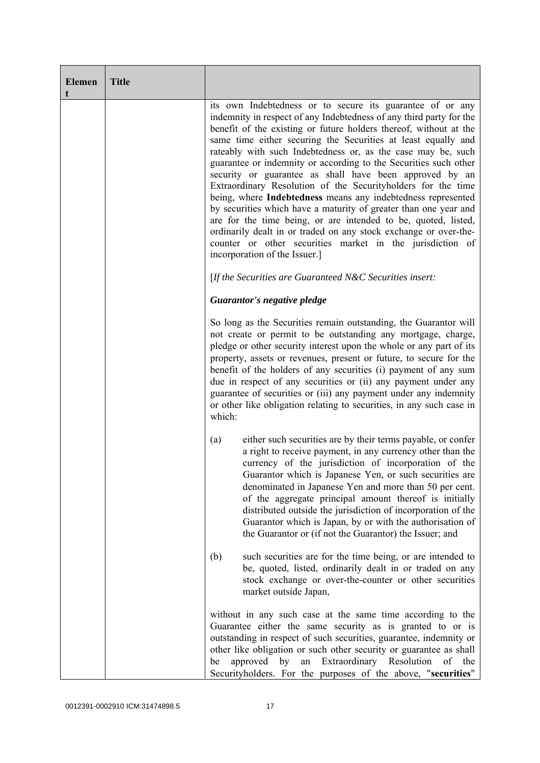| <b>Elemen</b><br>t | <b>Title</b> |                                                                                                                                                                                                                                                                                                                                                                                                                                                                                                                                                                                                                                                                                                                                                                                                                                                                                                               |
|--------------------|--------------|---------------------------------------------------------------------------------------------------------------------------------------------------------------------------------------------------------------------------------------------------------------------------------------------------------------------------------------------------------------------------------------------------------------------------------------------------------------------------------------------------------------------------------------------------------------------------------------------------------------------------------------------------------------------------------------------------------------------------------------------------------------------------------------------------------------------------------------------------------------------------------------------------------------|
|                    |              | its own Indebtedness or to secure its guarantee of or any<br>indemnity in respect of any Indebtedness of any third party for the<br>benefit of the existing or future holders thereof, without at the<br>same time either securing the Securities at least equally and<br>rateably with such Indebtedness or, as the case may be, such<br>guarantee or indemnity or according to the Securities such other<br>security or guarantee as shall have been approved by an<br>Extraordinary Resolution of the Securityholders for the time<br>being, where Indebtedness means any indebtedness represented<br>by securities which have a maturity of greater than one year and<br>are for the time being, or are intended to be, quoted, listed,<br>ordinarily dealt in or traded on any stock exchange or over-the-<br>counter or other securities market in the jurisdiction of<br>incorporation of the Issuer.] |
|                    |              | [If the Securities are Guaranteed N&C Securities insert:                                                                                                                                                                                                                                                                                                                                                                                                                                                                                                                                                                                                                                                                                                                                                                                                                                                      |
|                    |              | Guarantor's negative pledge                                                                                                                                                                                                                                                                                                                                                                                                                                                                                                                                                                                                                                                                                                                                                                                                                                                                                   |
|                    |              | So long as the Securities remain outstanding, the Guarantor will<br>not create or permit to be outstanding any mortgage, charge,<br>pledge or other security interest upon the whole or any part of its<br>property, assets or revenues, present or future, to secure for the<br>benefit of the holders of any securities (i) payment of any sum<br>due in respect of any securities or (ii) any payment under any<br>guarantee of securities or (iii) any payment under any indemnity<br>or other like obligation relating to securities, in any such case in<br>which:                                                                                                                                                                                                                                                                                                                                      |
|                    |              | either such securities are by their terms payable, or confer<br>(a)<br>a right to receive payment, in any currency other than the<br>currency of the jurisdiction of incorporation of the<br>Guarantor which is Japanese Yen, or such securities are<br>denominated in Japanese Yen and more than 50 per cent.<br>of the aggregate principal amount thereof is initially<br>distributed outside the jurisdiction of incorporation of the<br>Guarantor which is Japan, by or with the authorisation of<br>the Guarantor or (if not the Guarantor) the Issuer; and                                                                                                                                                                                                                                                                                                                                              |
|                    |              | such securities are for the time being, or are intended to<br>(b)<br>be, quoted, listed, ordinarily dealt in or traded on any<br>stock exchange or over-the-counter or other securities<br>market outside Japan,                                                                                                                                                                                                                                                                                                                                                                                                                                                                                                                                                                                                                                                                                              |
|                    |              | without in any such case at the same time according to the<br>Guarantee either the same security as is granted to or is<br>outstanding in respect of such securities, guarantee, indemnity or<br>other like obligation or such other security or guarantee as shall<br>approved<br>Extraordinary Resolution<br>by<br>an<br>of<br>the<br>be<br>Securityholders. For the purposes of the above, "securities"                                                                                                                                                                                                                                                                                                                                                                                                                                                                                                    |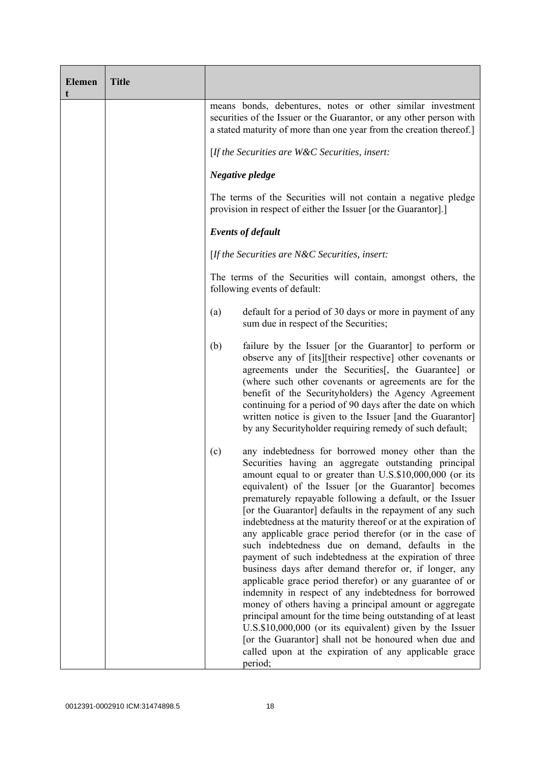| <b>Elemen</b><br>t | <b>Title</b> |                                                                                                                                                                                                                                                                                                                                                                                                                                                                                                                                                                                                                                                                                                                                                                                                                                                                                                                                                                                                                                                                                                          |
|--------------------|--------------|----------------------------------------------------------------------------------------------------------------------------------------------------------------------------------------------------------------------------------------------------------------------------------------------------------------------------------------------------------------------------------------------------------------------------------------------------------------------------------------------------------------------------------------------------------------------------------------------------------------------------------------------------------------------------------------------------------------------------------------------------------------------------------------------------------------------------------------------------------------------------------------------------------------------------------------------------------------------------------------------------------------------------------------------------------------------------------------------------------|
|                    |              | means bonds, debentures, notes or other similar investment<br>securities of the Issuer or the Guarantor, or any other person with<br>a stated maturity of more than one year from the creation thereof.]                                                                                                                                                                                                                                                                                                                                                                                                                                                                                                                                                                                                                                                                                                                                                                                                                                                                                                 |
|                    |              | [If the Securities are $W\&C$ Securities, insert:                                                                                                                                                                                                                                                                                                                                                                                                                                                                                                                                                                                                                                                                                                                                                                                                                                                                                                                                                                                                                                                        |
|                    |              | Negative pledge                                                                                                                                                                                                                                                                                                                                                                                                                                                                                                                                                                                                                                                                                                                                                                                                                                                                                                                                                                                                                                                                                          |
|                    |              | The terms of the Securities will not contain a negative pledge<br>provision in respect of either the Issuer [or the Guarantor].]                                                                                                                                                                                                                                                                                                                                                                                                                                                                                                                                                                                                                                                                                                                                                                                                                                                                                                                                                                         |
|                    |              | <b>Events of default</b>                                                                                                                                                                                                                                                                                                                                                                                                                                                                                                                                                                                                                                                                                                                                                                                                                                                                                                                                                                                                                                                                                 |
|                    |              | [If the Securities are $N\&C$ Securities, insert:                                                                                                                                                                                                                                                                                                                                                                                                                                                                                                                                                                                                                                                                                                                                                                                                                                                                                                                                                                                                                                                        |
|                    |              | The terms of the Securities will contain, amongst others, the<br>following events of default:                                                                                                                                                                                                                                                                                                                                                                                                                                                                                                                                                                                                                                                                                                                                                                                                                                                                                                                                                                                                            |
|                    |              | default for a period of 30 days or more in payment of any<br>(a)<br>sum due in respect of the Securities;                                                                                                                                                                                                                                                                                                                                                                                                                                                                                                                                                                                                                                                                                                                                                                                                                                                                                                                                                                                                |
|                    |              | failure by the Issuer [or the Guarantor] to perform or<br>(b)<br>observe any of [its][their respective] other covenants or<br>agreements under the Securities[, the Guarantee] or<br>(where such other covenants or agreements are for the<br>benefit of the Securityholders) the Agency Agreement<br>continuing for a period of 90 days after the date on which<br>written notice is given to the Issuer [and the Guarantor]<br>by any Securityholder requiring remedy of such default;                                                                                                                                                                                                                                                                                                                                                                                                                                                                                                                                                                                                                 |
|                    |              | any indebtedness for borrowed money other than the<br>(c)<br>Securities having an aggregate outstanding principal<br>amount equal to or greater than U.S.\$10,000,000 (or its<br>equivalent) of the Issuer [or the Guarantor] becomes<br>prematurely repayable following a default, or the Issuer<br>[or the Guarantor] defaults in the repayment of any such<br>indebtedness at the maturity thereof or at the expiration of<br>any applicable grace period therefor (or in the case of<br>such indebtedness due on demand, defaults in the<br>payment of such indebtedness at the expiration of three<br>business days after demand therefor or, if longer, any<br>applicable grace period therefor) or any guarantee of or<br>indemnity in respect of any indebtedness for borrowed<br>money of others having a principal amount or aggregate<br>principal amount for the time being outstanding of at least<br>U.S.\$10,000,000 (or its equivalent) given by the Issuer<br>[or the Guarantor] shall not be honoured when due and<br>called upon at the expiration of any applicable grace<br>period; |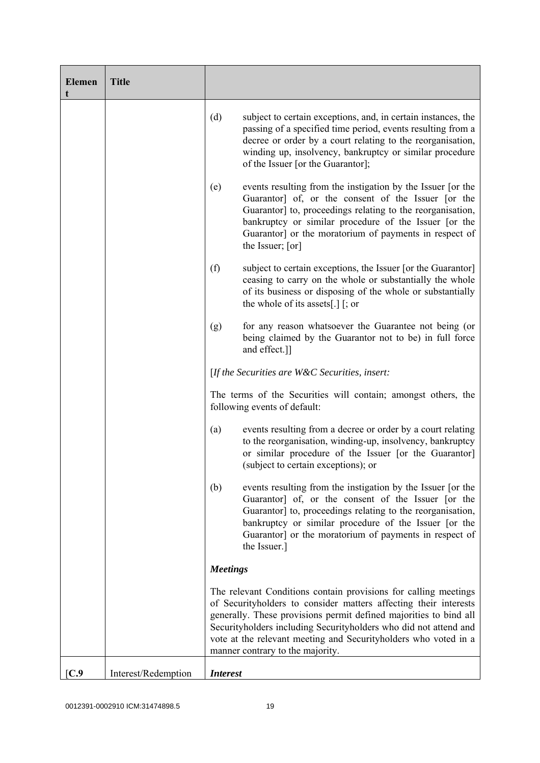| <b>Elemen</b>    | <b>Title</b>        |                 |                                                                                                                                                                                                                                                                                                                                                                                     |
|------------------|---------------------|-----------------|-------------------------------------------------------------------------------------------------------------------------------------------------------------------------------------------------------------------------------------------------------------------------------------------------------------------------------------------------------------------------------------|
|                  |                     | (d)             | subject to certain exceptions, and, in certain instances, the<br>passing of a specified time period, events resulting from a<br>decree or order by a court relating to the reorganisation,<br>winding up, insolvency, bankruptcy or similar procedure<br>of the Issuer [or the Guarantor];                                                                                          |
|                  |                     | (e)             | events resulting from the instigation by the Issuer [or the<br>Guarantor] of, or the consent of the Issuer [or the<br>Guarantor] to, proceedings relating to the reorganisation,<br>bankruptcy or similar procedure of the Issuer [or the<br>Guarantor] or the moratorium of payments in respect of<br>the Issuer; [or]                                                             |
|                  |                     | (f)             | subject to certain exceptions, the Issuer [or the Guarantor]<br>ceasing to carry on the whole or substantially the whole<br>of its business or disposing of the whole or substantially<br>the whole of its assets[.] $\lceil$ ; or                                                                                                                                                  |
|                  |                     | (g)             | for any reason whatsoever the Guarantee not being (or<br>being claimed by the Guarantor not to be) in full force<br>and effect.]]                                                                                                                                                                                                                                                   |
|                  |                     |                 | [If the Securities are $W\&C$ Securities, insert:                                                                                                                                                                                                                                                                                                                                   |
|                  |                     |                 | The terms of the Securities will contain; amongst others, the<br>following events of default:                                                                                                                                                                                                                                                                                       |
|                  |                     | (a)             | events resulting from a decree or order by a court relating<br>to the reorganisation, winding-up, insolvency, bankruptcy<br>or similar procedure of the Issuer [or the Guarantor]<br>(subject to certain exceptions); or                                                                                                                                                            |
|                  |                     | (b)             | events resulting from the instigation by the Issuer [or the<br>Guarantor] of, or the consent of the Issuer [or the<br>Guarantor] to, proceedings relating to the reorganisation,<br>bankruptcy or similar procedure of the Issuer [or the<br>Guarantor] or the moratorium of payments in respect of<br>the Issuer.]                                                                 |
|                  |                     | <b>Meetings</b> |                                                                                                                                                                                                                                                                                                                                                                                     |
|                  |                     |                 | The relevant Conditions contain provisions for calling meetings<br>of Securityholders to consider matters affecting their interests<br>generally. These provisions permit defined majorities to bind all<br>Securityholders including Securityholders who did not attend and<br>vote at the relevant meeting and Securityholders who voted in a<br>manner contrary to the majority. |
| $\mathbf{[C.9]}$ | Interest/Redemption | <b>Interest</b> |                                                                                                                                                                                                                                                                                                                                                                                     |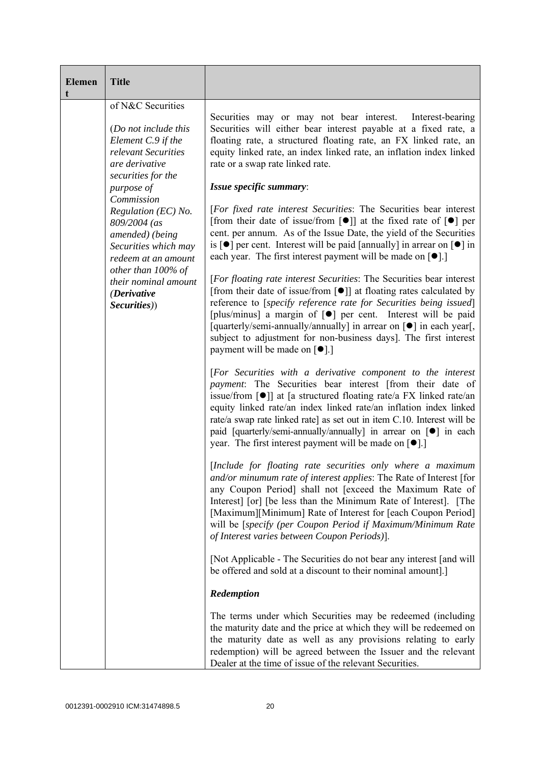| <b>Elemen</b><br>t | <b>Title</b>                                                                                                                   |                                                                                                                                                                                                                                                                                                                                                                                                                                                                                                                                       |
|--------------------|--------------------------------------------------------------------------------------------------------------------------------|---------------------------------------------------------------------------------------------------------------------------------------------------------------------------------------------------------------------------------------------------------------------------------------------------------------------------------------------------------------------------------------------------------------------------------------------------------------------------------------------------------------------------------------|
|                    | of N&C Securities<br>(Do not include this<br>Element C.9 if the<br>relevant Securities<br>are derivative<br>securities for the | Securities may or may not bear interest. Interest-bearing<br>Securities will either bear interest payable at a fixed rate, a<br>floating rate, a structured floating rate, an FX linked rate, an<br>equity linked rate, an index linked rate, an inflation index linked<br>rate or a swap rate linked rate.                                                                                                                                                                                                                           |
|                    | purpose of                                                                                                                     | Issue specific summary:                                                                                                                                                                                                                                                                                                                                                                                                                                                                                                               |
|                    | Commission<br>Regulation (EC) No.<br>809/2004 (as<br>amended) (being<br>Securities which may<br>redeem at an amount            | [For fixed rate interest Securities: The Securities bear interest<br>[from their date of issue/from $\lceil \bullet \rceil$ ] at the fixed rate of $\lceil \bullet \rceil$ per<br>cent. per annum. As of the Issue Date, the yield of the Securities<br>is $\lceil \bullet \rceil$ per cent. Interest will be paid [annually] in arrear on $\lceil \bullet \rceil$ in<br>each year. The first interest payment will be made on $[\bullet]$ .]                                                                                         |
|                    | other than $100\%$ of<br>their nominal amount<br>(Derivative<br>Securities))                                                   | [For floating rate interest Securities: The Securities bear interest<br>[from their date of issue/from [ $\bullet$ ]] at floating rates calculated by<br>reference to [specify reference rate for Securities being issued]<br>[plus/minus] a margin of [ $\bullet$ ] per cent. Interest will be paid<br>[quarterly/semi-annually/annually] in arrear on [ $\bullet$ ] in each year[,<br>subject to adjustment for non-business days]. The first interest<br>payment will be made on $\lceil \bullet \rceil$ .]                        |
|                    |                                                                                                                                | [For Securities with a derivative component to the interest<br><i>payment</i> : The Securities bear interest [from their date of<br>issue/from $\lceil \bullet \rceil$ at [a structured floating rate/a FX linked rate/an<br>equity linked rate/an index linked rate/an inflation index linked<br>rate/a swap rate linked rate] as set out in item C.10. Interest will be<br>paid [quarterly/semi-annually/annually] in arrear on [ $\bullet$ ] in each<br>year. The first interest payment will be made on $\lceil \bullet \rceil$ . |
|                    |                                                                                                                                | [Include for floating rate securities only where a maximum<br><i>and/or minumum rate of interest applies:</i> The Rate of Interest [for<br>any Coupon Period] shall not [exceed the Maximum Rate of<br>Interest [or] [be less than the Minimum Rate of Interest]. [The<br>[Maximum][Minimum] Rate of Interest for [each Coupon Period]<br>will be [specify (per Coupon Period if Maximum/Minimum Rate<br>of Interest varies between Coupon Periods).                                                                                  |
|                    |                                                                                                                                | [Not Applicable - The Securities do not bear any interest [and will]<br>be offered and sold at a discount to their nominal amount].]                                                                                                                                                                                                                                                                                                                                                                                                  |
|                    |                                                                                                                                | Redemption                                                                                                                                                                                                                                                                                                                                                                                                                                                                                                                            |
|                    |                                                                                                                                | The terms under which Securities may be redeemed (including<br>the maturity date and the price at which they will be redeemed on<br>the maturity date as well as any provisions relating to early<br>redemption) will be agreed between the Issuer and the relevant<br>Dealer at the time of issue of the relevant Securities.                                                                                                                                                                                                        |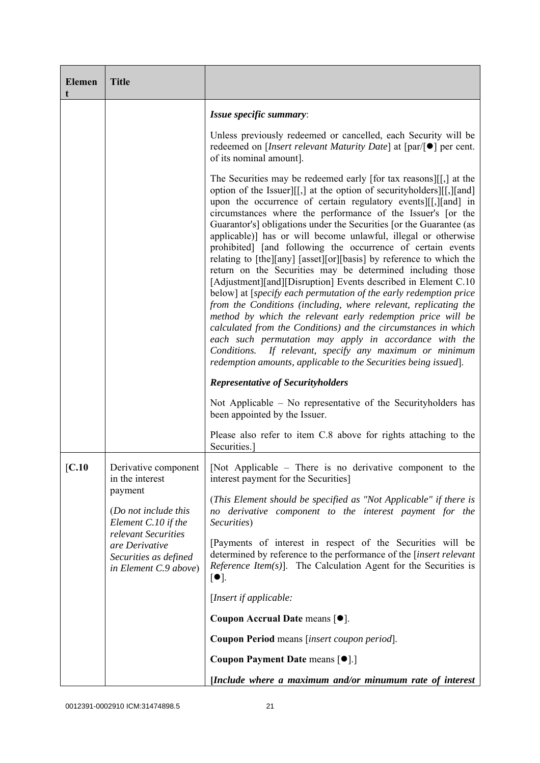| <b>Elemen</b> | <b>Title</b>                                                                            |                                                                                                                                                                                                                                                                                                                                                                                                                                                                                                                                                                                                                                                                                                                                                                                                                                                                                                                                                                                                                                                                                                                                                                                                                                                                                                                                                                                    |
|---------------|-----------------------------------------------------------------------------------------|------------------------------------------------------------------------------------------------------------------------------------------------------------------------------------------------------------------------------------------------------------------------------------------------------------------------------------------------------------------------------------------------------------------------------------------------------------------------------------------------------------------------------------------------------------------------------------------------------------------------------------------------------------------------------------------------------------------------------------------------------------------------------------------------------------------------------------------------------------------------------------------------------------------------------------------------------------------------------------------------------------------------------------------------------------------------------------------------------------------------------------------------------------------------------------------------------------------------------------------------------------------------------------------------------------------------------------------------------------------------------------|
|               |                                                                                         | Issue specific summary:                                                                                                                                                                                                                                                                                                                                                                                                                                                                                                                                                                                                                                                                                                                                                                                                                                                                                                                                                                                                                                                                                                                                                                                                                                                                                                                                                            |
|               |                                                                                         | Unless previously redeemed or cancelled, each Security will be<br>redeemed on [ <i>Insert relevant Maturity Date</i> ] at $\lceil par/\rceil \bullet \rceil$ per cent.<br>of its nominal amount].                                                                                                                                                                                                                                                                                                                                                                                                                                                                                                                                                                                                                                                                                                                                                                                                                                                                                                                                                                                                                                                                                                                                                                                  |
|               |                                                                                         | The Securities may be redeemed early [for tax reasons][[,] at the<br>option of the Issuer][[,] at the option of securityholders][[,][and]<br>upon the occurrence of certain regulatory events [[[, ][and] in<br>circumstances where the performance of the Issuer's [or the<br>Guarantor's] obligations under the Securities [or the Guarantee (as<br>applicable)] has or will become unlawful, illegal or otherwise<br>prohibited] [and following the occurrence of certain events<br>relating to [the][any] [asset][or][basis] by reference to which the<br>return on the Securities may be determined including those<br>[Adjustment][and][Disruption] Events described in Element C.10<br>below] at [specify each permutation of the early redemption price<br>from the Conditions (including, where relevant, replicating the<br>method by which the relevant early redemption price will be<br>calculated from the Conditions) and the circumstances in which<br>each such permutation may apply in accordance with the<br>Conditions.<br>If relevant, specify any maximum or minimum<br>redemption amounts, applicable to the Securities being issued].<br><b>Representative of Securityholders</b><br>Not Applicable $-$ No representative of the Security holders has<br>been appointed by the Issuer.<br>Please also refer to item C.8 above for rights attaching to the |
|               |                                                                                         | Securities.                                                                                                                                                                                                                                                                                                                                                                                                                                                                                                                                                                                                                                                                                                                                                                                                                                                                                                                                                                                                                                                                                                                                                                                                                                                                                                                                                                        |
| [C.10]        | Derivative component<br>in the interest                                                 | [Not Applicable – There is no derivative component to the<br>interest payment for the Securities]                                                                                                                                                                                                                                                                                                                                                                                                                                                                                                                                                                                                                                                                                                                                                                                                                                                                                                                                                                                                                                                                                                                                                                                                                                                                                  |
|               | payment<br>(Do not include this<br>Element C.10 if the                                  | (This Element should be specified as "Not Applicable" if there is<br>no derivative component to the interest payment for the<br>Securities)                                                                                                                                                                                                                                                                                                                                                                                                                                                                                                                                                                                                                                                                                                                                                                                                                                                                                                                                                                                                                                                                                                                                                                                                                                        |
|               | relevant Securities<br>are Derivative<br>Securities as defined<br>in Element C.9 above) | [Payments of interest in respect of the Securities will be<br>determined by reference to the performance of the [insert relevant<br><i>Reference Item(s)</i> ]. The Calculation Agent for the Securities is<br>$\lceil \bullet \rceil$ .                                                                                                                                                                                                                                                                                                                                                                                                                                                                                                                                                                                                                                                                                                                                                                                                                                                                                                                                                                                                                                                                                                                                           |
|               |                                                                                         | [Insert if applicable:                                                                                                                                                                                                                                                                                                                                                                                                                                                                                                                                                                                                                                                                                                                                                                                                                                                                                                                                                                                                                                                                                                                                                                                                                                                                                                                                                             |
|               |                                                                                         | Coupon Accrual Date means $[•]$ .                                                                                                                                                                                                                                                                                                                                                                                                                                                                                                                                                                                                                                                                                                                                                                                                                                                                                                                                                                                                                                                                                                                                                                                                                                                                                                                                                  |
|               |                                                                                         | Coupon Period means [insert coupon period].                                                                                                                                                                                                                                                                                                                                                                                                                                                                                                                                                                                                                                                                                                                                                                                                                                                                                                                                                                                                                                                                                                                                                                                                                                                                                                                                        |
|               |                                                                                         | Coupon Payment Date means [ $\bullet$ ].]                                                                                                                                                                                                                                                                                                                                                                                                                                                                                                                                                                                                                                                                                                                                                                                                                                                                                                                                                                                                                                                                                                                                                                                                                                                                                                                                          |
|               |                                                                                         | [Include where a maximum and/or minumum rate of interest                                                                                                                                                                                                                                                                                                                                                                                                                                                                                                                                                                                                                                                                                                                                                                                                                                                                                                                                                                                                                                                                                                                                                                                                                                                                                                                           |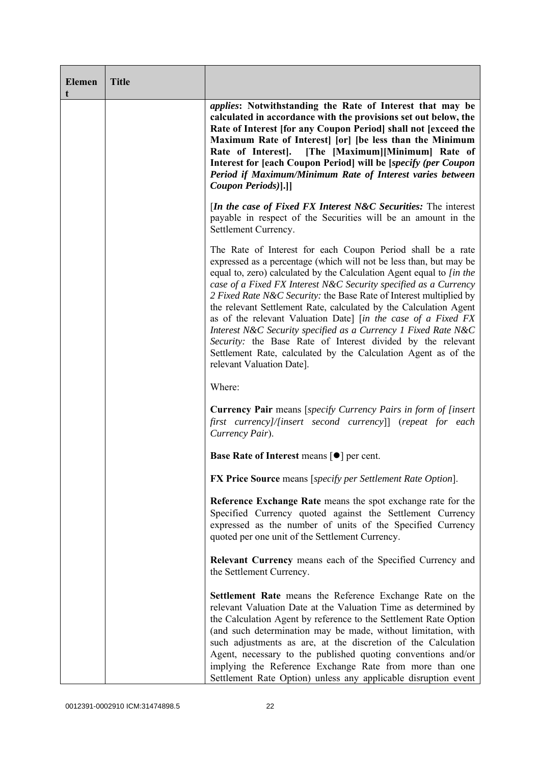| <b>Elemen</b><br>t | <b>Title</b> |                                                                                                                                                                                                                                                                                                                                                                                                                                                                                                                                                                                                                                                                                                                           |
|--------------------|--------------|---------------------------------------------------------------------------------------------------------------------------------------------------------------------------------------------------------------------------------------------------------------------------------------------------------------------------------------------------------------------------------------------------------------------------------------------------------------------------------------------------------------------------------------------------------------------------------------------------------------------------------------------------------------------------------------------------------------------------|
|                    |              | <i>applies:</i> Notwithstanding the Rate of Interest that may be<br>calculated in accordance with the provisions set out below, the<br>Rate of Interest [for any Coupon Period] shall not [exceed the<br>Maximum Rate of Interest [or] [be less than the Minimum<br>Rate of Interest]. [The [Maximum][Minimum] Rate of<br>Interest for [each Coupon Period] will be [specify (per Coupon<br>Period if Maximum/Minimum Rate of Interest varies between<br>Coupon Periods)].]]                                                                                                                                                                                                                                              |
|                    |              | <i>In the case of Fixed FX Interest N&amp;C Securities:</i> The interest<br>payable in respect of the Securities will be an amount in the<br>Settlement Currency.                                                                                                                                                                                                                                                                                                                                                                                                                                                                                                                                                         |
|                    |              | The Rate of Interest for each Coupon Period shall be a rate<br>expressed as a percentage (which will not be less than, but may be<br>equal to, zero) calculated by the Calculation Agent equal to [in the<br>case of a Fixed FX Interest N&C Security specified as a Currency<br>2 Fixed Rate N&C Security: the Base Rate of Interest multiplied by<br>the relevant Settlement Rate, calculated by the Calculation Agent<br>as of the relevant Valuation Date] [in the case of a Fixed FX<br>Interest N&C Security specified as a Currency 1 Fixed Rate N&C<br>Security: the Base Rate of Interest divided by the relevant<br>Settlement Rate, calculated by the Calculation Agent as of the<br>relevant Valuation Date]. |
|                    |              | Where:                                                                                                                                                                                                                                                                                                                                                                                                                                                                                                                                                                                                                                                                                                                    |
|                    |              | <b>Currency Pair</b> means [specify Currency Pairs in form of [insert]<br>first currency]/[insert second currency]] (repeat for each<br>Currency Pair).                                                                                                                                                                                                                                                                                                                                                                                                                                                                                                                                                                   |
|                    |              | Base Rate of Interest means [ $\bullet$ ] per cent.                                                                                                                                                                                                                                                                                                                                                                                                                                                                                                                                                                                                                                                                       |
|                    |              | <b>FX Price Source</b> means [specify per Settlement Rate Option].                                                                                                                                                                                                                                                                                                                                                                                                                                                                                                                                                                                                                                                        |
|                    |              | Reference Exchange Rate means the spot exchange rate for the<br>Specified Currency quoted against the Settlement Currency<br>expressed as the number of units of the Specified Currency<br>quoted per one unit of the Settlement Currency.                                                                                                                                                                                                                                                                                                                                                                                                                                                                                |
|                    |              | <b>Relevant Currency</b> means each of the Specified Currency and<br>the Settlement Currency.                                                                                                                                                                                                                                                                                                                                                                                                                                                                                                                                                                                                                             |
|                    |              | Settlement Rate means the Reference Exchange Rate on the<br>relevant Valuation Date at the Valuation Time as determined by<br>the Calculation Agent by reference to the Settlement Rate Option<br>(and such determination may be made, without limitation, with<br>such adjustments as are, at the discretion of the Calculation<br>Agent, necessary to the published quoting conventions and/or<br>implying the Reference Exchange Rate from more than one<br>Settlement Rate Option) unless any applicable disruption event                                                                                                                                                                                             |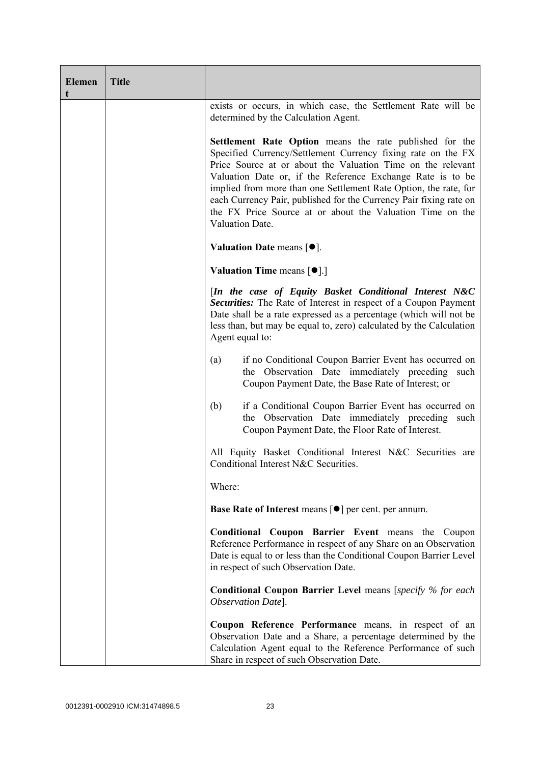| <b>Elemen</b><br>t | <b>Title</b> |                                                                                                                                                                                                                                                                                                                                                                                                                                                                                |
|--------------------|--------------|--------------------------------------------------------------------------------------------------------------------------------------------------------------------------------------------------------------------------------------------------------------------------------------------------------------------------------------------------------------------------------------------------------------------------------------------------------------------------------|
|                    |              | exists or occurs, in which case, the Settlement Rate will be<br>determined by the Calculation Agent.                                                                                                                                                                                                                                                                                                                                                                           |
|                    |              | Settlement Rate Option means the rate published for the<br>Specified Currency/Settlement Currency fixing rate on the FX<br>Price Source at or about the Valuation Time on the relevant<br>Valuation Date or, if the Reference Exchange Rate is to be<br>implied from more than one Settlement Rate Option, the rate, for<br>each Currency Pair, published for the Currency Pair fixing rate on<br>the FX Price Source at or about the Valuation Time on the<br>Valuation Date. |
|                    |              | Valuation Date means $[\bullet].$                                                                                                                                                                                                                                                                                                                                                                                                                                              |
|                    |              | Valuation Time means [ $\bullet$ ].]                                                                                                                                                                                                                                                                                                                                                                                                                                           |
|                    |              | [In the case of Equity Basket Conditional Interest N&C<br>Securities: The Rate of Interest in respect of a Coupon Payment<br>Date shall be a rate expressed as a percentage (which will not be<br>less than, but may be equal to, zero) calculated by the Calculation<br>Agent equal to:                                                                                                                                                                                       |
|                    |              | if no Conditional Coupon Barrier Event has occurred on<br>(a)<br>the Observation Date immediately preceding such<br>Coupon Payment Date, the Base Rate of Interest; or                                                                                                                                                                                                                                                                                                         |
|                    |              | if a Conditional Coupon Barrier Event has occurred on<br>(b)<br>the Observation Date immediately preceding such<br>Coupon Payment Date, the Floor Rate of Interest.                                                                                                                                                                                                                                                                                                            |
|                    |              | All Equity Basket Conditional Interest N&C Securities are<br>Conditional Interest N&C Securities.                                                                                                                                                                                                                                                                                                                                                                              |
|                    |              | Where:                                                                                                                                                                                                                                                                                                                                                                                                                                                                         |
|                    |              | Base Rate of Interest means [ $\bullet$ ] per cent. per annum.                                                                                                                                                                                                                                                                                                                                                                                                                 |
|                    |              | Conditional Coupon Barrier Event means the Coupon<br>Reference Performance in respect of any Share on an Observation<br>Date is equal to or less than the Conditional Coupon Barrier Level<br>in respect of such Observation Date.                                                                                                                                                                                                                                             |
|                    |              | <b>Conditional Coupon Barrier Level</b> means [specify % for each<br>Observation Date].                                                                                                                                                                                                                                                                                                                                                                                        |
|                    |              | Coupon Reference Performance means, in respect of an<br>Observation Date and a Share, a percentage determined by the<br>Calculation Agent equal to the Reference Performance of such<br>Share in respect of such Observation Date.                                                                                                                                                                                                                                             |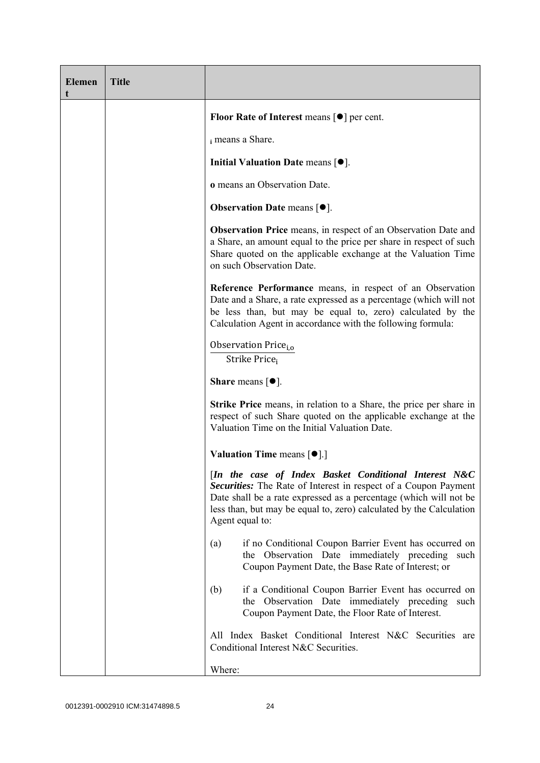| <b>Elemen</b> | <b>Title</b> |                                                                                                                                                                                                                                                                                         |
|---------------|--------------|-----------------------------------------------------------------------------------------------------------------------------------------------------------------------------------------------------------------------------------------------------------------------------------------|
|               |              | Floor Rate of Interest means $\lceil \bullet \rceil$ per cent.                                                                                                                                                                                                                          |
|               |              | i means a Share.                                                                                                                                                                                                                                                                        |
|               |              | Initial Valuation Date means $[•]$ .                                                                                                                                                                                                                                                    |
|               |              | o means an Observation Date.                                                                                                                                                                                                                                                            |
|               |              | <b>Observation Date means <math>[•]</math>.</b>                                                                                                                                                                                                                                         |
|               |              | <b>Observation Price</b> means, in respect of an Observation Date and<br>a Share, an amount equal to the price per share in respect of such<br>Share quoted on the applicable exchange at the Valuation Time<br>on such Observation Date.                                               |
|               |              | Reference Performance means, in respect of an Observation<br>Date and a Share, a rate expressed as a percentage (which will not<br>be less than, but may be equal to, zero) calculated by the<br>Calculation Agent in accordance with the following formula:                            |
|               |              | Observation Price <sub>i.o</sub><br>Strike Price <sub>i</sub>                                                                                                                                                                                                                           |
|               |              | <b>Share</b> means $\lceil \bullet \rceil$ .                                                                                                                                                                                                                                            |
|               |              | <b>Strike Price</b> means, in relation to a Share, the price per share in<br>respect of such Share quoted on the applicable exchange at the<br>Valuation Time on the Initial Valuation Date.                                                                                            |
|               |              | <b>Valuation Time means <math>\lceil \bullet \rceil</math>.</b>                                                                                                                                                                                                                         |
|               |              | [In the case of Index Basket Conditional Interest N&C<br>Securities: The Rate of Interest in respect of a Coupon Payment<br>Date shall be a rate expressed as a percentage (which will not be<br>less than, but may be equal to, zero) calculated by the Calculation<br>Agent equal to: |
|               |              | if no Conditional Coupon Barrier Event has occurred on<br>(a)<br>the Observation Date immediately preceding such<br>Coupon Payment Date, the Base Rate of Interest; or                                                                                                                  |
|               |              | if a Conditional Coupon Barrier Event has occurred on<br>(b)<br>the Observation Date immediately preceding<br>such<br>Coupon Payment Date, the Floor Rate of Interest.                                                                                                                  |
|               |              | All Index Basket Conditional Interest N&C Securities are<br>Conditional Interest N&C Securities.                                                                                                                                                                                        |
|               |              | Where:                                                                                                                                                                                                                                                                                  |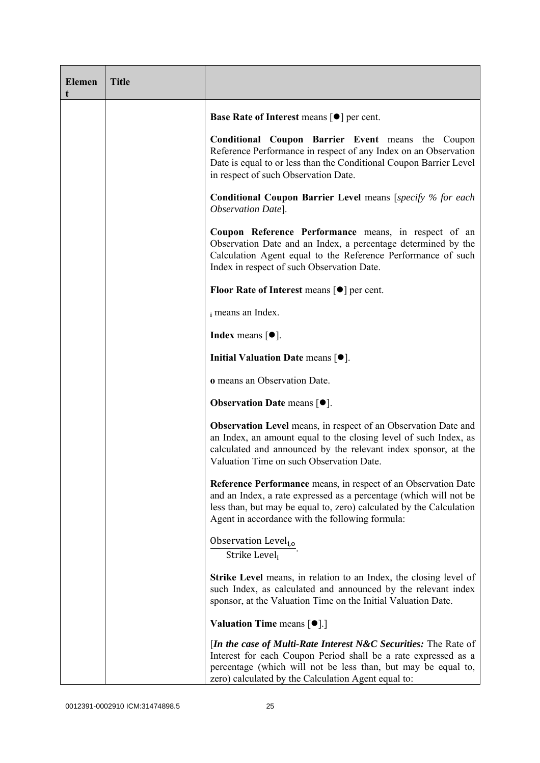| <b>Elemen</b><br>t | <b>Title</b> |                                                                                                                                                                                                                                                                     |  |  |  |
|--------------------|--------------|---------------------------------------------------------------------------------------------------------------------------------------------------------------------------------------------------------------------------------------------------------------------|--|--|--|
|                    |              | Base Rate of Interest means [ $\bullet$ ] per cent.                                                                                                                                                                                                                 |  |  |  |
|                    |              | <b>Conditional Coupon Barrier Event means the Coupon</b><br>Reference Performance in respect of any Index on an Observation<br>Date is equal to or less than the Conditional Coupon Barrier Level<br>in respect of such Observation Date.                           |  |  |  |
|                    |              | <b>Conditional Coupon Barrier Level means [specify % for each</b><br>Observation Date].                                                                                                                                                                             |  |  |  |
|                    |              | Coupon Reference Performance means, in respect of an<br>Observation Date and an Index, a percentage determined by the<br>Calculation Agent equal to the Reference Performance of such<br>Index in respect of such Observation Date.                                 |  |  |  |
|                    |              | <b>Floor Rate of Interest means <math>\lceil \bullet \rceil</math> per cent.</b>                                                                                                                                                                                    |  |  |  |
|                    |              | i means an Index.                                                                                                                                                                                                                                                   |  |  |  |
|                    |              | <b>Index</b> means $[•]$ .                                                                                                                                                                                                                                          |  |  |  |
|                    |              | Initial Valuation Date means $[•]$ .                                                                                                                                                                                                                                |  |  |  |
|                    |              | <b>o</b> means an Observation Date.                                                                                                                                                                                                                                 |  |  |  |
|                    |              | <b>Observation Date means <math>[•]</math>.</b>                                                                                                                                                                                                                     |  |  |  |
|                    |              | <b>Observation Level</b> means, in respect of an Observation Date and<br>an Index, an amount equal to the closing level of such Index, as<br>calculated and announced by the relevant index sponsor, at the<br>Valuation Time on such Observation Date.             |  |  |  |
|                    |              | Reference Performance means, in respect of an Observation Date<br>and an Index, a rate expressed as a percentage (which will not be<br>less than, but may be equal to, zero) calculated by the Calculation<br>Agent in accordance with the following formula:       |  |  |  |
|                    |              | Observation Level <sub>i,o</sub><br>Strike Level <sub>i</sub>                                                                                                                                                                                                       |  |  |  |
|                    |              | <b>Strike Level</b> means, in relation to an Index, the closing level of<br>such Index, as calculated and announced by the relevant index<br>sponsor, at the Valuation Time on the Initial Valuation Date.                                                          |  |  |  |
|                    |              | <b>Valuation Time means <math>[\bullet]</math>.</b> ]                                                                                                                                                                                                               |  |  |  |
|                    |              | <i>In the case of Multi-Rate Interest N&amp;C Securities: The Rate of</i><br>Interest for each Coupon Period shall be a rate expressed as a<br>percentage (which will not be less than, but may be equal to,<br>zero) calculated by the Calculation Agent equal to: |  |  |  |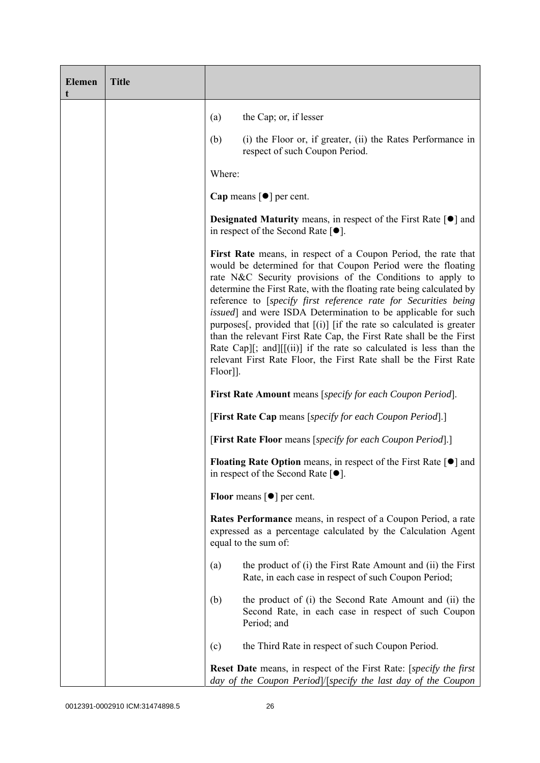| <b>Elemen</b><br>t | <b>Title</b> |                                                                                                                                                                                                                                                                                                                                                                                                                                                                                                                                                                                                                                                                                                                          |  |  |  |
|--------------------|--------------|--------------------------------------------------------------------------------------------------------------------------------------------------------------------------------------------------------------------------------------------------------------------------------------------------------------------------------------------------------------------------------------------------------------------------------------------------------------------------------------------------------------------------------------------------------------------------------------------------------------------------------------------------------------------------------------------------------------------------|--|--|--|
|                    |              | the Cap; or, if lesser<br>(a)                                                                                                                                                                                                                                                                                                                                                                                                                                                                                                                                                                                                                                                                                            |  |  |  |
|                    |              | (i) the Floor or, if greater, (ii) the Rates Performance in<br>(b)<br>respect of such Coupon Period.                                                                                                                                                                                                                                                                                                                                                                                                                                                                                                                                                                                                                     |  |  |  |
|                    |              | Where:                                                                                                                                                                                                                                                                                                                                                                                                                                                                                                                                                                                                                                                                                                                   |  |  |  |
|                    |              | Cap means $\lceil \bullet \rceil$ per cent.                                                                                                                                                                                                                                                                                                                                                                                                                                                                                                                                                                                                                                                                              |  |  |  |
|                    |              | <b>Designated Maturity</b> means, in respect of the First Rate $\lceil \bullet \rceil$ and<br>in respect of the Second Rate $[•]$ .                                                                                                                                                                                                                                                                                                                                                                                                                                                                                                                                                                                      |  |  |  |
|                    |              | First Rate means, in respect of a Coupon Period, the rate that<br>would be determined for that Coupon Period were the floating<br>rate N&C Security provisions of the Conditions to apply to<br>determine the First Rate, with the floating rate being calculated by<br>reference to [specify first reference rate for Securities being<br><i>issued</i> ] and were ISDA Determination to be applicable for such<br>purposes[, provided that $[(i)]$ [if the rate so calculated is greater<br>than the relevant First Rate Cap, the First Rate shall be the First<br>Rate Cap][; and][[(ii)] if the rate so calculated is less than the<br>relevant First Rate Floor, the First Rate shall be the First Rate<br>Floor]]. |  |  |  |
|                    |              | <b>First Rate Amount</b> means [specify for each Coupon Period].<br>[First Rate Cap means [specify for each Coupon Period].]<br>[First Rate Floor means [specify for each Coupon Period].]                                                                                                                                                                                                                                                                                                                                                                                                                                                                                                                               |  |  |  |
|                    |              |                                                                                                                                                                                                                                                                                                                                                                                                                                                                                                                                                                                                                                                                                                                          |  |  |  |
|                    |              |                                                                                                                                                                                                                                                                                                                                                                                                                                                                                                                                                                                                                                                                                                                          |  |  |  |
|                    |              | Floating Rate Option means, in respect of the First Rate [●] and<br>in respect of the Second Rate $[•]$ .                                                                                                                                                                                                                                                                                                                                                                                                                                                                                                                                                                                                                |  |  |  |
|                    |              | <b>Floor</b> means $\lceil \bullet \rceil$ per cent.                                                                                                                                                                                                                                                                                                                                                                                                                                                                                                                                                                                                                                                                     |  |  |  |
|                    |              | <b>Rates Performance</b> means, in respect of a Coupon Period, a rate<br>expressed as a percentage calculated by the Calculation Agent<br>equal to the sum of:                                                                                                                                                                                                                                                                                                                                                                                                                                                                                                                                                           |  |  |  |
|                    |              | the product of (i) the First Rate Amount and (ii) the First<br>(a)<br>Rate, in each case in respect of such Coupon Period;                                                                                                                                                                                                                                                                                                                                                                                                                                                                                                                                                                                               |  |  |  |
|                    |              | (b)<br>the product of (i) the Second Rate Amount and (ii) the<br>Second Rate, in each case in respect of such Coupon<br>Period; and                                                                                                                                                                                                                                                                                                                                                                                                                                                                                                                                                                                      |  |  |  |
|                    |              | the Third Rate in respect of such Coupon Period.<br>(c)                                                                                                                                                                                                                                                                                                                                                                                                                                                                                                                                                                                                                                                                  |  |  |  |
|                    |              | Reset Date means, in respect of the First Rate: [specify the first<br>day of the Coupon Period /[specify the last day of the Coupon                                                                                                                                                                                                                                                                                                                                                                                                                                                                                                                                                                                      |  |  |  |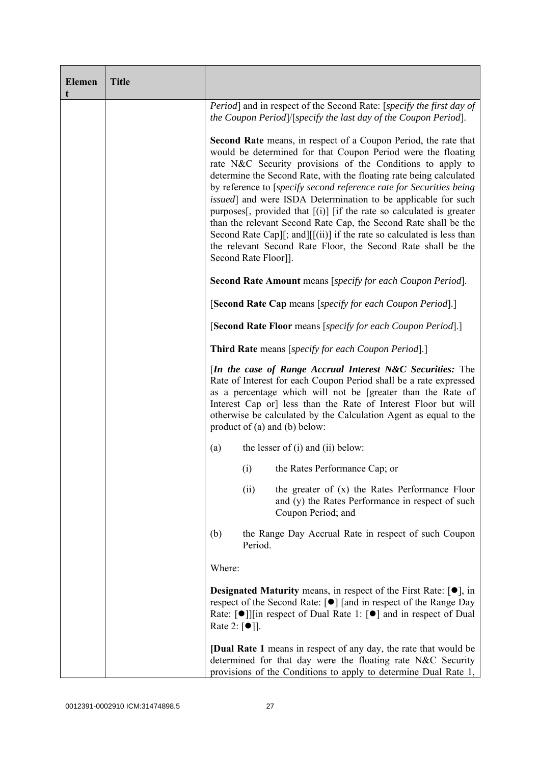| <b>Elemen</b><br>t | <b>Title</b> |                                                                   |         |                                                                                                                                                                                                                                                                                                                                                                                                                                                                                                                                                                                                                                                                                                                        |
|--------------------|--------------|-------------------------------------------------------------------|---------|------------------------------------------------------------------------------------------------------------------------------------------------------------------------------------------------------------------------------------------------------------------------------------------------------------------------------------------------------------------------------------------------------------------------------------------------------------------------------------------------------------------------------------------------------------------------------------------------------------------------------------------------------------------------------------------------------------------------|
|                    |              |                                                                   |         | <i>Period</i> ] and in respect of the Second Rate: [ <i>specify the first day of</i><br>the Coupon Period]/[specify the last day of the Coupon Period].                                                                                                                                                                                                                                                                                                                                                                                                                                                                                                                                                                |
|                    |              | Second Rate Floor]].                                              |         | <b>Second Rate</b> means, in respect of a Coupon Period, the rate that<br>would be determined for that Coupon Period were the floating<br>rate N&C Security provisions of the Conditions to apply to<br>determine the Second Rate, with the floating rate being calculated<br>by reference to [specify second reference rate for Securities being]<br>issued] and were ISDA Determination to be applicable for such<br>purposes <sup>[</sup> , provided that $[(i)]$ [if the rate so calculated is greater<br>than the relevant Second Rate Cap, the Second Rate shall be the<br>Second Rate Cap][; and][[(ii)] if the rate so calculated is less than<br>the relevant Second Rate Floor, the Second Rate shall be the |
|                    |              | <b>Second Rate Amount</b> means [specify for each Coupon Period]. |         |                                                                                                                                                                                                                                                                                                                                                                                                                                                                                                                                                                                                                                                                                                                        |
|                    |              | [Second Rate Cap means [specify for each Coupon Period].]         |         |                                                                                                                                                                                                                                                                                                                                                                                                                                                                                                                                                                                                                                                                                                                        |
|                    |              | [Second Rate Floor means [specify for each Coupon Period].]       |         |                                                                                                                                                                                                                                                                                                                                                                                                                                                                                                                                                                                                                                                                                                                        |
|                    |              | <b>Third Rate</b> means [specify for each Coupon Period].]        |         |                                                                                                                                                                                                                                                                                                                                                                                                                                                                                                                                                                                                                                                                                                                        |
|                    |              |                                                                   |         | [In the case of Range Accrual Interest N&C Securities: The<br>Rate of Interest for each Coupon Period shall be a rate expressed<br>as a percentage which will not be [greater than the Rate of<br>Interest Cap or] less than the Rate of Interest Floor but will<br>otherwise be calculated by the Calculation Agent as equal to the<br>product of $(a)$ and $(b)$ below:                                                                                                                                                                                                                                                                                                                                              |
|                    |              | (a)                                                               |         | the lesser of $(i)$ and $(ii)$ below:                                                                                                                                                                                                                                                                                                                                                                                                                                                                                                                                                                                                                                                                                  |
|                    |              |                                                                   | (i)     | the Rates Performance Cap; or                                                                                                                                                                                                                                                                                                                                                                                                                                                                                                                                                                                                                                                                                          |
|                    |              |                                                                   | (ii)    | the greater of $(x)$ the Rates Performance Floor<br>and (y) the Rates Performance in respect of such<br>Coupon Period; and                                                                                                                                                                                                                                                                                                                                                                                                                                                                                                                                                                                             |
|                    |              | (b)                                                               | Period. | the Range Day Accrual Rate in respect of such Coupon                                                                                                                                                                                                                                                                                                                                                                                                                                                                                                                                                                                                                                                                   |
|                    |              | Where:                                                            |         |                                                                                                                                                                                                                                                                                                                                                                                                                                                                                                                                                                                                                                                                                                                        |
|                    |              | Rate 2: $\lceil \bullet \rceil$ .                                 |         | <b>Designated Maturity</b> means, in respect of the First Rate: $[•]$ , in<br>respect of the Second Rate: [●] [and in respect of the Range Day<br>Rate: [●]][in respect of Dual Rate 1: [●] and in respect of Dual                                                                                                                                                                                                                                                                                                                                                                                                                                                                                                     |
|                    |              |                                                                   |         | <b>[Dual Rate 1</b> means in respect of any day, the rate that would be<br>determined for that day were the floating rate N&C Security<br>provisions of the Conditions to apply to determine Dual Rate 1,                                                                                                                                                                                                                                                                                                                                                                                                                                                                                                              |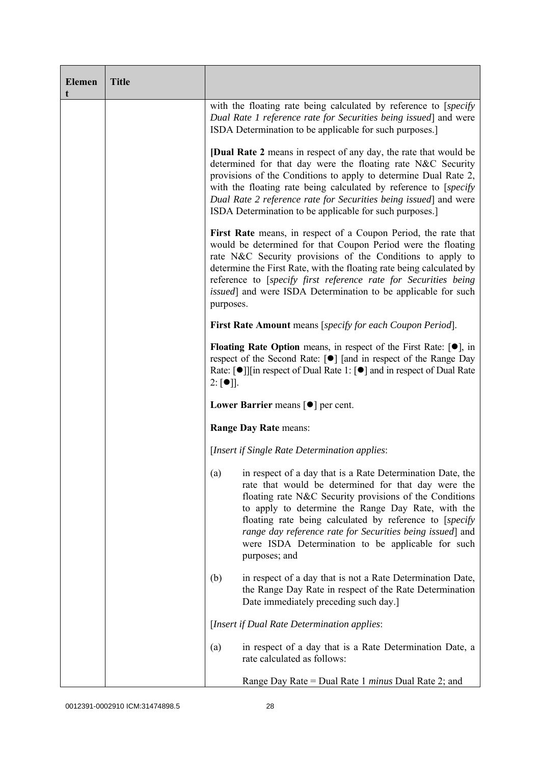| <b>Elemen</b><br>t | <b>Title</b> |                                                                                                                                                                                                                                                                                                                                                                                                                                       |  |  |  |
|--------------------|--------------|---------------------------------------------------------------------------------------------------------------------------------------------------------------------------------------------------------------------------------------------------------------------------------------------------------------------------------------------------------------------------------------------------------------------------------------|--|--|--|
|                    |              | with the floating rate being calculated by reference to [specify]<br>Dual Rate 1 reference rate for Securities being issued] and were<br>ISDA Determination to be applicable for such purposes.]                                                                                                                                                                                                                                      |  |  |  |
|                    |              | <b>[Dual Rate 2</b> means in respect of any day, the rate that would be<br>determined for that day were the floating rate N&C Security<br>provisions of the Conditions to apply to determine Dual Rate 2,<br>with the floating rate being calculated by reference to [specify]<br>Dual Rate 2 reference rate for Securities being issued and were<br>ISDA Determination to be applicable for such purposes.]                          |  |  |  |
|                    |              | First Rate means, in respect of a Coupon Period, the rate that<br>would be determined for that Coupon Period were the floating<br>rate N&C Security provisions of the Conditions to apply to<br>determine the First Rate, with the floating rate being calculated by<br>reference to [specify first reference rate for Securities being<br>issued] and were ISDA Determination to be applicable for such<br>purposes.                 |  |  |  |
|                    |              | <b>First Rate Amount</b> means [specify for each Coupon Period].                                                                                                                                                                                                                                                                                                                                                                      |  |  |  |
|                    |              | <b>Floating Rate Option</b> means, in respect of the First Rate: $[•]$ , in<br>respect of the Second Rate: [●] [and in respect of the Range Day<br>Rate: $\lceil \bullet \rceil$   in respect of Dual Rate 1: $\lceil \bullet \rceil$ and in respect of Dual Rate<br>$2: [\bullet]$ .                                                                                                                                                 |  |  |  |
|                    |              | Lower Barrier means $\lceil \bullet \rceil$ per cent.                                                                                                                                                                                                                                                                                                                                                                                 |  |  |  |
|                    |              | Range Day Rate means:                                                                                                                                                                                                                                                                                                                                                                                                                 |  |  |  |
|                    |              | [Insert if Single Rate Determination applies:                                                                                                                                                                                                                                                                                                                                                                                         |  |  |  |
|                    |              | (a) in respect of a day that is a Rate Determination Date, the<br>rate that would be determined for that day were the<br>floating rate N&C Security provisions of the Conditions<br>to apply to determine the Range Day Rate, with the<br>floating rate being calculated by reference to [specify]<br>range day reference rate for Securities being issued] and<br>were ISDA Determination to be applicable for such<br>purposes; and |  |  |  |
|                    |              | in respect of a day that is not a Rate Determination Date,<br>(b)<br>the Range Day Rate in respect of the Rate Determination<br>Date immediately preceding such day.]                                                                                                                                                                                                                                                                 |  |  |  |
|                    |              | [Insert if Dual Rate Determination applies:                                                                                                                                                                                                                                                                                                                                                                                           |  |  |  |
|                    |              | in respect of a day that is a Rate Determination Date, a<br>(a)<br>rate calculated as follows:                                                                                                                                                                                                                                                                                                                                        |  |  |  |
|                    |              | Range Day Rate = Dual Rate 1 <i>minus</i> Dual Rate 2; and                                                                                                                                                                                                                                                                                                                                                                            |  |  |  |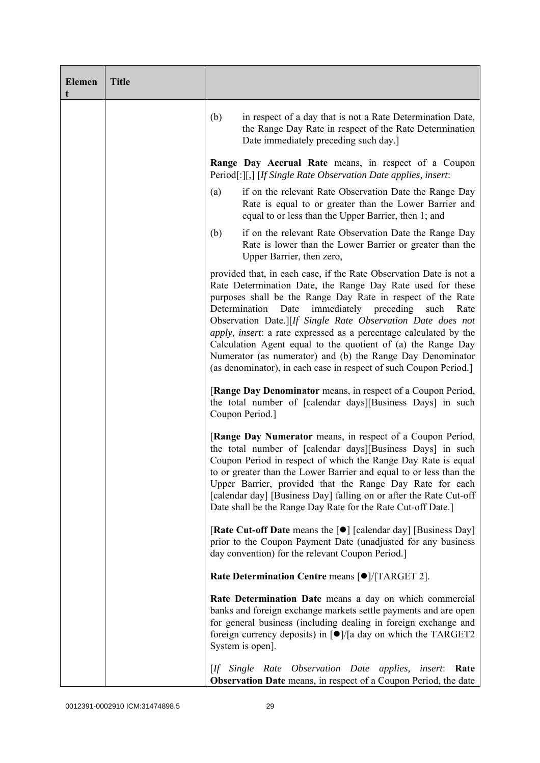| <b>Elemen</b> | <b>Title</b> |                                                                                                                                                                                                                                                                                                                                                                                                                                                                                                                                                                                                          |  |  |
|---------------|--------------|----------------------------------------------------------------------------------------------------------------------------------------------------------------------------------------------------------------------------------------------------------------------------------------------------------------------------------------------------------------------------------------------------------------------------------------------------------------------------------------------------------------------------------------------------------------------------------------------------------|--|--|
|               |              | (b)<br>in respect of a day that is not a Rate Determination Date,<br>the Range Day Rate in respect of the Rate Determination<br>Date immediately preceding such day.]                                                                                                                                                                                                                                                                                                                                                                                                                                    |  |  |
|               |              | Range Day Accrual Rate means, in respect of a Coupon<br>Period[:][,] [If Single Rate Observation Date applies, insert:                                                                                                                                                                                                                                                                                                                                                                                                                                                                                   |  |  |
|               |              | (a)<br>if on the relevant Rate Observation Date the Range Day<br>Rate is equal to or greater than the Lower Barrier and<br>equal to or less than the Upper Barrier, then 1; and                                                                                                                                                                                                                                                                                                                                                                                                                          |  |  |
|               |              | if on the relevant Rate Observation Date the Range Day<br>(b)<br>Rate is lower than the Lower Barrier or greater than the<br>Upper Barrier, then zero,                                                                                                                                                                                                                                                                                                                                                                                                                                                   |  |  |
|               |              | provided that, in each case, if the Rate Observation Date is not a<br>Rate Determination Date, the Range Day Rate used for these<br>purposes shall be the Range Day Rate in respect of the Rate<br>immediately preceding<br>Determination<br>Date<br>such<br>Rate<br>Observation Date.][If Single Rate Observation Date does not<br>apply, insert: a rate expressed as a percentage calculated by the<br>Calculation Agent equal to the quotient of (a) the Range Day<br>Numerator (as numerator) and (b) the Range Day Denominator<br>(as denominator), in each case in respect of such Coupon Period.] |  |  |
|               |              | [Range Day Denominator means, in respect of a Coupon Period,<br>the total number of [calendar days][Business Days] in such<br>Coupon Period.]                                                                                                                                                                                                                                                                                                                                                                                                                                                            |  |  |
|               |              | [Range Day Numerator means, in respect of a Coupon Period,<br>the total number of [calendar days][Business Days] in such<br>Coupon Period in respect of which the Range Day Rate is equal<br>to or greater than the Lower Barrier and equal to or less than the<br>Upper Barrier, provided that the Range Day Rate for each<br>[calendar day] [Business Day] falling on or after the Rate Cut-off<br>Date shall be the Range Day Rate for the Rate Cut-off Date.]                                                                                                                                        |  |  |
|               |              | [Rate Cut-off Date means the [●] [calendar day] [Business Day]<br>prior to the Coupon Payment Date (unadjusted for any business<br>day convention) for the relevant Coupon Period.]                                                                                                                                                                                                                                                                                                                                                                                                                      |  |  |
|               |              | Rate Determination Centre means [ $\bullet$ ]/[TARGET 2].                                                                                                                                                                                                                                                                                                                                                                                                                                                                                                                                                |  |  |
|               |              | Rate Determination Date means a day on which commercial<br>banks and foreign exchange markets settle payments and are open<br>for general business (including dealing in foreign exchange and<br>foreign currency deposits) in $\lceil \bullet \rceil$ /[a day on which the TARGET2<br>System is open].                                                                                                                                                                                                                                                                                                  |  |  |
|               |              | [If Single Rate Observation Date applies,<br><i>insert</i> : Rate<br><b>Observation Date</b> means, in respect of a Coupon Period, the date                                                                                                                                                                                                                                                                                                                                                                                                                                                              |  |  |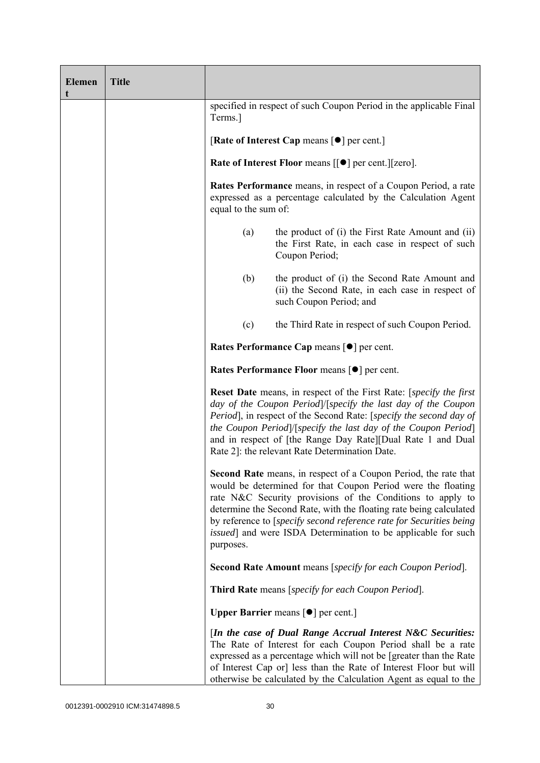| <b>Elemen</b><br>t | <b>Title</b> |                                                                                                                                                                                                                                                                                                                                                                                                                                                                                                                                                                                                                                                                                                                                                                                                                                                                                            |                                                                                                                              |  |  |  |  |
|--------------------|--------------|--------------------------------------------------------------------------------------------------------------------------------------------------------------------------------------------------------------------------------------------------------------------------------------------------------------------------------------------------------------------------------------------------------------------------------------------------------------------------------------------------------------------------------------------------------------------------------------------------------------------------------------------------------------------------------------------------------------------------------------------------------------------------------------------------------------------------------------------------------------------------------------------|------------------------------------------------------------------------------------------------------------------------------|--|--|--|--|
|                    |              | specified in respect of such Coupon Period in the applicable Final<br>Terms.]                                                                                                                                                                                                                                                                                                                                                                                                                                                                                                                                                                                                                                                                                                                                                                                                              |                                                                                                                              |  |  |  |  |
|                    |              | [Rate of Interest Cap means $\lceil \bullet \rceil$ per cent.]                                                                                                                                                                                                                                                                                                                                                                                                                                                                                                                                                                                                                                                                                                                                                                                                                             |                                                                                                                              |  |  |  |  |
|                    |              |                                                                                                                                                                                                                                                                                                                                                                                                                                                                                                                                                                                                                                                                                                                                                                                                                                                                                            | Rate of Interest Floor means [[ $\bullet$ ] per cent.][zero].                                                                |  |  |  |  |
|                    |              | <b>Rates Performance</b> means, in respect of a Coupon Period, a rate<br>expressed as a percentage calculated by the Calculation Agent<br>equal to the sum of:                                                                                                                                                                                                                                                                                                                                                                                                                                                                                                                                                                                                                                                                                                                             |                                                                                                                              |  |  |  |  |
|                    |              | (a)                                                                                                                                                                                                                                                                                                                                                                                                                                                                                                                                                                                                                                                                                                                                                                                                                                                                                        | the product of (i) the First Rate Amount and (ii)<br>the First Rate, in each case in respect of such<br>Coupon Period;       |  |  |  |  |
|                    |              | (b)                                                                                                                                                                                                                                                                                                                                                                                                                                                                                                                                                                                                                                                                                                                                                                                                                                                                                        | the product of (i) the Second Rate Amount and<br>(ii) the Second Rate, in each case in respect of<br>such Coupon Period; and |  |  |  |  |
|                    |              | (c)<br>the Third Rate in respect of such Coupon Period.                                                                                                                                                                                                                                                                                                                                                                                                                                                                                                                                                                                                                                                                                                                                                                                                                                    |                                                                                                                              |  |  |  |  |
|                    |              | Rates Performance Cap means [ $\bullet$ ] per cent.                                                                                                                                                                                                                                                                                                                                                                                                                                                                                                                                                                                                                                                                                                                                                                                                                                        |                                                                                                                              |  |  |  |  |
|                    |              | Rates Performance Floor means [ $\bullet$ ] per cent.<br>Reset Date means, in respect of the First Rate: [specify the first<br>day of the Coupon Period]/[specify the last day of the Coupon<br>Period], in respect of the Second Rate: [specify the second day of<br>the Coupon Period /[specify the last day of the Coupon Period]<br>and in respect of [the Range Day Rate][Dual Rate 1 and Dual<br>Rate 2]: the relevant Rate Determination Date.<br>Second Rate means, in respect of a Coupon Period, the rate that<br>would be determined for that Coupon Period were the floating<br>rate N&C Security provisions of the Conditions to apply to<br>determine the Second Rate, with the floating rate being calculated<br>by reference to [specify second reference rate for Securities being]<br><i>issued</i> ] and were ISDA Determination to be applicable for such<br>purposes. |                                                                                                                              |  |  |  |  |
|                    |              |                                                                                                                                                                                                                                                                                                                                                                                                                                                                                                                                                                                                                                                                                                                                                                                                                                                                                            |                                                                                                                              |  |  |  |  |
|                    |              |                                                                                                                                                                                                                                                                                                                                                                                                                                                                                                                                                                                                                                                                                                                                                                                                                                                                                            |                                                                                                                              |  |  |  |  |
|                    |              |                                                                                                                                                                                                                                                                                                                                                                                                                                                                                                                                                                                                                                                                                                                                                                                                                                                                                            | <b>Second Rate Amount</b> means [specify for each Coupon Period].                                                            |  |  |  |  |
|                    |              |                                                                                                                                                                                                                                                                                                                                                                                                                                                                                                                                                                                                                                                                                                                                                                                                                                                                                            | <b>Third Rate</b> means [specify for each Coupon Period].                                                                    |  |  |  |  |
|                    |              |                                                                                                                                                                                                                                                                                                                                                                                                                                                                                                                                                                                                                                                                                                                                                                                                                                                                                            | <b>Upper Barrier</b> means $\lceil \bullet \rceil$ per cent.                                                                 |  |  |  |  |
|                    |              | [In the case of Dual Range Accrual Interest N&C Securities:<br>The Rate of Interest for each Coupon Period shall be a rate<br>expressed as a percentage which will not be [greater than the Rate<br>of Interest Cap or] less than the Rate of Interest Floor but will<br>otherwise be calculated by the Calculation Agent as equal to the                                                                                                                                                                                                                                                                                                                                                                                                                                                                                                                                                  |                                                                                                                              |  |  |  |  |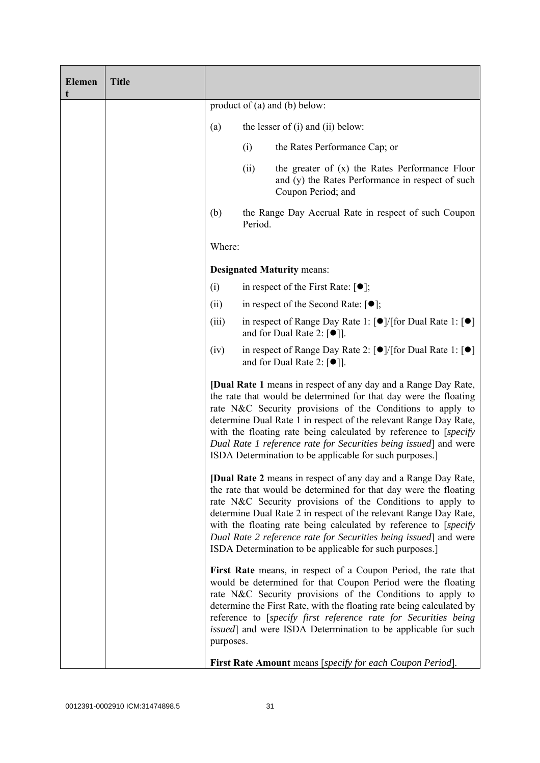| <b>Elemen</b><br>t | <b>Title</b> |                                                                                                                                                                                                                                                                                                                                                                                                                                                                                |                               |                                                                                                                                                                                                                                                                                                                                                                                                                  |  |  |
|--------------------|--------------|--------------------------------------------------------------------------------------------------------------------------------------------------------------------------------------------------------------------------------------------------------------------------------------------------------------------------------------------------------------------------------------------------------------------------------------------------------------------------------|-------------------------------|------------------------------------------------------------------------------------------------------------------------------------------------------------------------------------------------------------------------------------------------------------------------------------------------------------------------------------------------------------------------------------------------------------------|--|--|
|                    |              |                                                                                                                                                                                                                                                                                                                                                                                                                                                                                | product of (a) and (b) below: |                                                                                                                                                                                                                                                                                                                                                                                                                  |  |  |
|                    |              | (a)                                                                                                                                                                                                                                                                                                                                                                                                                                                                            |                               | the lesser of $(i)$ and $(ii)$ below:                                                                                                                                                                                                                                                                                                                                                                            |  |  |
|                    |              |                                                                                                                                                                                                                                                                                                                                                                                                                                                                                | (i)                           | the Rates Performance Cap; or                                                                                                                                                                                                                                                                                                                                                                                    |  |  |
|                    |              |                                                                                                                                                                                                                                                                                                                                                                                                                                                                                | (ii)                          | the greater of (x) the Rates Performance Floor<br>and (y) the Rates Performance in respect of such<br>Coupon Period; and                                                                                                                                                                                                                                                                                         |  |  |
|                    |              | (b)                                                                                                                                                                                                                                                                                                                                                                                                                                                                            | Period.                       | the Range Day Accrual Rate in respect of such Coupon                                                                                                                                                                                                                                                                                                                                                             |  |  |
|                    |              | Where:                                                                                                                                                                                                                                                                                                                                                                                                                                                                         |                               |                                                                                                                                                                                                                                                                                                                                                                                                                  |  |  |
|                    |              |                                                                                                                                                                                                                                                                                                                                                                                                                                                                                |                               | <b>Designated Maturity means:</b>                                                                                                                                                                                                                                                                                                                                                                                |  |  |
|                    |              | (i)                                                                                                                                                                                                                                                                                                                                                                                                                                                                            |                               | in respect of the First Rate: $[•]$ ;                                                                                                                                                                                                                                                                                                                                                                            |  |  |
|                    |              | (ii)                                                                                                                                                                                                                                                                                                                                                                                                                                                                           |                               | in respect of the Second Rate: $[•]$ ;                                                                                                                                                                                                                                                                                                                                                                           |  |  |
|                    |              | (iii)                                                                                                                                                                                                                                                                                                                                                                                                                                                                          |                               | in respect of Range Day Rate 1: $\lceil \bullet \rceil / \lceil \text{for Dual Rate 1} \rceil \rceil$<br>and for Dual Rate 2: $[•]$ .                                                                                                                                                                                                                                                                            |  |  |
|                    |              | (iv)                                                                                                                                                                                                                                                                                                                                                                                                                                                                           |                               | in respect of Range Day Rate 2: $\lceil \bullet \rceil / \lceil \text{for Dual Rate 1} \rceil \rceil$<br>and for Dual Rate 2: $[•]$ ].                                                                                                                                                                                                                                                                           |  |  |
|                    |              | <b>[Dual Rate 1</b> means in respect of any day and a Range Day Rate,<br>the rate that would be determined for that day were the floating<br>rate N&C Security provisions of the Conditions to apply to<br>determine Dual Rate 1 in respect of the relevant Range Day Rate,<br>with the floating rate being calculated by reference to [specify<br>Dual Rate 1 reference rate for Securities being issued and were<br>ISDA Determination to be applicable for such purposes.]  |                               |                                                                                                                                                                                                                                                                                                                                                                                                                  |  |  |
|                    |              | <b>[Dual Rate 2</b> means in respect of any day and a Range Day Rate,<br>the rate that would be determined for that day were the floating<br>rate N&C Security provisions of the Conditions to apply to<br>determine Dual Rate 2 in respect of the relevant Range Day Rate,<br>with the floating rate being calculated by reference to [specify]<br>Dual Rate 2 reference rate for Securities being issued and were<br>ISDA Determination to be applicable for such purposes.] |                               |                                                                                                                                                                                                                                                                                                                                                                                                                  |  |  |
|                    |              | purposes.                                                                                                                                                                                                                                                                                                                                                                                                                                                                      |                               | First Rate means, in respect of a Coupon Period, the rate that<br>would be determined for that Coupon Period were the floating<br>rate N&C Security provisions of the Conditions to apply to<br>determine the First Rate, with the floating rate being calculated by<br>reference to [specify first reference rate for Securities being<br><i>issued</i> ] and were ISDA Determination to be applicable for such |  |  |
|                    |              |                                                                                                                                                                                                                                                                                                                                                                                                                                                                                |                               | <b>First Rate Amount</b> means [specify for each Coupon Period].                                                                                                                                                                                                                                                                                                                                                 |  |  |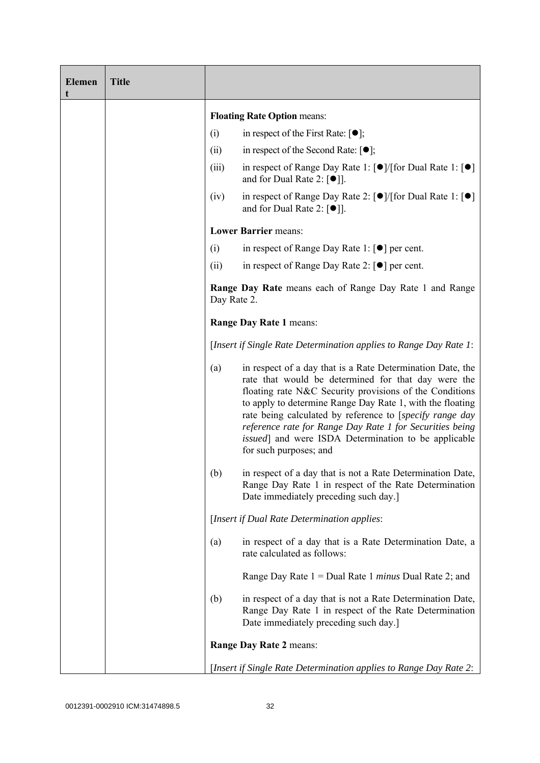| <b>Elemen</b><br>t | <b>Title</b> |                                                                                                                                                                               |                                                                                                                                                                                                                                                                                                                                                                                                                                                     |
|--------------------|--------------|-------------------------------------------------------------------------------------------------------------------------------------------------------------------------------|-----------------------------------------------------------------------------------------------------------------------------------------------------------------------------------------------------------------------------------------------------------------------------------------------------------------------------------------------------------------------------------------------------------------------------------------------------|
|                    |              |                                                                                                                                                                               | <b>Floating Rate Option means:</b>                                                                                                                                                                                                                                                                                                                                                                                                                  |
|                    |              | (i)                                                                                                                                                                           | in respect of the First Rate: $[•]$ ;                                                                                                                                                                                                                                                                                                                                                                                                               |
|                    |              | (ii)                                                                                                                                                                          | in respect of the Second Rate: $[•]$ ;                                                                                                                                                                                                                                                                                                                                                                                                              |
|                    |              | (iii)                                                                                                                                                                         | in respect of Range Day Rate 1: $\lceil \bullet \rceil / \lceil \text{for Dual Rate 1} \rceil \rceil$<br>and for Dual Rate 2: $\lceil \bullet \rceil$ .                                                                                                                                                                                                                                                                                             |
|                    |              | (iv)                                                                                                                                                                          | in respect of Range Day Rate 2: $\lceil \bullet \rceil / \lceil \text{for Dual Rate 1} \rceil \rceil$<br>and for Dual Rate 2: $[\bullet]$ ].                                                                                                                                                                                                                                                                                                        |
|                    |              |                                                                                                                                                                               | <b>Lower Barrier means:</b>                                                                                                                                                                                                                                                                                                                                                                                                                         |
|                    |              | (i)                                                                                                                                                                           | in respect of Range Day Rate 1: $\lceil \bullet \rceil$ per cent.                                                                                                                                                                                                                                                                                                                                                                                   |
|                    |              | (ii)                                                                                                                                                                          | in respect of Range Day Rate 2: $\lceil \bullet \rceil$ per cent.                                                                                                                                                                                                                                                                                                                                                                                   |
|                    |              | <b>Range Day Rate</b> means each of Range Day Rate 1 and Range<br>Day Rate 2.<br>Range Day Rate 1 means:<br>[Insert if Single Rate Determination applies to Range Day Rate 1: |                                                                                                                                                                                                                                                                                                                                                                                                                                                     |
|                    |              |                                                                                                                                                                               |                                                                                                                                                                                                                                                                                                                                                                                                                                                     |
|                    |              |                                                                                                                                                                               |                                                                                                                                                                                                                                                                                                                                                                                                                                                     |
|                    |              | (a)                                                                                                                                                                           | in respect of a day that is a Rate Determination Date, the<br>rate that would be determined for that day were the<br>floating rate N&C Security provisions of the Conditions<br>to apply to determine Range Day Rate 1, with the floating<br>rate being calculated by reference to [specify range day<br>reference rate for Range Day Rate 1 for Securities being<br>issued] and were ISDA Determination to be applicable<br>for such purposes; and |
|                    |              | (b)                                                                                                                                                                           | in respect of a day that is not a Rate Determination Date,<br>Range Day Rate 1 in respect of the Rate Determination<br>Date immediately preceding such day.]                                                                                                                                                                                                                                                                                        |
|                    |              |                                                                                                                                                                               | [Insert if Dual Rate Determination applies:                                                                                                                                                                                                                                                                                                                                                                                                         |
|                    |              | (a)                                                                                                                                                                           | in respect of a day that is a Rate Determination Date, a<br>rate calculated as follows:                                                                                                                                                                                                                                                                                                                                                             |
|                    |              |                                                                                                                                                                               | Range Day Rate 1 = Dual Rate 1 minus Dual Rate 2; and                                                                                                                                                                                                                                                                                                                                                                                               |
|                    |              | (b)                                                                                                                                                                           | in respect of a day that is not a Rate Determination Date,<br>Range Day Rate 1 in respect of the Rate Determination<br>Date immediately preceding such day.]                                                                                                                                                                                                                                                                                        |
|                    |              |                                                                                                                                                                               | Range Day Rate 2 means:                                                                                                                                                                                                                                                                                                                                                                                                                             |
|                    |              |                                                                                                                                                                               | [Insert if Single Rate Determination applies to Range Day Rate 2:                                                                                                                                                                                                                                                                                                                                                                                   |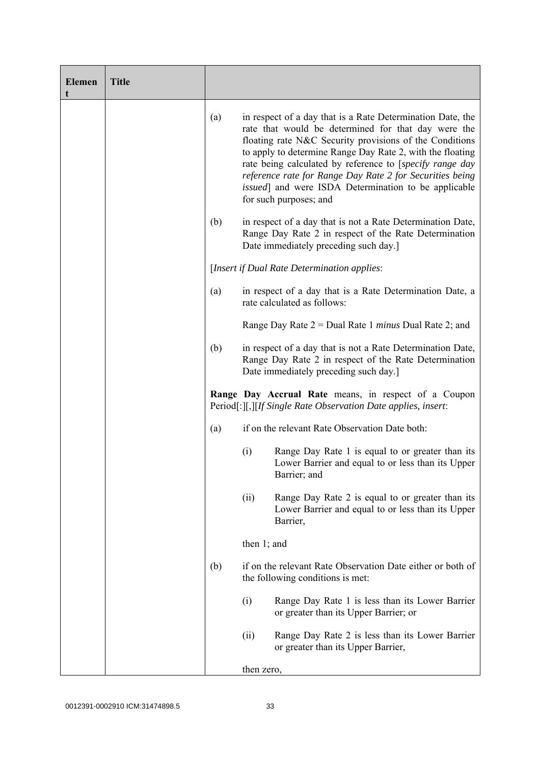| <b>Elemen</b><br>t | <b>Title</b> |                                                                                                                       |                                                                                                                                                              |                                                                                                                                                                                                                                                                                                                                                                                                                                                             |
|--------------------|--------------|-----------------------------------------------------------------------------------------------------------------------|--------------------------------------------------------------------------------------------------------------------------------------------------------------|-------------------------------------------------------------------------------------------------------------------------------------------------------------------------------------------------------------------------------------------------------------------------------------------------------------------------------------------------------------------------------------------------------------------------------------------------------------|
|                    |              | (a)                                                                                                                   |                                                                                                                                                              | in respect of a day that is a Rate Determination Date, the<br>rate that would be determined for that day were the<br>floating rate N&C Security provisions of the Conditions<br>to apply to determine Range Day Rate 2, with the floating<br>rate being calculated by reference to [specify range day<br>reference rate for Range Day Rate 2 for Securities being<br><i>issued</i> ] and were ISDA Determination to be applicable<br>for such purposes; and |
|                    |              | (b)                                                                                                                   |                                                                                                                                                              | in respect of a day that is not a Rate Determination Date,<br>Range Day Rate 2 in respect of the Rate Determination<br>Date immediately preceding such day.]                                                                                                                                                                                                                                                                                                |
|                    |              |                                                                                                                       |                                                                                                                                                              | [Insert if Dual Rate Determination applies:                                                                                                                                                                                                                                                                                                                                                                                                                 |
|                    |              | (a)<br>rate calculated as follows:                                                                                    |                                                                                                                                                              | in respect of a day that is a Rate Determination Date, a                                                                                                                                                                                                                                                                                                                                                                                                    |
|                    |              |                                                                                                                       |                                                                                                                                                              | Range Day Rate $2 =$ Dual Rate 1 <i>minus</i> Dual Rate 2; and                                                                                                                                                                                                                                                                                                                                                                                              |
|                    |              | (b)                                                                                                                   | in respect of a day that is not a Rate Determination Date,<br>Range Day Rate 2 in respect of the Rate Determination<br>Date immediately preceding such day.] |                                                                                                                                                                                                                                                                                                                                                                                                                                                             |
|                    |              | Range Day Accrual Rate means, in respect of a Coupon<br>Period[:][,][If Single Rate Observation Date applies, insert: |                                                                                                                                                              |                                                                                                                                                                                                                                                                                                                                                                                                                                                             |
|                    |              | (a)                                                                                                                   |                                                                                                                                                              | if on the relevant Rate Observation Date both:                                                                                                                                                                                                                                                                                                                                                                                                              |
|                    |              |                                                                                                                       | (i)                                                                                                                                                          | Range Day Rate 1 is equal to or greater than its<br>Lower Barrier and equal to or less than its Upper<br>Barrier; and                                                                                                                                                                                                                                                                                                                                       |
|                    |              |                                                                                                                       | (ii)                                                                                                                                                         | Range Day Rate 2 is equal to or greater than its<br>Lower Barrier and equal to or less than its Upper<br>Barrier,                                                                                                                                                                                                                                                                                                                                           |
|                    |              |                                                                                                                       | then $1$ ; and                                                                                                                                               |                                                                                                                                                                                                                                                                                                                                                                                                                                                             |
|                    |              | (b)                                                                                                                   |                                                                                                                                                              | if on the relevant Rate Observation Date either or both of<br>the following conditions is met:                                                                                                                                                                                                                                                                                                                                                              |
|                    |              |                                                                                                                       | (i)                                                                                                                                                          | Range Day Rate 1 is less than its Lower Barrier<br>or greater than its Upper Barrier; or                                                                                                                                                                                                                                                                                                                                                                    |
|                    |              |                                                                                                                       | (ii)                                                                                                                                                         | Range Day Rate 2 is less than its Lower Barrier<br>or greater than its Upper Barrier,                                                                                                                                                                                                                                                                                                                                                                       |
|                    |              |                                                                                                                       | then zero,                                                                                                                                                   |                                                                                                                                                                                                                                                                                                                                                                                                                                                             |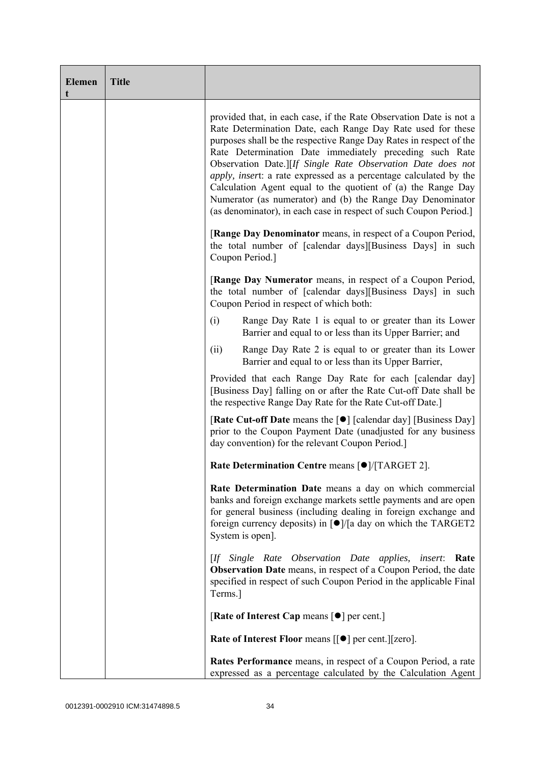| <b>Elemen</b><br>t | <b>Title</b> |                                                                                                                                                                                                                                                                                                                                                                                                                                                                                                                                                                                                           |
|--------------------|--------------|-----------------------------------------------------------------------------------------------------------------------------------------------------------------------------------------------------------------------------------------------------------------------------------------------------------------------------------------------------------------------------------------------------------------------------------------------------------------------------------------------------------------------------------------------------------------------------------------------------------|
|                    |              | provided that, in each case, if the Rate Observation Date is not a<br>Rate Determination Date, each Range Day Rate used for these<br>purposes shall be the respective Range Day Rates in respect of the<br>Rate Determination Date immediately preceding such Rate<br>Observation Date.][If Single Rate Observation Date does not<br>apply, insert: a rate expressed as a percentage calculated by the<br>Calculation Agent equal to the quotient of (a) the Range Day<br>Numerator (as numerator) and (b) the Range Day Denominator<br>(as denominator), in each case in respect of such Coupon Period.] |
|                    |              | [Range Day Denominator means, in respect of a Coupon Period,<br>the total number of [calendar days][Business Days] in such<br>Coupon Period.]                                                                                                                                                                                                                                                                                                                                                                                                                                                             |
|                    |              | [Range Day Numerator means, in respect of a Coupon Period,<br>the total number of [calendar days][Business Days] in such<br>Coupon Period in respect of which both:                                                                                                                                                                                                                                                                                                                                                                                                                                       |
|                    |              | (i)<br>Range Day Rate 1 is equal to or greater than its Lower<br>Barrier and equal to or less than its Upper Barrier; and                                                                                                                                                                                                                                                                                                                                                                                                                                                                                 |
|                    |              | (ii)<br>Range Day Rate 2 is equal to or greater than its Lower<br>Barrier and equal to or less than its Upper Barrier,                                                                                                                                                                                                                                                                                                                                                                                                                                                                                    |
|                    |              | Provided that each Range Day Rate for each [calendar day]<br>[Business Day] falling on or after the Rate Cut-off Date shall be<br>the respective Range Day Rate for the Rate Cut-off Date.]                                                                                                                                                                                                                                                                                                                                                                                                               |
|                    |              | <b>[Rate Cut-off Date</b> means the [ $\bullet$ ] [calendar day] [Business Day]<br>prior to the Coupon Payment Date (unadjusted for any business<br>day convention) for the relevant Coupon Period.]                                                                                                                                                                                                                                                                                                                                                                                                      |
|                    |              | Rate Determination Centre means [ $\bullet$ ]/[TARGET 2].                                                                                                                                                                                                                                                                                                                                                                                                                                                                                                                                                 |
|                    |              | Rate Determination Date means a day on which commercial<br>banks and foreign exchange markets settle payments and are open<br>for general business (including dealing in foreign exchange and<br>foreign currency deposits) in $\lceil \bullet \rceil / \lceil a \rceil$ day on which the TARGET2<br>System is open].                                                                                                                                                                                                                                                                                     |
|                    |              | [If Single Rate Observation Date applies,<br><i>insert</i> : Rate<br><b>Observation Date</b> means, in respect of a Coupon Period, the date<br>specified in respect of such Coupon Period in the applicable Final<br>Terms.]                                                                                                                                                                                                                                                                                                                                                                              |
|                    |              | [Rate of Interest Cap means $\lceil \bullet \rceil$ per cent.]                                                                                                                                                                                                                                                                                                                                                                                                                                                                                                                                            |
|                    |              | Rate of Interest Floor means [[ $\bullet$ ] per cent.][zero].                                                                                                                                                                                                                                                                                                                                                                                                                                                                                                                                             |
|                    |              | <b>Rates Performance</b> means, in respect of a Coupon Period, a rate<br>expressed as a percentage calculated by the Calculation Agent                                                                                                                                                                                                                                                                                                                                                                                                                                                                    |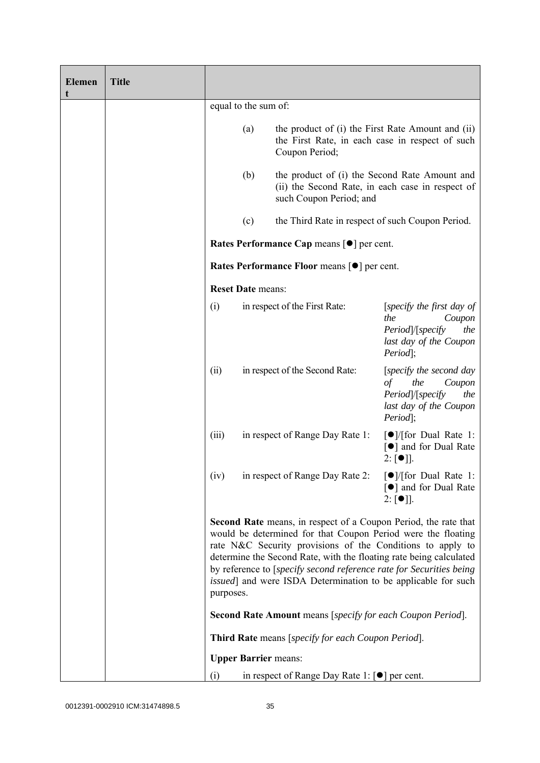| Elemen<br>t | <b>Title</b> |           |                                                     |                                                                                                                                                                                                                                                                                                                                                                                                                     |                                                                                                                          |
|-------------|--------------|-----------|-----------------------------------------------------|---------------------------------------------------------------------------------------------------------------------------------------------------------------------------------------------------------------------------------------------------------------------------------------------------------------------------------------------------------------------------------------------------------------------|--------------------------------------------------------------------------------------------------------------------------|
|             |              |           | equal to the sum of:                                |                                                                                                                                                                                                                                                                                                                                                                                                                     |                                                                                                                          |
|             |              |           | (a)                                                 | the product of (i) the First Rate Amount and (ii)<br>the First Rate, in each case in respect of such<br>Coupon Period;                                                                                                                                                                                                                                                                                              |                                                                                                                          |
|             |              |           | (b)                                                 | the product of (i) the Second Rate Amount and<br>(ii) the Second Rate, in each case in respect of<br>such Coupon Period; and                                                                                                                                                                                                                                                                                        |                                                                                                                          |
|             |              |           | (c)                                                 | the Third Rate in respect of such Coupon Period.                                                                                                                                                                                                                                                                                                                                                                    |                                                                                                                          |
|             |              |           | Rates Performance Cap means [ $\bullet$ ] per cent. |                                                                                                                                                                                                                                                                                                                                                                                                                     |                                                                                                                          |
|             |              |           |                                                     | Rates Performance Floor means [ $\bullet$ ] per cent.                                                                                                                                                                                                                                                                                                                                                               |                                                                                                                          |
|             |              |           | <b>Reset Date means:</b>                            |                                                                                                                                                                                                                                                                                                                                                                                                                     |                                                                                                                          |
|             |              | (i)       |                                                     | in respect of the First Rate:                                                                                                                                                                                                                                                                                                                                                                                       | [specify the first day of<br>the<br>Coupon<br>Period /[specify<br>the<br>last day of the Coupon<br>Period];              |
|             |              | (ii)      |                                                     | in respect of the Second Rate:                                                                                                                                                                                                                                                                                                                                                                                      | [specify the second day]<br>$\sigma f$<br>the<br>Coupon<br>Period /[specify<br>the<br>last day of the Coupon<br>Period]; |
|             |              | (iii)     |                                                     | in respect of Range Day Rate 1:                                                                                                                                                                                                                                                                                                                                                                                     | $\lceil \bullet \rceil$ / [for Dual Rate 1:<br>[●] and for Dual Rate<br>$2: [\bullet]$ ].                                |
|             |              | (iv)      |                                                     | in respect of Range Day Rate 2: $\lceil \bullet \rceil / \lceil \text{for Dual Rate 1} \rceil$                                                                                                                                                                                                                                                                                                                      | [●] and for Dual Rate<br>$2: [\bullet]$ ].                                                                               |
|             |              | purposes. |                                                     | Second Rate means, in respect of a Coupon Period, the rate that<br>would be determined for that Coupon Period were the floating<br>rate N&C Security provisions of the Conditions to apply to<br>determine the Second Rate, with the floating rate being calculated<br>by reference to [specify second reference rate for Securities being<br><i>issued</i> ] and were ISDA Determination to be applicable for such |                                                                                                                          |
|             |              |           |                                                     | <b>Second Rate Amount</b> means [specify for each Coupon Period].                                                                                                                                                                                                                                                                                                                                                   |                                                                                                                          |
|             |              |           |                                                     | Third Rate means [specify for each Coupon Period].                                                                                                                                                                                                                                                                                                                                                                  |                                                                                                                          |
|             |              |           |                                                     | <b>Upper Barrier means:</b>                                                                                                                                                                                                                                                                                                                                                                                         |                                                                                                                          |
|             |              | (i)       |                                                     | in respect of Range Day Rate 1: $\lceil \bullet \rceil$ per cent.                                                                                                                                                                                                                                                                                                                                                   |                                                                                                                          |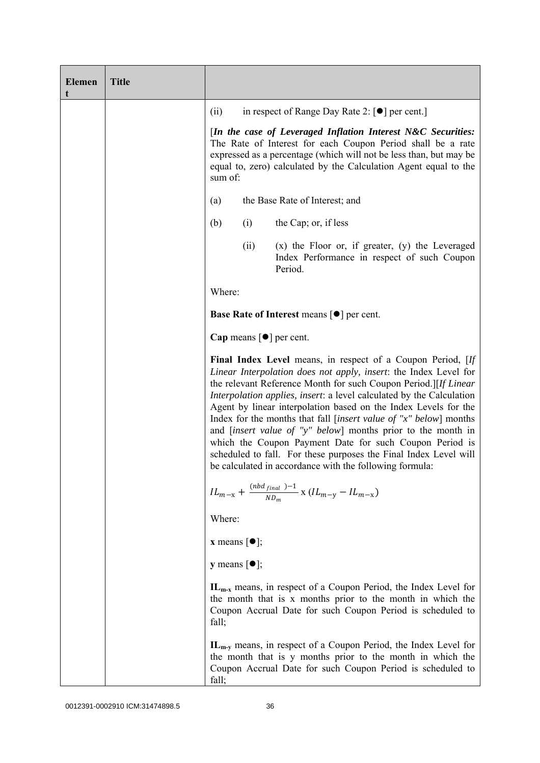| <b>Elemen</b><br>t | <b>Title</b> |                                                                                                                                                                                                                                                                                                                                                                                                                                                                                                                                                                                                                                                                                                |      |                                                                                                                                                                                                                                                                       |  |
|--------------------|--------------|------------------------------------------------------------------------------------------------------------------------------------------------------------------------------------------------------------------------------------------------------------------------------------------------------------------------------------------------------------------------------------------------------------------------------------------------------------------------------------------------------------------------------------------------------------------------------------------------------------------------------------------------------------------------------------------------|------|-----------------------------------------------------------------------------------------------------------------------------------------------------------------------------------------------------------------------------------------------------------------------|--|
|                    |              | (ii)                                                                                                                                                                                                                                                                                                                                                                                                                                                                                                                                                                                                                                                                                           |      | in respect of Range Day Rate 2: $\lceil \bullet \rceil$ per cent.                                                                                                                                                                                                     |  |
|                    |              | sum of:                                                                                                                                                                                                                                                                                                                                                                                                                                                                                                                                                                                                                                                                                        |      | [In the case of Leveraged Inflation Interest N&C Securities:<br>The Rate of Interest for each Coupon Period shall be a rate<br>expressed as a percentage (which will not be less than, but may be<br>equal to, zero) calculated by the Calculation Agent equal to the |  |
|                    |              | (a)                                                                                                                                                                                                                                                                                                                                                                                                                                                                                                                                                                                                                                                                                            |      | the Base Rate of Interest; and                                                                                                                                                                                                                                        |  |
|                    |              | (b)                                                                                                                                                                                                                                                                                                                                                                                                                                                                                                                                                                                                                                                                                            | (i)  | the Cap; or, if less                                                                                                                                                                                                                                                  |  |
|                    |              |                                                                                                                                                                                                                                                                                                                                                                                                                                                                                                                                                                                                                                                                                                | (ii) | $(x)$ the Floor or, if greater, $(y)$ the Leveraged<br>Index Performance in respect of such Coupon<br>Period.                                                                                                                                                         |  |
|                    |              | Where:                                                                                                                                                                                                                                                                                                                                                                                                                                                                                                                                                                                                                                                                                         |      |                                                                                                                                                                                                                                                                       |  |
|                    |              | Base Rate of Interest means [ $\bullet$ ] per cent.                                                                                                                                                                                                                                                                                                                                                                                                                                                                                                                                                                                                                                            |      |                                                                                                                                                                                                                                                                       |  |
|                    |              | Cap means $\lceil \bullet \rceil$ per cent.                                                                                                                                                                                                                                                                                                                                                                                                                                                                                                                                                                                                                                                    |      |                                                                                                                                                                                                                                                                       |  |
|                    |              | Final Index Level means, in respect of a Coupon Period, [If<br>Linear Interpolation does not apply, insert: the Index Level for<br>the relevant Reference Month for such Coupon Period.][If Linear<br><i>Interpolation applies, insert: a level calculated by the Calculation</i><br>Agent by linear interpolation based on the Index Levels for the<br>Index for the months that fall [insert value of " $x$ " below] months<br>and <i>[insert value of "y" below]</i> months prior to the month in<br>which the Coupon Payment Date for such Coupon Period is<br>scheduled to fall. For these purposes the Final Index Level will<br>be calculated in accordance with the following formula: |      |                                                                                                                                                                                                                                                                       |  |
|                    |              |                                                                                                                                                                                                                                                                                                                                                                                                                                                                                                                                                                                                                                                                                                |      | $IL_{m-x} + \frac{(nbd_{final})-1}{ND_m}$ x $(IL_{m-y} - IL_{m-x})$                                                                                                                                                                                                   |  |
|                    |              | Where:                                                                                                                                                                                                                                                                                                                                                                                                                                                                                                                                                                                                                                                                                         |      |                                                                                                                                                                                                                                                                       |  |
|                    |              | <b>x</b> means $\lceil \bullet \rceil$ ;                                                                                                                                                                                                                                                                                                                                                                                                                                                                                                                                                                                                                                                       |      |                                                                                                                                                                                                                                                                       |  |
|                    |              | <b>y</b> means $[\bullet]$ ;                                                                                                                                                                                                                                                                                                                                                                                                                                                                                                                                                                                                                                                                   |      |                                                                                                                                                                                                                                                                       |  |
|                    |              | fall;                                                                                                                                                                                                                                                                                                                                                                                                                                                                                                                                                                                                                                                                                          |      | $IL_{m-x}$ means, in respect of a Coupon Period, the Index Level for<br>the month that is x months prior to the month in which the<br>Coupon Accrual Date for such Coupon Period is scheduled to                                                                      |  |
|                    |              | fall;                                                                                                                                                                                                                                                                                                                                                                                                                                                                                                                                                                                                                                                                                          |      | $IL_{m-y}$ means, in respect of a Coupon Period, the Index Level for<br>the month that is y months prior to the month in which the<br>Coupon Accrual Date for such Coupon Period is scheduled to                                                                      |  |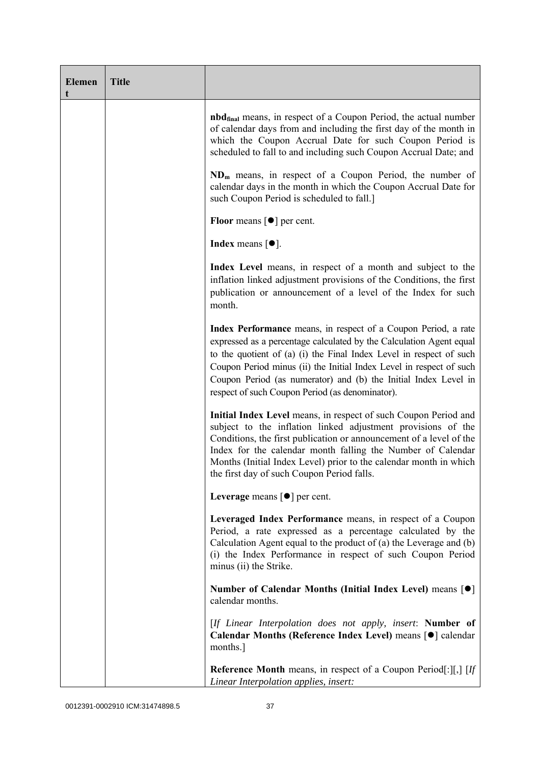| <b>Elemen</b><br>t | <b>Title</b> |                                                                                                                                                                                                                                                                                                                                                                                                           |
|--------------------|--------------|-----------------------------------------------------------------------------------------------------------------------------------------------------------------------------------------------------------------------------------------------------------------------------------------------------------------------------------------------------------------------------------------------------------|
|                    |              | <b>nbd<sub>final</sub></b> means, in respect of a Coupon Period, the actual number<br>of calendar days from and including the first day of the month in<br>which the Coupon Accrual Date for such Coupon Period is<br>scheduled to fall to and including such Coupon Accrual Date; and                                                                                                                    |
|                    |              | $NDm$ means, in respect of a Coupon Period, the number of<br>calendar days in the month in which the Coupon Accrual Date for<br>such Coupon Period is scheduled to fall.]                                                                                                                                                                                                                                 |
|                    |              | <b>Floor</b> means $\lceil \bullet \rceil$ per cent.                                                                                                                                                                                                                                                                                                                                                      |
|                    |              | <b>Index</b> means $\lceil \bullet \rceil$ .                                                                                                                                                                                                                                                                                                                                                              |
|                    |              | Index Level means, in respect of a month and subject to the<br>inflation linked adjustment provisions of the Conditions, the first<br>publication or announcement of a level of the Index for such<br>month.                                                                                                                                                                                              |
|                    |              | Index Performance means, in respect of a Coupon Period, a rate<br>expressed as a percentage calculated by the Calculation Agent equal<br>to the quotient of (a) (i) the Final Index Level in respect of such<br>Coupon Period minus (ii) the Initial Index Level in respect of such<br>Coupon Period (as numerator) and (b) the Initial Index Level in<br>respect of such Coupon Period (as denominator). |
|                    |              | Initial Index Level means, in respect of such Coupon Period and<br>subject to the inflation linked adjustment provisions of the<br>Conditions, the first publication or announcement of a level of the<br>Index for the calendar month falling the Number of Calendar<br>Months (Initial Index Level) prior to the calendar month in which<br>the first day of such Coupon Period falls.                  |
|                    |              | Leverage means $\lceil \bullet \rceil$ per cent.                                                                                                                                                                                                                                                                                                                                                          |
|                    |              | Leveraged Index Performance means, in respect of a Coupon<br>Period, a rate expressed as a percentage calculated by the<br>Calculation Agent equal to the product of (a) the Leverage and (b)<br>(i) the Index Performance in respect of such Coupon Period<br>minus (ii) the Strike.                                                                                                                     |
|                    |              | Number of Calendar Months (Initial Index Level) means [●]<br>calendar months.                                                                                                                                                                                                                                                                                                                             |
|                    |              | [If Linear Interpolation does not apply, insert: Number of<br>Calendar Months (Reference Index Level) means [ $\bullet$ ] calendar<br>months.                                                                                                                                                                                                                                                             |
|                    |              | <b>Reference Month</b> means, in respect of a Coupon Period[:][,] [If<br>Linear Interpolation applies, insert:                                                                                                                                                                                                                                                                                            |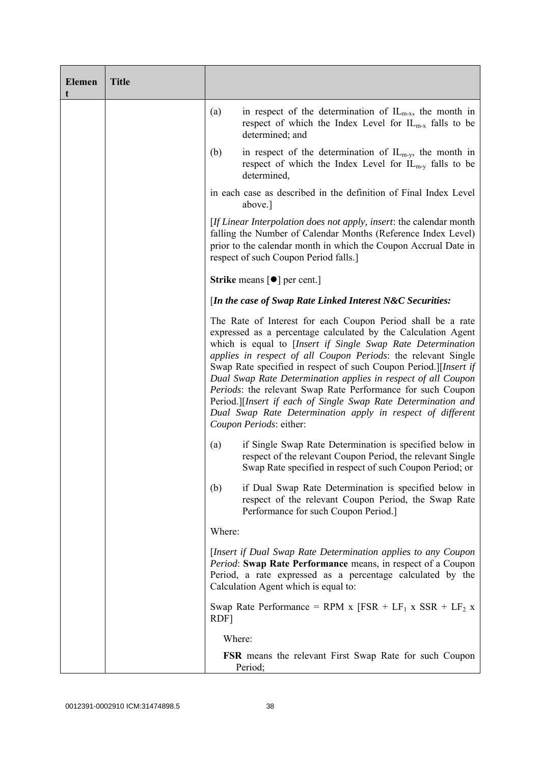| <b>Elemen</b><br>t | <b>Title</b> |                                                                                                                                                                                                                                                                                                                                                                                                                                                                                                                                                                                                                            |
|--------------------|--------------|----------------------------------------------------------------------------------------------------------------------------------------------------------------------------------------------------------------------------------------------------------------------------------------------------------------------------------------------------------------------------------------------------------------------------------------------------------------------------------------------------------------------------------------------------------------------------------------------------------------------------|
|                    |              | (a)<br>in respect of the determination of $IL_{m-x}$ , the month in<br>respect of which the Index Level for $IL_{m-x}$ falls to be<br>determined; and                                                                                                                                                                                                                                                                                                                                                                                                                                                                      |
|                    |              | in respect of the determination of $IL_{m-y}$ , the month in<br>(b)<br>respect of which the Index Level for $IL_{m-y}$ falls to be<br>determined,                                                                                                                                                                                                                                                                                                                                                                                                                                                                          |
|                    |              | in each case as described in the definition of Final Index Level<br>above.]                                                                                                                                                                                                                                                                                                                                                                                                                                                                                                                                                |
|                    |              | <i>If Linear Interpolation does not apply, insert: the calendar month</i><br>falling the Number of Calendar Months (Reference Index Level)<br>prior to the calendar month in which the Coupon Accrual Date in<br>respect of such Coupon Period falls.]                                                                                                                                                                                                                                                                                                                                                                     |
|                    |              | <b>Strike</b> means $\lceil \bullet \rceil$ per cent.                                                                                                                                                                                                                                                                                                                                                                                                                                                                                                                                                                      |
|                    |              | [In the case of Swap Rate Linked Interest N&C Securities:                                                                                                                                                                                                                                                                                                                                                                                                                                                                                                                                                                  |
|                    |              | The Rate of Interest for each Coupon Period shall be a rate<br>expressed as a percentage calculated by the Calculation Agent<br>which is equal to [Insert if Single Swap Rate Determination<br>applies in respect of all Coupon Periods: the relevant Single<br>Swap Rate specified in respect of such Coupon Period.][Insert if<br>Dual Swap Rate Determination applies in respect of all Coupon<br>Periods: the relevant Swap Rate Performance for such Coupon<br>Period.][Insert if each of Single Swap Rate Determination and<br>Dual Swap Rate Determination apply in respect of different<br>Coupon Periods: either: |
|                    |              | if Single Swap Rate Determination is specified below in<br>(a)<br>respect of the relevant Coupon Period, the relevant Single<br>Swap Rate specified in respect of such Coupon Period; or                                                                                                                                                                                                                                                                                                                                                                                                                                   |
|                    |              | if Dual Swap Rate Determination is specified below in<br>(b)<br>respect of the relevant Coupon Period, the Swap Rate<br>Performance for such Coupon Period.]                                                                                                                                                                                                                                                                                                                                                                                                                                                               |
|                    |              | Where:                                                                                                                                                                                                                                                                                                                                                                                                                                                                                                                                                                                                                     |
|                    |              | [Insert if Dual Swap Rate Determination applies to any Coupon<br>Period: Swap Rate Performance means, in respect of a Coupon<br>Period, a rate expressed as a percentage calculated by the<br>Calculation Agent which is equal to:                                                                                                                                                                                                                                                                                                                                                                                         |
|                    |              | Swap Rate Performance = RPM x $[FSR + LF_1 x SSR + LF_2 x]$<br>RDF]                                                                                                                                                                                                                                                                                                                                                                                                                                                                                                                                                        |
|                    |              | Where:                                                                                                                                                                                                                                                                                                                                                                                                                                                                                                                                                                                                                     |
|                    |              | <b>FSR</b> means the relevant First Swap Rate for such Coupon<br>Period;                                                                                                                                                                                                                                                                                                                                                                                                                                                                                                                                                   |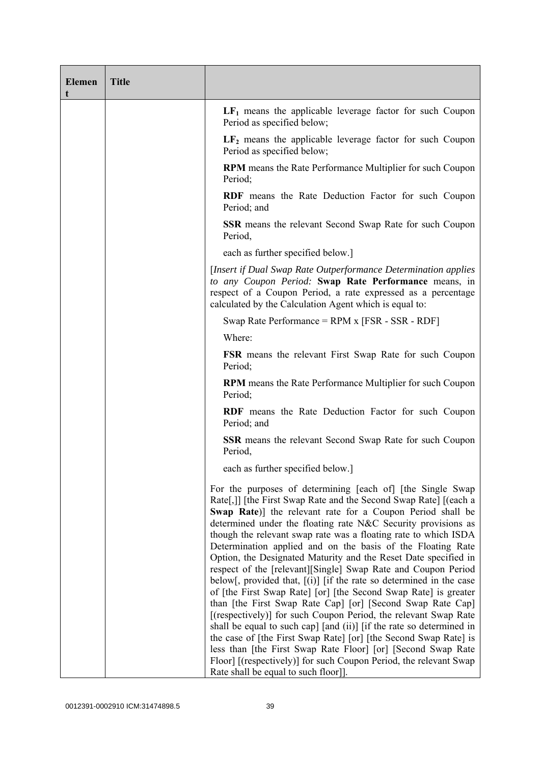| <b>Elemen</b><br>t | <b>Title</b> |                                                                                                                                                                                                                                                                                                                                                                                                                                                                                                                                                                                                                                                                                                                                                                                                                                                                                                                                                                                                                                                                                                                                            |
|--------------------|--------------|--------------------------------------------------------------------------------------------------------------------------------------------------------------------------------------------------------------------------------------------------------------------------------------------------------------------------------------------------------------------------------------------------------------------------------------------------------------------------------------------------------------------------------------------------------------------------------------------------------------------------------------------------------------------------------------------------------------------------------------------------------------------------------------------------------------------------------------------------------------------------------------------------------------------------------------------------------------------------------------------------------------------------------------------------------------------------------------------------------------------------------------------|
|                    |              | $LF1$ means the applicable leverage factor for such Coupon<br>Period as specified below;                                                                                                                                                                                                                                                                                                                                                                                                                                                                                                                                                                                                                                                                                                                                                                                                                                                                                                                                                                                                                                                   |
|                    |              | $LF2$ means the applicable leverage factor for such Coupon<br>Period as specified below;                                                                                                                                                                                                                                                                                                                                                                                                                                                                                                                                                                                                                                                                                                                                                                                                                                                                                                                                                                                                                                                   |
|                    |              | <b>RPM</b> means the Rate Performance Multiplier for such Coupon<br>Period;                                                                                                                                                                                                                                                                                                                                                                                                                                                                                                                                                                                                                                                                                                                                                                                                                                                                                                                                                                                                                                                                |
|                    |              | RDF means the Rate Deduction Factor for such Coupon<br>Period; and                                                                                                                                                                                                                                                                                                                                                                                                                                                                                                                                                                                                                                                                                                                                                                                                                                                                                                                                                                                                                                                                         |
|                    |              | <b>SSR</b> means the relevant Second Swap Rate for such Coupon<br>Period,                                                                                                                                                                                                                                                                                                                                                                                                                                                                                                                                                                                                                                                                                                                                                                                                                                                                                                                                                                                                                                                                  |
|                    |              | each as further specified below.]                                                                                                                                                                                                                                                                                                                                                                                                                                                                                                                                                                                                                                                                                                                                                                                                                                                                                                                                                                                                                                                                                                          |
|                    |              | [Insert if Dual Swap Rate Outperformance Determination applies<br>to any Coupon Period: Swap Rate Performance means, in<br>respect of a Coupon Period, a rate expressed as a percentage<br>calculated by the Calculation Agent which is equal to:                                                                                                                                                                                                                                                                                                                                                                                                                                                                                                                                                                                                                                                                                                                                                                                                                                                                                          |
|                    |              | Swap Rate Performance = $RPM x$ [FSR - SSR - RDF]                                                                                                                                                                                                                                                                                                                                                                                                                                                                                                                                                                                                                                                                                                                                                                                                                                                                                                                                                                                                                                                                                          |
|                    |              | Where:                                                                                                                                                                                                                                                                                                                                                                                                                                                                                                                                                                                                                                                                                                                                                                                                                                                                                                                                                                                                                                                                                                                                     |
|                    |              | <b>FSR</b> means the relevant First Swap Rate for such Coupon<br>Period;                                                                                                                                                                                                                                                                                                                                                                                                                                                                                                                                                                                                                                                                                                                                                                                                                                                                                                                                                                                                                                                                   |
|                    |              | <b>RPM</b> means the Rate Performance Multiplier for such Coupon<br>Period;                                                                                                                                                                                                                                                                                                                                                                                                                                                                                                                                                                                                                                                                                                                                                                                                                                                                                                                                                                                                                                                                |
|                    |              | <b>RDF</b> means the Rate Deduction Factor for such Coupon<br>Period; and                                                                                                                                                                                                                                                                                                                                                                                                                                                                                                                                                                                                                                                                                                                                                                                                                                                                                                                                                                                                                                                                  |
|                    |              | <b>SSR</b> means the relevant Second Swap Rate for such Coupon<br>Period,                                                                                                                                                                                                                                                                                                                                                                                                                                                                                                                                                                                                                                                                                                                                                                                                                                                                                                                                                                                                                                                                  |
|                    |              | each as further specified below.]                                                                                                                                                                                                                                                                                                                                                                                                                                                                                                                                                                                                                                                                                                                                                                                                                                                                                                                                                                                                                                                                                                          |
|                    |              | For the purposes of determining [each of] [the Single Swap]<br>Rate[,]] [the First Swap Rate and the Second Swap Rate] [(each a<br>Swap Rate)] the relevant rate for a Coupon Period shall be<br>determined under the floating rate N&C Security provisions as<br>though the relevant swap rate was a floating rate to which ISDA<br>Determination applied and on the basis of the Floating Rate<br>Option, the Designated Maturity and the Reset Date specified in<br>respect of the [relevant][Single] Swap Rate and Coupon Period<br>below[, provided that, $[(i)]$ [if the rate so determined in the case<br>of [the First Swap Rate] [or] [the Second Swap Rate] is greater<br>than [the First Swap Rate Cap] [or] [Second Swap Rate Cap]<br>[(respectively)] for such Coupon Period, the relevant Swap Rate<br>shall be equal to such cap] [and (ii)] [if the rate so determined in<br>the case of [the First Swap Rate] [or] [the Second Swap Rate] is<br>less than [the First Swap Rate Floor] [or] [Second Swap Rate<br>Floor] [(respectively)] for such Coupon Period, the relevant Swap<br>Rate shall be equal to such floor]]. |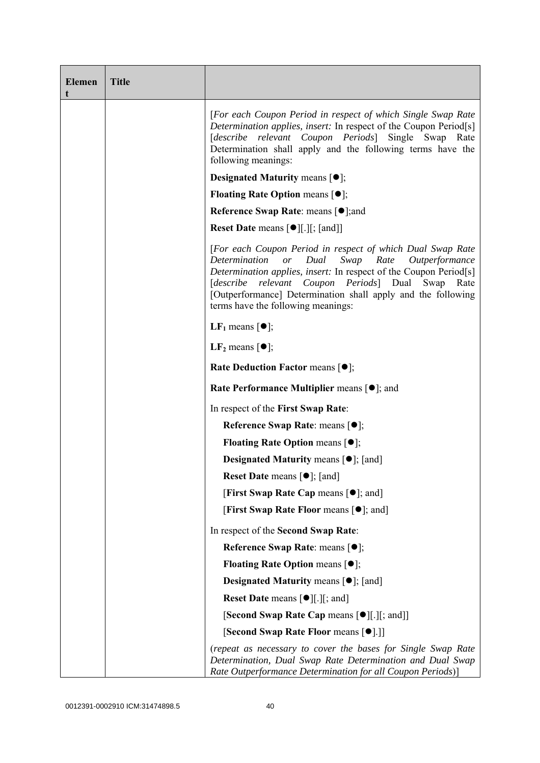| <b>Elemen</b><br>t | <b>Title</b> |                                                                                                                                                                                                                                                                                                                                                                             |
|--------------------|--------------|-----------------------------------------------------------------------------------------------------------------------------------------------------------------------------------------------------------------------------------------------------------------------------------------------------------------------------------------------------------------------------|
|                    |              | [For each Coupon Period in respect of which Single Swap Rate<br>Determination applies, insert: In respect of the Coupon Period[s]<br>[describe relevant Coupon Periods] Single Swap Rate<br>Determination shall apply and the following terms have the<br>following meanings:                                                                                               |
|                    |              | <b>Designated Maturity means <math>[①]</math>;</b>                                                                                                                                                                                                                                                                                                                          |
|                    |              | <b>Floating Rate Option means <math>[•]</math>;</b>                                                                                                                                                                                                                                                                                                                         |
|                    |              | Reference Swap Rate: means [ $\bullet$ ]; and                                                                                                                                                                                                                                                                                                                               |
|                    |              | <b>Reset Date means <math>[\bullet]</math>[.][; [and]]</b>                                                                                                                                                                                                                                                                                                                  |
|                    |              | [For each Coupon Period in respect of which Dual Swap Rate<br>Dual<br>Swap<br>Rate<br>Determination<br>$\overline{or}$<br>Outperformance<br>Determination applies, insert: In respect of the Coupon Period[s]<br>[describe relevant Coupon Periods] Dual Swap<br>Rate<br>[Outperformance] Determination shall apply and the following<br>terms have the following meanings: |
|                    |              | <b>LF</b> <sub>1</sub> means $\lceil \bullet \rceil$ ;                                                                                                                                                                                                                                                                                                                      |
|                    |              | LF <sub>2</sub> means $\lceil \bullet \rceil$ ;                                                                                                                                                                                                                                                                                                                             |
|                    |              | <b>Rate Deduction Factor means <math>[•]</math>;</b>                                                                                                                                                                                                                                                                                                                        |
|                    |              | <b>Rate Performance Multiplier means <math>\lceil \bullet \rceil</math>; and</b>                                                                                                                                                                                                                                                                                            |
|                    |              | In respect of the First Swap Rate:                                                                                                                                                                                                                                                                                                                                          |
|                    |              | Reference Swap Rate: means [●];                                                                                                                                                                                                                                                                                                                                             |
|                    |              | <b>Floating Rate Option means <math>[•]</math>;</b>                                                                                                                                                                                                                                                                                                                         |
|                    |              | <b>Designated Maturity means <math>\lceil \bullet \rceil</math>; [and]</b>                                                                                                                                                                                                                                                                                                  |
|                    |              | <b>Reset Date means <math>[\bullet]</math>; [and]</b>                                                                                                                                                                                                                                                                                                                       |
|                    |              | [First Swap Rate Cap means [ $\bullet$ ]; and]                                                                                                                                                                                                                                                                                                                              |
|                    |              | <b>[First Swap Rate Floor means [<math>\bullet</math>]; and]</b>                                                                                                                                                                                                                                                                                                            |
|                    |              | In respect of the Second Swap Rate:                                                                                                                                                                                                                                                                                                                                         |
|                    |              | Reference Swap Rate: means [ $\bullet$ ];                                                                                                                                                                                                                                                                                                                                   |
|                    |              | <b>Floating Rate Option means <math>[①]</math>;</b>                                                                                                                                                                                                                                                                                                                         |
|                    |              | <b>Designated Maturity means <math>\lceil \bullet \rceil</math>; [and]</b>                                                                                                                                                                                                                                                                                                  |
|                    |              | <b>Reset Date means <math>[\bullet]</math>[.][; and]</b>                                                                                                                                                                                                                                                                                                                    |
|                    |              | [Second Swap Rate Cap means [ $\bullet$ ][.][; and]]                                                                                                                                                                                                                                                                                                                        |
|                    |              | [Second Swap Rate Floor means [ $\bullet$ ].]]                                                                                                                                                                                                                                                                                                                              |
|                    |              | (repeat as necessary to cover the bases for Single Swap Rate<br>Determination, Dual Swap Rate Determination and Dual Swap<br>Rate Outperformance Determination for all Coupon Periods)]                                                                                                                                                                                     |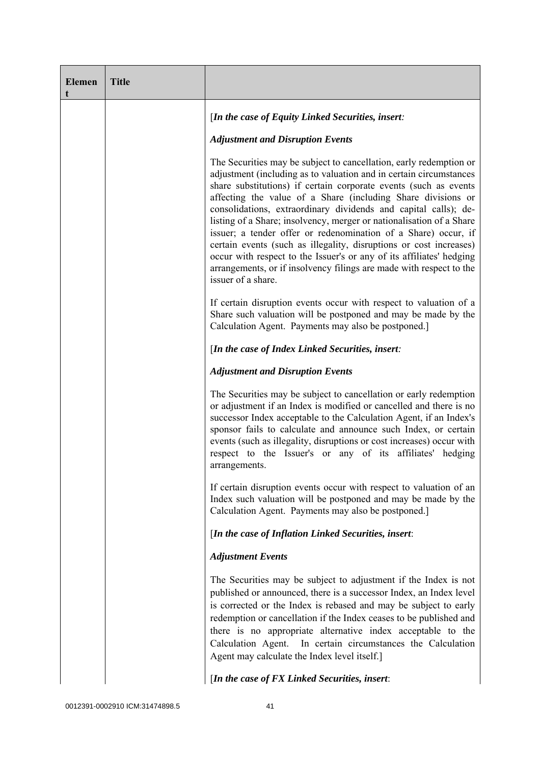| <b>Elemen</b> | <b>Title</b> |                                                                                                                                                                                                                                                                                                                                                                                                                                                                                                                                                                                                                                                                                                                                      |
|---------------|--------------|--------------------------------------------------------------------------------------------------------------------------------------------------------------------------------------------------------------------------------------------------------------------------------------------------------------------------------------------------------------------------------------------------------------------------------------------------------------------------------------------------------------------------------------------------------------------------------------------------------------------------------------------------------------------------------------------------------------------------------------|
|               |              | [In the case of Equity Linked Securities, insert:                                                                                                                                                                                                                                                                                                                                                                                                                                                                                                                                                                                                                                                                                    |
|               |              | <b>Adjustment and Disruption Events</b>                                                                                                                                                                                                                                                                                                                                                                                                                                                                                                                                                                                                                                                                                              |
|               |              | The Securities may be subject to cancellation, early redemption or<br>adjustment (including as to valuation and in certain circumstances<br>share substitutions) if certain corporate events (such as events<br>affecting the value of a Share (including Share divisions or<br>consolidations, extraordinary dividends and capital calls); de-<br>listing of a Share; insolvency, merger or nationalisation of a Share<br>issuer; a tender offer or redenomination of a Share) occur, if<br>certain events (such as illegality, disruptions or cost increases)<br>occur with respect to the Issuer's or any of its affiliates' hedging<br>arrangements, or if insolvency filings are made with respect to the<br>issuer of a share. |
|               |              | If certain disruption events occur with respect to valuation of a<br>Share such valuation will be postponed and may be made by the<br>Calculation Agent. Payments may also be postponed.]                                                                                                                                                                                                                                                                                                                                                                                                                                                                                                                                            |
|               |              | [In the case of Index Linked Securities, insert:                                                                                                                                                                                                                                                                                                                                                                                                                                                                                                                                                                                                                                                                                     |
|               |              | <b>Adjustment and Disruption Events</b>                                                                                                                                                                                                                                                                                                                                                                                                                                                                                                                                                                                                                                                                                              |
|               |              | The Securities may be subject to cancellation or early redemption<br>or adjustment if an Index is modified or cancelled and there is no<br>successor Index acceptable to the Calculation Agent, if an Index's<br>sponsor fails to calculate and announce such Index, or certain<br>events (such as illegality, disruptions or cost increases) occur with<br>respect to the Issuer's or any of its affiliates' hedging<br>arrangements.                                                                                                                                                                                                                                                                                               |
|               |              | If certain disruption events occur with respect to valuation of an<br>Index such valuation will be postponed and may be made by the<br>Calculation Agent. Payments may also be postponed.]                                                                                                                                                                                                                                                                                                                                                                                                                                                                                                                                           |
|               |              | [In the case of Inflation Linked Securities, insert:                                                                                                                                                                                                                                                                                                                                                                                                                                                                                                                                                                                                                                                                                 |
|               |              | <b>Adjustment Events</b>                                                                                                                                                                                                                                                                                                                                                                                                                                                                                                                                                                                                                                                                                                             |
|               |              | The Securities may be subject to adjustment if the Index is not<br>published or announced, there is a successor Index, an Index level<br>is corrected or the Index is rebased and may be subject to early<br>redemption or cancellation if the Index ceases to be published and<br>there is no appropriate alternative index acceptable to the<br>Calculation Agent. In certain circumstances the Calculation<br>Agent may calculate the Index level itself.]                                                                                                                                                                                                                                                                        |
|               |              | [In the case of FX Linked Securities, insert:                                                                                                                                                                                                                                                                                                                                                                                                                                                                                                                                                                                                                                                                                        |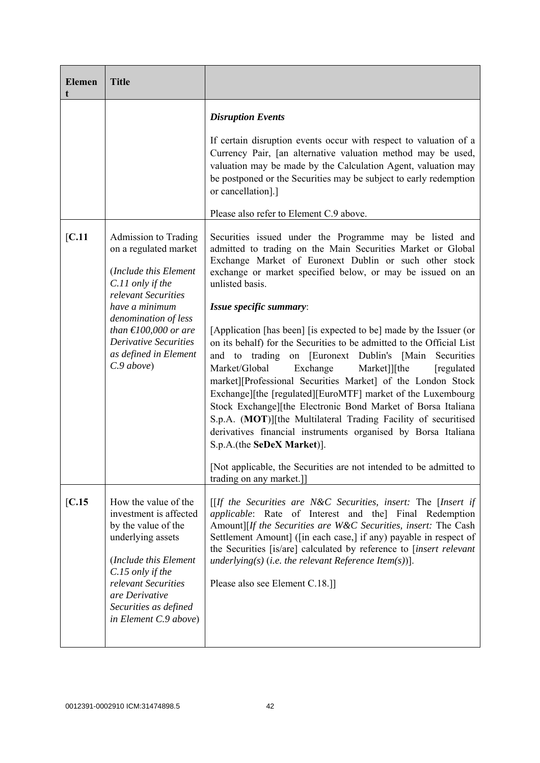|                                                                                                                                                                                                                                    | <b>Disruption Events</b>                                                                                                                                                                                                                                                                                                                                                                                                                                                                                                                                                                                                              |
|------------------------------------------------------------------------------------------------------------------------------------------------------------------------------------------------------------------------------------|---------------------------------------------------------------------------------------------------------------------------------------------------------------------------------------------------------------------------------------------------------------------------------------------------------------------------------------------------------------------------------------------------------------------------------------------------------------------------------------------------------------------------------------------------------------------------------------------------------------------------------------|
|                                                                                                                                                                                                                                    | If certain disruption events occur with respect to valuation of a<br>Currency Pair, [an alternative valuation method may be used,<br>valuation may be made by the Calculation Agent, valuation may<br>be postponed or the Securities may be subject to early redemption<br>or cancellation].]<br>Please also refer to Element C.9 above.                                                                                                                                                                                                                                                                                              |
|                                                                                                                                                                                                                                    |                                                                                                                                                                                                                                                                                                                                                                                                                                                                                                                                                                                                                                       |
| on a regulated market<br>(Include this Element<br>C.11 only if the                                                                                                                                                                 | Securities issued under the Programme may be listed and<br>admitted to trading on the Main Securities Market or Global<br>Exchange Market of Euronext Dublin or such other stock<br>exchange or market specified below, or may be issued on an<br>unlisted basis.                                                                                                                                                                                                                                                                                                                                                                     |
| have a minimum                                                                                                                                                                                                                     | Issue specific summary:                                                                                                                                                                                                                                                                                                                                                                                                                                                                                                                                                                                                               |
| denomination of less<br>than $\epsilon$ 100,000 or are<br><b>Derivative Securities</b><br>as defined in Element<br>C.9 above                                                                                                       | [Application [has been] [is expected to be] made by the Issuer (or<br>on its behalf) for the Securities to be admitted to the Official List<br>and to trading<br>on [Euronext Dublin's [Main<br>Securities<br>Market/Global<br>Exchange<br>Market]][the<br>[regulated]<br>market][Professional Securities Market] of the London Stock<br>Exchange][the [regulated][EuroMTF] market of the Luxembourg<br>Stock Exchange][the Electronic Bond Market of Borsa Italiana<br>S.p.A. (MOT)][the Multilateral Trading Facility of securitised<br>derivatives financial instruments organised by Borsa Italiana<br>S.p.A.(the SeDeX Market)]. |
|                                                                                                                                                                                                                                    | [Not applicable, the Securities are not intended to be admitted to<br>trading on any market.]]                                                                                                                                                                                                                                                                                                                                                                                                                                                                                                                                        |
| How the value of the<br>investment is affected<br>by the value of the<br>underlying assets<br>(Include this Element<br>C.15 only if the<br>relevant Securities<br>are Derivative<br>Securities as defined<br>in Element C.9 above) | $[$ If the Securities are N&C Securities, insert: The [Insert if<br>applicable: Rate of Interest and the] Final Redemption<br>Amount][If the Securities are W&C Securities, insert: The Cash<br>Settlement Amount] ([in each case,] if any) payable in respect of<br>the Securities [is/are] calculated by reference to [insert relevant<br>underlying(s) (i.e. the relevant Reference Item(s))].<br>Please also see Element C.18.]                                                                                                                                                                                                   |
|                                                                                                                                                                                                                                    | <b>Admission to Trading</b><br>relevant Securities                                                                                                                                                                                                                                                                                                                                                                                                                                                                                                                                                                                    |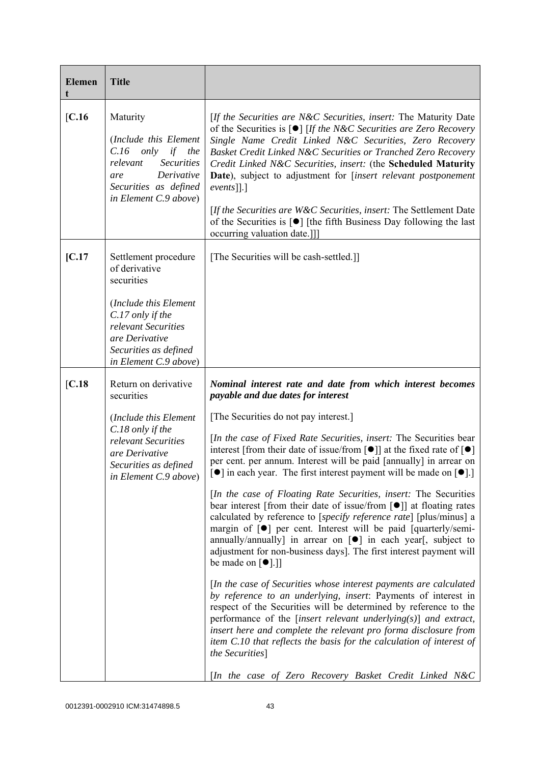| <b>Elemen</b> | <b>Title</b>                                                                                                                                                                                |                                                                                                                                                                                                                                                                                                                                                                                                                                                                                                                                                                                                                                                                                                                                                                                                                                                                                                                                                                                                                                                                                                                                                                                                                                                                                                                                                                                                                                                                                                            |
|---------------|---------------------------------------------------------------------------------------------------------------------------------------------------------------------------------------------|------------------------------------------------------------------------------------------------------------------------------------------------------------------------------------------------------------------------------------------------------------------------------------------------------------------------------------------------------------------------------------------------------------------------------------------------------------------------------------------------------------------------------------------------------------------------------------------------------------------------------------------------------------------------------------------------------------------------------------------------------------------------------------------------------------------------------------------------------------------------------------------------------------------------------------------------------------------------------------------------------------------------------------------------------------------------------------------------------------------------------------------------------------------------------------------------------------------------------------------------------------------------------------------------------------------------------------------------------------------------------------------------------------------------------------------------------------------------------------------------------------|
| [C.16]        | Maturity<br>(Include this Element<br>$C.16$ only<br>if<br>the<br><b>Securities</b><br>relevant<br>Derivative<br>are<br>Securities as defined<br>in Element C.9 above)                       | [If the Securities are N&C Securities, insert: The Maturity Date<br>of the Securities is $\lceil \bullet \rceil$ [If the N&C Securities are Zero Recovery<br>Single Name Credit Linked N&C Securities, Zero Recovery<br>Basket Credit Linked N&C Securities or Tranched Zero Recovery<br>Credit Linked N&C Securities, insert: (the Scheduled Maturity<br><b>Date</b> ), subject to adjustment for [insert relevant postponement<br>$events$ [].]<br>[If the Securities are $W\&C$ Securities, insert: The Settlement Date<br>of the Securities is $[\bullet]$ [the fifth Business Day following the last<br>occurring valuation date.]]                                                                                                                                                                                                                                                                                                                                                                                                                                                                                                                                                                                                                                                                                                                                                                                                                                                                   |
| [C.17]        | Settlement procedure<br>of derivative<br>securities<br>(Include this Element<br>C.17 only if the<br>relevant Securities<br>are Derivative<br>Securities as defined<br>in Element C.9 above) | [The Securities will be cash-settled.]]                                                                                                                                                                                                                                                                                                                                                                                                                                                                                                                                                                                                                                                                                                                                                                                                                                                                                                                                                                                                                                                                                                                                                                                                                                                                                                                                                                                                                                                                    |
| [C.18]        | Return on derivative<br>securities<br>(Include this Element<br>C.18 only if the<br>relevant Securities<br>are Derivative<br>Securities as defined<br>in Element C.9 above)                  | Nominal interest rate and date from which interest becomes<br>payable and due dates for interest<br>[The Securities do not pay interest.]<br>[In the case of Fixed Rate Securities, insert: The Securities bear<br>interest [from their date of issue/from $\lceil \bullet \rceil$ ] at the fixed rate of $\lceil \bullet \rceil$<br>per cent. per annum. Interest will be paid [annually] in arrear on<br>[ $\bullet$ ] in each year. The first interest payment will be made on [ $\bullet$ ].]<br>[In the case of Floating Rate Securities, insert: The Securities<br>bear interest [from their date of issue/from $\lceil \bullet \rceil$ ] at floating rates<br>calculated by reference to [specify reference rate] [plus/minus] a<br>margin of [ $\bullet$ ] per cent. Interest will be paid [quarterly/semi-<br>annually/annually] in arrear on $[\bullet]$ in each year[, subject to<br>adjustment for non-business days]. The first interest payment will<br>be made on $[\bullet]$ .]]<br>[In the case of Securities whose interest payments are calculated<br>by reference to an underlying, insert: Payments of interest in<br>respect of the Securities will be determined by reference to the<br>performance of the [insert relevant underlying $(s)$ ] and extract,<br>insert here and complete the relevant pro forma disclosure from<br>item C.10 that reflects the basis for the calculation of interest of<br>the Securities]<br>[In the case of Zero Recovery Basket Credit Linked N&C |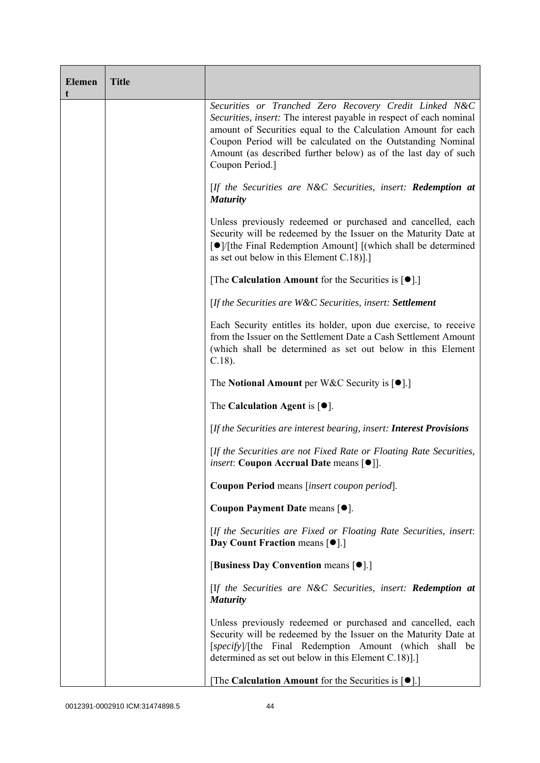| <b>Elemen</b><br>t | <b>Title</b> |                                                                                                                                                                                                                                                                                                                                                    |
|--------------------|--------------|----------------------------------------------------------------------------------------------------------------------------------------------------------------------------------------------------------------------------------------------------------------------------------------------------------------------------------------------------|
|                    |              | Securities or Tranched Zero Recovery Credit Linked N&C<br>Securities, insert: The interest payable in respect of each nominal<br>amount of Securities equal to the Calculation Amount for each<br>Coupon Period will be calculated on the Outstanding Nominal<br>Amount (as described further below) as of the last day of such<br>Coupon Period.] |
|                    |              | [If the Securities are N&C Securities, insert: Redemption at<br><b>Maturity</b>                                                                                                                                                                                                                                                                    |
|                    |              | Unless previously redeemed or purchased and cancelled, each<br>Security will be redeemed by the Issuer on the Maturity Date at<br>[●]/[the Final Redemption Amount] [(which shall be determined<br>as set out below in this Element $C.18$ ].]                                                                                                     |
|                    |              | [The Calculation Amount for the Securities is $[•]$ .]                                                                                                                                                                                                                                                                                             |
|                    |              | [If the Securities are W&C Securities, insert: Settlement                                                                                                                                                                                                                                                                                          |
|                    |              | Each Security entitles its holder, upon due exercise, to receive<br>from the Issuer on the Settlement Date a Cash Settlement Amount<br>(which shall be determined as set out below in this Element<br>$C.18$ ).                                                                                                                                    |
|                    |              | The Notional Amount per W&C Security is $[•]$ .]                                                                                                                                                                                                                                                                                                   |
|                    |              | The Calculation Agent is $[•]$ .                                                                                                                                                                                                                                                                                                                   |
|                    |              | [If the Securities are interest bearing, insert: Interest Provisions                                                                                                                                                                                                                                                                               |
|                    |              | [If the Securities are not Fixed Rate or Floating Rate Securities,<br><i>insert</i> : Coupon Accrual Date means [ $\bullet$ ].                                                                                                                                                                                                                     |
|                    |              | Coupon Period means [insert coupon period].                                                                                                                                                                                                                                                                                                        |
|                    |              | Coupon Payment Date means [ $\bullet$ ].                                                                                                                                                                                                                                                                                                           |
|                    |              | [If the Securities are Fixed or Floating Rate Securities, insert:<br>Day Count Fraction means [ $\bullet$ ].]                                                                                                                                                                                                                                      |
|                    |              | [Business Day Convention means [ $\bullet$ ].]                                                                                                                                                                                                                                                                                                     |
|                    |              | [If the Securities are $N\&C$ Securities, insert: <b>Redemption at</b><br><b>Maturity</b>                                                                                                                                                                                                                                                          |
|                    |              | Unless previously redeemed or purchased and cancelled, each<br>Security will be redeemed by the Issuer on the Maturity Date at<br>[specify]/[the Final Redemption Amount (which shall be<br>determined as set out below in this Element C.18).]                                                                                                    |
|                    |              | The Calculation Amount for the Securities is $[•]$ .                                                                                                                                                                                                                                                                                               |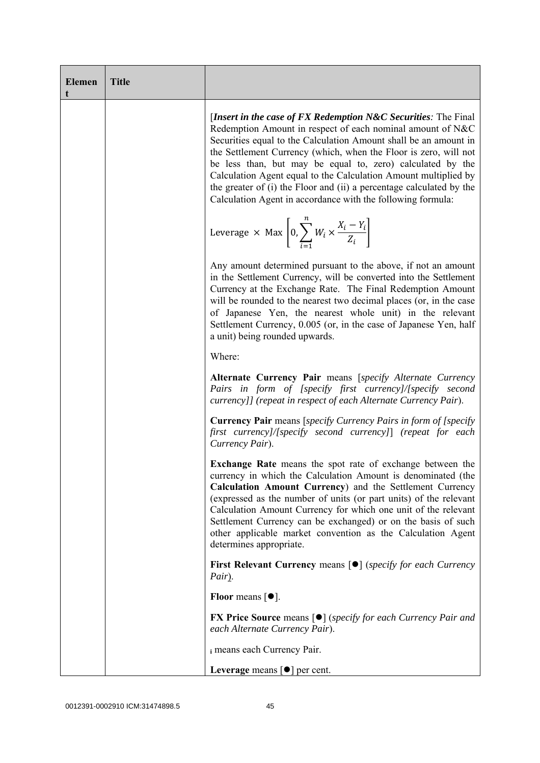| <b>Elemen</b><br>t | <b>Title</b> |                                                                                                                                                                                                                                                                                                                                                                                                                                                                                                                                                 |
|--------------------|--------------|-------------------------------------------------------------------------------------------------------------------------------------------------------------------------------------------------------------------------------------------------------------------------------------------------------------------------------------------------------------------------------------------------------------------------------------------------------------------------------------------------------------------------------------------------|
|                    |              | [Insert in the case of FX Redemption $N\&C$ Securities: The Final<br>Redemption Amount in respect of each nominal amount of N&C<br>Securities equal to the Calculation Amount shall be an amount in<br>the Settlement Currency (which, when the Floor is zero, will not<br>be less than, but may be equal to, zero) calculated by the<br>Calculation Agent equal to the Calculation Amount multiplied by<br>the greater of (i) the Floor and (ii) a percentage calculated by the<br>Calculation Agent in accordance with the following formula: |
|                    |              | Leverage $\times$ Max $\left  0, \sum_{i=1}^{n} W_i \times \frac{X_i - Y_i}{Z_i} \right $                                                                                                                                                                                                                                                                                                                                                                                                                                                       |
|                    |              | Any amount determined pursuant to the above, if not an amount<br>in the Settlement Currency, will be converted into the Settlement<br>Currency at the Exchange Rate. The Final Redemption Amount<br>will be rounded to the nearest two decimal places (or, in the case<br>of Japanese Yen, the nearest whole unit) in the relevant<br>Settlement Currency, 0.005 (or, in the case of Japanese Yen, half<br>a unit) being rounded upwards.                                                                                                       |
|                    |              | Where:                                                                                                                                                                                                                                                                                                                                                                                                                                                                                                                                          |
|                    |              | Alternate Currency Pair means [specify Alternate Currency<br>Pairs in form of [specify first currency]/[specify second<br>currency]] (repeat in respect of each Alternate Currency Pair).                                                                                                                                                                                                                                                                                                                                                       |
|                    |              | <b>Currency Pair</b> means [specify Currency Pairs in form of [specify]<br>first currency]/[specify second currency]] (repeat for each<br>Currency Pair).                                                                                                                                                                                                                                                                                                                                                                                       |
|                    |              | <b>Exchange Rate</b> means the spot rate of exchange between the<br>currency in which the Calculation Amount is denominated (the<br>Calculation Amount Currency) and the Settlement Currency<br>(expressed as the number of units (or part units) of the relevant<br>Calculation Amount Currency for which one unit of the relevant<br>Settlement Currency can be exchanged) or on the basis of such<br>other applicable market convention as the Calculation Agent<br>determines appropriate.                                                  |
|                    |              | <b>First Relevant Currency means <math>\lceil \bullet \rceil</math> (specify for each Currency</b><br>Pair).                                                                                                                                                                                                                                                                                                                                                                                                                                    |
|                    |              | Floor means $\lceil \bullet \rceil$ .                                                                                                                                                                                                                                                                                                                                                                                                                                                                                                           |
|                    |              | <b>FX Price Source means [<math>\bullet</math>]</b> ( <i>specify for each Currency Pair and</i><br>each Alternate Currency Pair).                                                                                                                                                                                                                                                                                                                                                                                                               |
|                    |              | i means each Currency Pair.                                                                                                                                                                                                                                                                                                                                                                                                                                                                                                                     |
|                    |              | Leverage means $\lceil \bullet \rceil$ per cent.                                                                                                                                                                                                                                                                                                                                                                                                                                                                                                |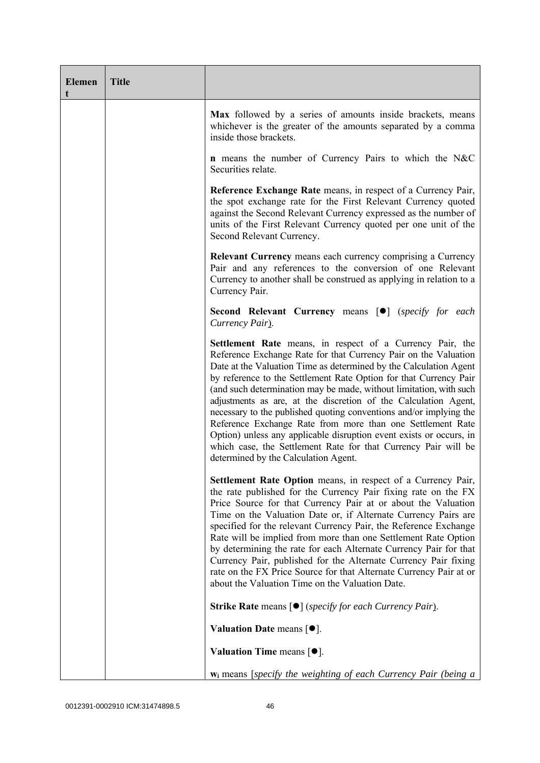| <b>Elemen</b><br>t | <b>Title</b> |                                                                                                                                                                                                                                                                                                                                                                                                                                                                                                                                                                                                                                                                                                                                      |
|--------------------|--------------|--------------------------------------------------------------------------------------------------------------------------------------------------------------------------------------------------------------------------------------------------------------------------------------------------------------------------------------------------------------------------------------------------------------------------------------------------------------------------------------------------------------------------------------------------------------------------------------------------------------------------------------------------------------------------------------------------------------------------------------|
|                    |              | Max followed by a series of amounts inside brackets, means<br>whichever is the greater of the amounts separated by a comma<br>inside those brackets.                                                                                                                                                                                                                                                                                                                                                                                                                                                                                                                                                                                 |
|                    |              | <b>n</b> means the number of Currency Pairs to which the N&C<br>Securities relate.                                                                                                                                                                                                                                                                                                                                                                                                                                                                                                                                                                                                                                                   |
|                    |              | Reference Exchange Rate means, in respect of a Currency Pair,<br>the spot exchange rate for the First Relevant Currency quoted<br>against the Second Relevant Currency expressed as the number of<br>units of the First Relevant Currency quoted per one unit of the<br>Second Relevant Currency.                                                                                                                                                                                                                                                                                                                                                                                                                                    |
|                    |              | <b>Relevant Currency</b> means each currency comprising a Currency<br>Pair and any references to the conversion of one Relevant<br>Currency to another shall be construed as applying in relation to a<br>Currency Pair.                                                                                                                                                                                                                                                                                                                                                                                                                                                                                                             |
|                    |              | Second Relevant Currency means [ $\bullet$ ] (specify for each<br>Currency Pair).                                                                                                                                                                                                                                                                                                                                                                                                                                                                                                                                                                                                                                                    |
|                    |              | Settlement Rate means, in respect of a Currency Pair, the<br>Reference Exchange Rate for that Currency Pair on the Valuation<br>Date at the Valuation Time as determined by the Calculation Agent<br>by reference to the Settlement Rate Option for that Currency Pair<br>(and such determination may be made, without limitation, with such<br>adjustments as are, at the discretion of the Calculation Agent,<br>necessary to the published quoting conventions and/or implying the<br>Reference Exchange Rate from more than one Settlement Rate<br>Option) unless any applicable disruption event exists or occurs, in<br>which case, the Settlement Rate for that Currency Pair will be<br>determined by the Calculation Agent. |
|                    |              | Settlement Rate Option means, in respect of a Currency Pair,<br>the rate published for the Currency Pair fixing rate on the FX<br>Price Source for that Currency Pair at or about the Valuation<br>Time on the Valuation Date or, if Alternate Currency Pairs are<br>specified for the relevant Currency Pair, the Reference Exchange<br>Rate will be implied from more than one Settlement Rate Option<br>by determining the rate for each Alternate Currency Pair for that<br>Currency Pair, published for the Alternate Currency Pair fixing<br>rate on the FX Price Source for that Alternate Currency Pair at or<br>about the Valuation Time on the Valuation Date.                                                             |
|                    |              | <b>Strike Rate</b> means $\lceil \bullet \rceil$ ( <i>specify for each Currency Pair</i> ).                                                                                                                                                                                                                                                                                                                                                                                                                                                                                                                                                                                                                                          |
|                    |              | Valuation Date means $[•]$ .                                                                                                                                                                                                                                                                                                                                                                                                                                                                                                                                                                                                                                                                                                         |
|                    |              | Valuation Time means $[•]$ .                                                                                                                                                                                                                                                                                                                                                                                                                                                                                                                                                                                                                                                                                                         |
|                    |              | $w_i$ means [specify the weighting of each Currency Pair (being a                                                                                                                                                                                                                                                                                                                                                                                                                                                                                                                                                                                                                                                                    |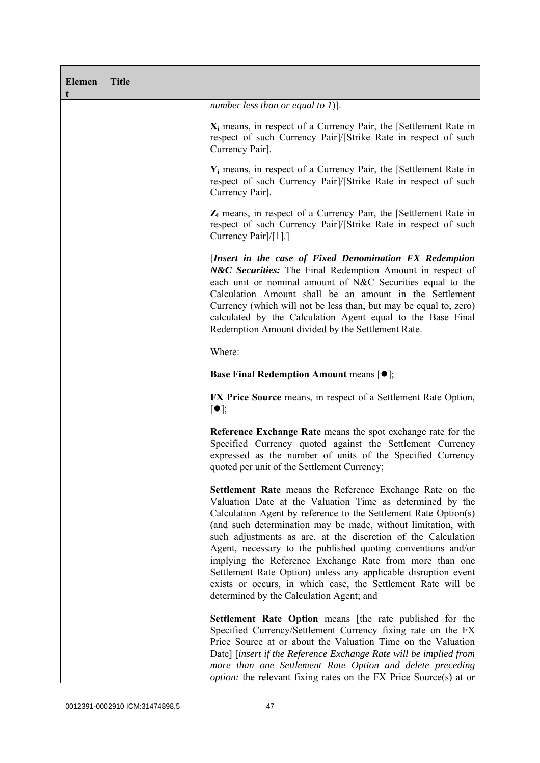| <b>Elemen</b><br>t | <b>Title</b> |                                                                                                                                                                                                                                                                                                                                                                                                                                                                                                                                                                                                                                     |
|--------------------|--------------|-------------------------------------------------------------------------------------------------------------------------------------------------------------------------------------------------------------------------------------------------------------------------------------------------------------------------------------------------------------------------------------------------------------------------------------------------------------------------------------------------------------------------------------------------------------------------------------------------------------------------------------|
|                    |              | number less than or equal to $1$ ].                                                                                                                                                                                                                                                                                                                                                                                                                                                                                                                                                                                                 |
|                    |              | $X_i$ means, in respect of a Currency Pair, the [Settlement Rate in<br>respect of such Currency Pair]/[Strike Rate in respect of such<br>Currency Pair].                                                                                                                                                                                                                                                                                                                                                                                                                                                                            |
|                    |              | $Y_i$ means, in respect of a Currency Pair, the [Settlement Rate in<br>respect of such Currency Pairl/[Strike Rate in respect of such<br>Currency Pair].                                                                                                                                                                                                                                                                                                                                                                                                                                                                            |
|                    |              | $Z_i$ means, in respect of a Currency Pair, the [Settlement Rate in<br>respect of such Currency Pair]/[Strike Rate in respect of such<br>Currency Pair]/[1].]                                                                                                                                                                                                                                                                                                                                                                                                                                                                       |
|                    |              | [Insert in the case of Fixed Denomination FX Redemption<br>N&C Securities: The Final Redemption Amount in respect of<br>each unit or nominal amount of N&C Securities equal to the<br>Calculation Amount shall be an amount in the Settlement<br>Currency (which will not be less than, but may be equal to, zero)<br>calculated by the Calculation Agent equal to the Base Final<br>Redemption Amount divided by the Settlement Rate.                                                                                                                                                                                              |
|                    |              | Where:                                                                                                                                                                                                                                                                                                                                                                                                                                                                                                                                                                                                                              |
|                    |              | <b>Base Final Redemption Amount means [O];</b>                                                                                                                                                                                                                                                                                                                                                                                                                                                                                                                                                                                      |
|                    |              | <b>FX Price Source</b> means, in respect of a Settlement Rate Option,<br>$\lceil \bullet \rceil;$                                                                                                                                                                                                                                                                                                                                                                                                                                                                                                                                   |
|                    |              | Reference Exchange Rate means the spot exchange rate for the<br>Specified Currency quoted against the Settlement Currency<br>expressed as the number of units of the Specified Currency<br>quoted per unit of the Settlement Currency;                                                                                                                                                                                                                                                                                                                                                                                              |
|                    |              | Settlement Rate means the Reference Exchange Rate on the<br>Valuation Date at the Valuation Time as determined by the<br>Calculation Agent by reference to the Settlement Rate Option(s)<br>(and such determination may be made, without limitation, with<br>such adjustments as are, at the discretion of the Calculation<br>Agent, necessary to the published quoting conventions and/or<br>implying the Reference Exchange Rate from more than one<br>Settlement Rate Option) unless any applicable disruption event<br>exists or occurs, in which case, the Settlement Rate will be<br>determined by the Calculation Agent; and |
|                    |              | <b>Settlement Rate Option</b> means [the rate published for the<br>Specified Currency/Settlement Currency fixing rate on the FX<br>Price Source at or about the Valuation Time on the Valuation<br>Date] [insert if the Reference Exchange Rate will be implied from<br>more than one Settlement Rate Option and delete preceding<br><i>option:</i> the relevant fixing rates on the FX Price Source(s) at or                                                                                                                                                                                                                       |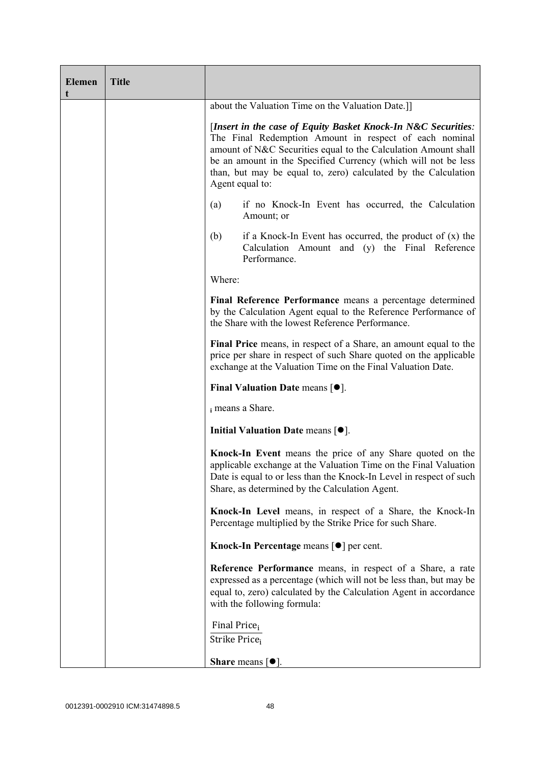| <b>Elemen</b><br>t | <b>Title</b> |                                                                                                                                                                                                                                                                                                                                                  |
|--------------------|--------------|--------------------------------------------------------------------------------------------------------------------------------------------------------------------------------------------------------------------------------------------------------------------------------------------------------------------------------------------------|
|                    |              | about the Valuation Time on the Valuation Date.]]                                                                                                                                                                                                                                                                                                |
|                    |              | [Insert in the case of Equity Basket Knock-In N&C Securities:<br>The Final Redemption Amount in respect of each nominal<br>amount of N&C Securities equal to the Calculation Amount shall<br>be an amount in the Specified Currency (which will not be less<br>than, but may be equal to, zero) calculated by the Calculation<br>Agent equal to: |
|                    |              | if no Knock-In Event has occurred, the Calculation<br>(a)<br>Amount; or                                                                                                                                                                                                                                                                          |
|                    |              | (b)<br>if a Knock-In Event has occurred, the product of $(x)$ the<br>Calculation Amount and (y) the Final Reference<br>Performance.                                                                                                                                                                                                              |
|                    |              | Where:                                                                                                                                                                                                                                                                                                                                           |
|                    |              | Final Reference Performance means a percentage determined<br>by the Calculation Agent equal to the Reference Performance of<br>the Share with the lowest Reference Performance.                                                                                                                                                                  |
|                    |              | Final Price means, in respect of a Share, an amount equal to the<br>price per share in respect of such Share quoted on the applicable<br>exchange at the Valuation Time on the Final Valuation Date.                                                                                                                                             |
|                    |              | Final Valuation Date means $[•]$ .                                                                                                                                                                                                                                                                                                               |
|                    |              | i means a Share.                                                                                                                                                                                                                                                                                                                                 |
|                    |              | Initial Valuation Date means $[•]$ .                                                                                                                                                                                                                                                                                                             |
|                    |              | Knock-In Event means the price of any Share quoted on the<br>applicable exchange at the Valuation Time on the Final Valuation<br>Date is equal to or less than the Knock-In Level in respect of such<br>Share, as determined by the Calculation Agent.                                                                                           |
|                    |              | Knock-In Level means, in respect of a Share, the Knock-In<br>Percentage multiplied by the Strike Price for such Share.                                                                                                                                                                                                                           |
|                    |              | Knock-In Percentage means [●] per cent.                                                                                                                                                                                                                                                                                                          |
|                    |              | <b>Reference Performance</b> means, in respect of a Share, a rate<br>expressed as a percentage (which will not be less than, but may be<br>equal to, zero) calculated by the Calculation Agent in accordance<br>with the following formula:                                                                                                      |
|                    |              | Final Price <sub>i</sub><br>Strike Price <sub>i</sub>                                                                                                                                                                                                                                                                                            |
|                    |              | <b>Share</b> means $\lceil \bullet \rceil$ .                                                                                                                                                                                                                                                                                                     |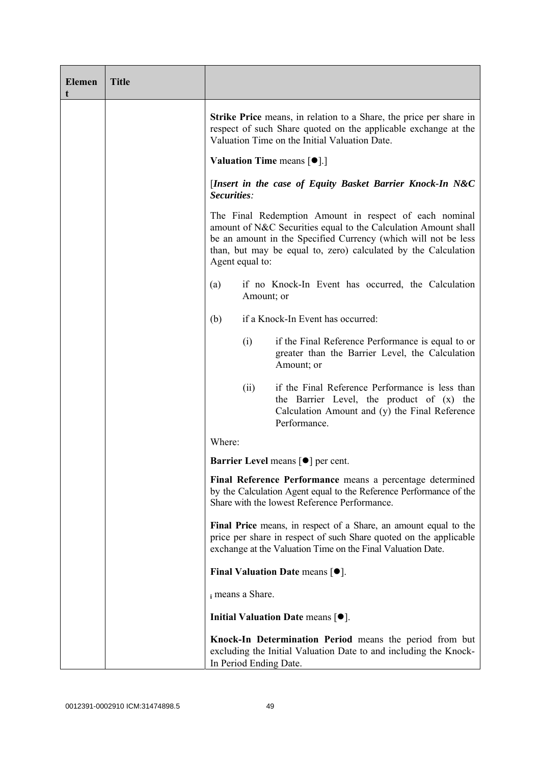| <b>Elemen</b><br>t | <b>Title</b> |                        |                                                                                                                                                                                                                                                              |
|--------------------|--------------|------------------------|--------------------------------------------------------------------------------------------------------------------------------------------------------------------------------------------------------------------------------------------------------------|
|                    |              |                        | <b>Strike Price</b> means, in relation to a Share, the price per share in<br>respect of such Share quoted on the applicable exchange at the<br>Valuation Time on the Initial Valuation Date.                                                                 |
|                    |              |                        | <b>Valuation Time means <math>\lceil \bullet \rceil</math>.</b>                                                                                                                                                                                              |
|                    |              | Securities:            | [Insert in the case of Equity Basket Barrier Knock-In N&C                                                                                                                                                                                                    |
|                    |              | Agent equal to:        | The Final Redemption Amount in respect of each nominal<br>amount of N&C Securities equal to the Calculation Amount shall<br>be an amount in the Specified Currency (which will not be less<br>than, but may be equal to, zero) calculated by the Calculation |
|                    |              | (a)                    | if no Knock-In Event has occurred, the Calculation<br>Amount; or                                                                                                                                                                                             |
|                    |              | (b)                    | if a Knock-In Event has occurred:                                                                                                                                                                                                                            |
|                    |              | (i)                    | if the Final Reference Performance is equal to or<br>greater than the Barrier Level, the Calculation<br>Amount; or                                                                                                                                           |
|                    |              | (ii)                   | if the Final Reference Performance is less than<br>the Barrier Level, the product of (x) the<br>Calculation Amount and (y) the Final Reference<br>Performance.                                                                                               |
|                    |              | Where:                 |                                                                                                                                                                                                                                                              |
|                    |              |                        | <b>Barrier Level</b> means $\lceil \bullet \rceil$ per cent.                                                                                                                                                                                                 |
|                    |              |                        | Final Reference Performance means a percentage determined<br>by the Calculation Agent equal to the Reference Performance of the<br>Share with the lowest Reference Performance.                                                                              |
|                    |              |                        | Final Price means, in respect of a Share, an amount equal to the<br>price per share in respect of such Share quoted on the applicable<br>exchange at the Valuation Time on the Final Valuation Date.                                                         |
|                    |              |                        | Final Valuation Date means $\lceil \bullet \rceil$ .                                                                                                                                                                                                         |
|                    |              | i means a Share.       |                                                                                                                                                                                                                                                              |
|                    |              |                        | Initial Valuation Date means $[•]$ .                                                                                                                                                                                                                         |
|                    |              | In Period Ending Date. | Knock-In Determination Period means the period from but<br>excluding the Initial Valuation Date to and including the Knock-                                                                                                                                  |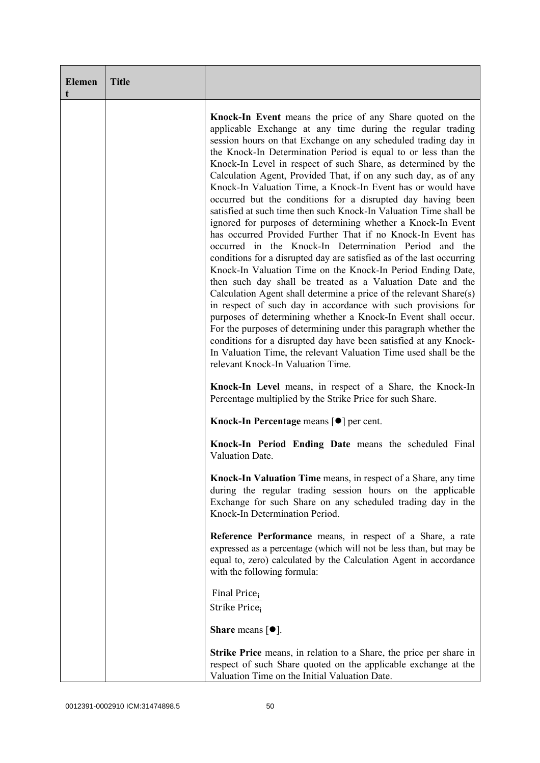| <b>Elemen</b><br>t | <b>Title</b> |                                                                                                                                                                                                                                                                                                                                                                                                                                                                                                                                                                                                                                                                                                                                                                                                                                                                                                                                                                                                                                                                                                                                                                                                                                                                                                                                                                                                                                                           |
|--------------------|--------------|-----------------------------------------------------------------------------------------------------------------------------------------------------------------------------------------------------------------------------------------------------------------------------------------------------------------------------------------------------------------------------------------------------------------------------------------------------------------------------------------------------------------------------------------------------------------------------------------------------------------------------------------------------------------------------------------------------------------------------------------------------------------------------------------------------------------------------------------------------------------------------------------------------------------------------------------------------------------------------------------------------------------------------------------------------------------------------------------------------------------------------------------------------------------------------------------------------------------------------------------------------------------------------------------------------------------------------------------------------------------------------------------------------------------------------------------------------------|
|                    |              | Knock-In Event means the price of any Share quoted on the<br>applicable Exchange at any time during the regular trading<br>session hours on that Exchange on any scheduled trading day in<br>the Knock-In Determination Period is equal to or less than the<br>Knock-In Level in respect of such Share, as determined by the<br>Calculation Agent, Provided That, if on any such day, as of any<br>Knock-In Valuation Time, a Knock-In Event has or would have<br>occurred but the conditions for a disrupted day having been<br>satisfied at such time then such Knock-In Valuation Time shall be<br>ignored for purposes of determining whether a Knock-In Event<br>has occurred Provided Further That if no Knock-In Event has<br>occurred in the Knock-In Determination Period and the<br>conditions for a disrupted day are satisfied as of the last occurring<br>Knock-In Valuation Time on the Knock-In Period Ending Date,<br>then such day shall be treated as a Valuation Date and the<br>Calculation Agent shall determine a price of the relevant Share(s)<br>in respect of such day in accordance with such provisions for<br>purposes of determining whether a Knock-In Event shall occur.<br>For the purposes of determining under this paragraph whether the<br>conditions for a disrupted day have been satisfied at any Knock-<br>In Valuation Time, the relevant Valuation Time used shall be the<br>relevant Knock-In Valuation Time. |
|                    |              | Knock-In Level means, in respect of a Share, the Knock-In<br>Percentage multiplied by the Strike Price for such Share.                                                                                                                                                                                                                                                                                                                                                                                                                                                                                                                                                                                                                                                                                                                                                                                                                                                                                                                                                                                                                                                                                                                                                                                                                                                                                                                                    |
|                    |              | Knock-In Percentage means [●] per cent.                                                                                                                                                                                                                                                                                                                                                                                                                                                                                                                                                                                                                                                                                                                                                                                                                                                                                                                                                                                                                                                                                                                                                                                                                                                                                                                                                                                                                   |
|                    |              | Knock-In Period Ending Date means the scheduled Final<br>Valuation Date.                                                                                                                                                                                                                                                                                                                                                                                                                                                                                                                                                                                                                                                                                                                                                                                                                                                                                                                                                                                                                                                                                                                                                                                                                                                                                                                                                                                  |
|                    |              | <b>Knock-In Valuation Time</b> means, in respect of a Share, any time<br>during the regular trading session hours on the applicable<br>Exchange for such Share on any scheduled trading day in the<br>Knock-In Determination Period.                                                                                                                                                                                                                                                                                                                                                                                                                                                                                                                                                                                                                                                                                                                                                                                                                                                                                                                                                                                                                                                                                                                                                                                                                      |
|                    |              | Reference Performance means, in respect of a Share, a rate<br>expressed as a percentage (which will not be less than, but may be<br>equal to, zero) calculated by the Calculation Agent in accordance<br>with the following formula:                                                                                                                                                                                                                                                                                                                                                                                                                                                                                                                                                                                                                                                                                                                                                                                                                                                                                                                                                                                                                                                                                                                                                                                                                      |
|                    |              | Final Price <sub>i</sub><br>Strike Price <sub>i</sub>                                                                                                                                                                                                                                                                                                                                                                                                                                                                                                                                                                                                                                                                                                                                                                                                                                                                                                                                                                                                                                                                                                                                                                                                                                                                                                                                                                                                     |
|                    |              | <b>Share</b> means $\lceil \bullet \rceil$ .                                                                                                                                                                                                                                                                                                                                                                                                                                                                                                                                                                                                                                                                                                                                                                                                                                                                                                                                                                                                                                                                                                                                                                                                                                                                                                                                                                                                              |
|                    |              | <b>Strike Price</b> means, in relation to a Share, the price per share in<br>respect of such Share quoted on the applicable exchange at the<br>Valuation Time on the Initial Valuation Date.                                                                                                                                                                                                                                                                                                                                                                                                                                                                                                                                                                                                                                                                                                                                                                                                                                                                                                                                                                                                                                                                                                                                                                                                                                                              |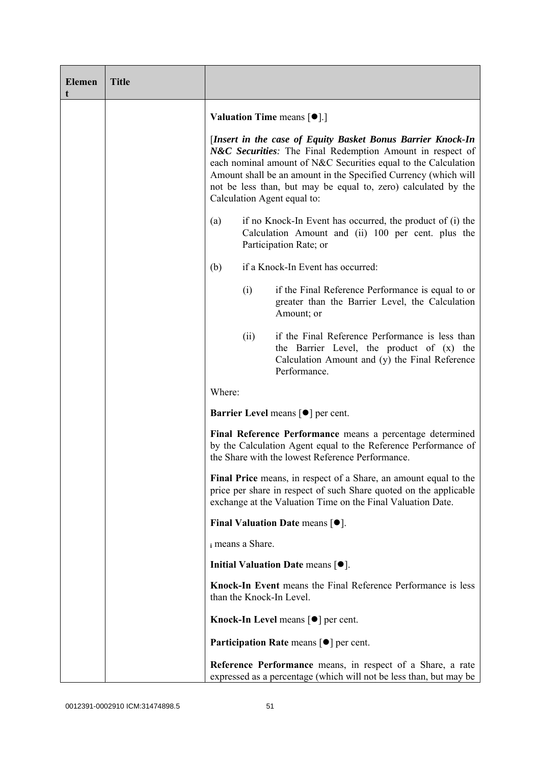| <b>Elemen</b><br>t | <b>Title</b> |        |                  |                                                                                                                                                                                                                                                                                                                                                                |
|--------------------|--------------|--------|------------------|----------------------------------------------------------------------------------------------------------------------------------------------------------------------------------------------------------------------------------------------------------------------------------------------------------------------------------------------------------------|
|                    |              |        |                  | <b>Valuation Time means <math>\lceil \bullet \rceil</math>.</b>                                                                                                                                                                                                                                                                                                |
|                    |              |        |                  | [Insert in the case of Equity Basket Bonus Barrier Knock-In<br>N&C Securities: The Final Redemption Amount in respect of<br>each nominal amount of N&C Securities equal to the Calculation<br>Amount shall be an amount in the Specified Currency (which will<br>not be less than, but may be equal to, zero) calculated by the<br>Calculation Agent equal to: |
|                    |              | (a)    |                  | if no Knock-In Event has occurred, the product of (i) the<br>Calculation Amount and (ii) 100 per cent. plus the<br>Participation Rate; or                                                                                                                                                                                                                      |
|                    |              | (b)    |                  | if a Knock-In Event has occurred:                                                                                                                                                                                                                                                                                                                              |
|                    |              |        | (i)              | if the Final Reference Performance is equal to or<br>greater than the Barrier Level, the Calculation<br>Amount; or                                                                                                                                                                                                                                             |
|                    |              |        | (ii)             | if the Final Reference Performance is less than<br>the Barrier Level, the product of (x) the<br>Calculation Amount and (y) the Final Reference<br>Performance.                                                                                                                                                                                                 |
|                    |              | Where: |                  |                                                                                                                                                                                                                                                                                                                                                                |
|                    |              |        |                  | <b>Barrier Level</b> means $\lceil \bullet \rceil$ per cent.                                                                                                                                                                                                                                                                                                   |
|                    |              |        |                  | Final Reference Performance means a percentage determined<br>by the Calculation Agent equal to the Reference Performance of<br>the Share with the lowest Reference Performance.                                                                                                                                                                                |
|                    |              |        |                  | Final Price means, in respect of a Share, an amount equal to the<br>price per share in respect of such Share quoted on the applicable<br>exchange at the Valuation Time on the Final Valuation Date.                                                                                                                                                           |
|                    |              |        |                  | Final Valuation Date means $[•]$ .                                                                                                                                                                                                                                                                                                                             |
|                    |              |        | i means a Share. |                                                                                                                                                                                                                                                                                                                                                                |
|                    |              |        |                  | Initial Valuation Date means $\lceil \bullet \rceil$ .                                                                                                                                                                                                                                                                                                         |
|                    |              |        |                  | Knock-In Event means the Final Reference Performance is less<br>than the Knock-In Level.                                                                                                                                                                                                                                                                       |
|                    |              |        |                  | <b>Knock-In Level means <math>\lceil \bullet \rceil</math> per cent.</b>                                                                                                                                                                                                                                                                                       |
|                    |              |        |                  | <b>Participation Rate means <math>\lceil \bullet \rceil</math> per cent.</b>                                                                                                                                                                                                                                                                                   |
|                    |              |        |                  | Reference Performance means, in respect of a Share, a rate<br>expressed as a percentage (which will not be less than, but may be                                                                                                                                                                                                                               |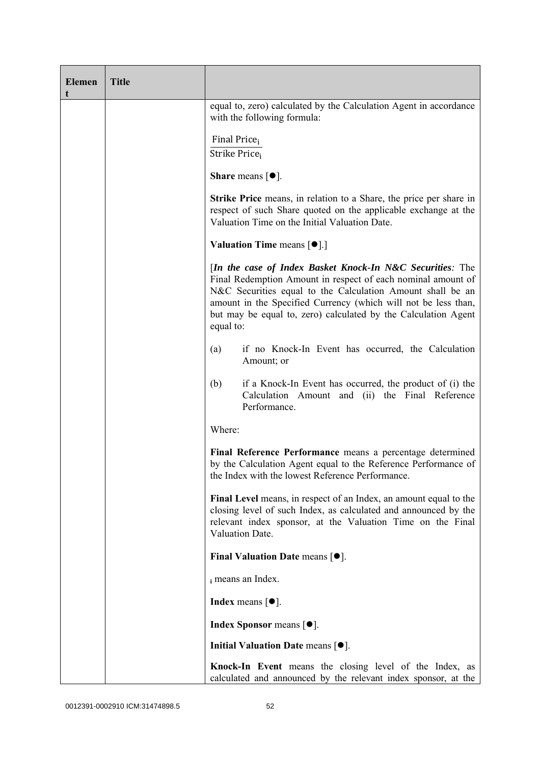| <b>Elemen</b><br>t | <b>Title</b> |                                                                                                                                                                                                                                                                                                                                          |
|--------------------|--------------|------------------------------------------------------------------------------------------------------------------------------------------------------------------------------------------------------------------------------------------------------------------------------------------------------------------------------------------|
|                    |              | equal to, zero) calculated by the Calculation Agent in accordance<br>with the following formula:                                                                                                                                                                                                                                         |
|                    |              | Final Price <sub>i</sub><br>Strike Price <sub>i</sub>                                                                                                                                                                                                                                                                                    |
|                    |              | Share means $[①]$ .                                                                                                                                                                                                                                                                                                                      |
|                    |              | <b>Strike Price</b> means, in relation to a Share, the price per share in<br>respect of such Share quoted on the applicable exchange at the<br>Valuation Time on the Initial Valuation Date.                                                                                                                                             |
|                    |              | <b>Valuation Time means <math>[\bullet]</math>.</b> ]                                                                                                                                                                                                                                                                                    |
|                    |              | [In the case of Index Basket Knock-In N&C Securities: The<br>Final Redemption Amount in respect of each nominal amount of<br>N&C Securities equal to the Calculation Amount shall be an<br>amount in the Specified Currency (which will not be less than,<br>but may be equal to, zero) calculated by the Calculation Agent<br>equal to: |
|                    |              | if no Knock-In Event has occurred, the Calculation<br>(a)<br>Amount; or                                                                                                                                                                                                                                                                  |
|                    |              | if a Knock-In Event has occurred, the product of (i) the<br>(b)<br>Calculation Amount and (ii) the Final Reference<br>Performance.                                                                                                                                                                                                       |
|                    |              | Where:                                                                                                                                                                                                                                                                                                                                   |
|                    |              | Final Reference Performance means a percentage determined<br>by the Calculation Agent equal to the Reference Performance of<br>the Index with the lowest Reference Performance.                                                                                                                                                          |
|                    |              | Final Level means, in respect of an Index, an amount equal to the<br>closing level of such Index, as calculated and announced by the<br>relevant index sponsor, at the Valuation Time on the Final<br>Valuation Date.                                                                                                                    |
|                    |              | Final Valuation Date means $[•]$ .                                                                                                                                                                                                                                                                                                       |
|                    |              | i means an Index.                                                                                                                                                                                                                                                                                                                        |
|                    |              | <b>Index</b> means $\lceil \bullet \rceil$ .                                                                                                                                                                                                                                                                                             |
|                    |              | <b>Index Sponsor</b> means $[•]$ .                                                                                                                                                                                                                                                                                                       |
|                    |              | Initial Valuation Date means $[•]$ .                                                                                                                                                                                                                                                                                                     |
|                    |              | Knock-In Event means the closing level of the Index, as<br>calculated and announced by the relevant index sponsor, at the                                                                                                                                                                                                                |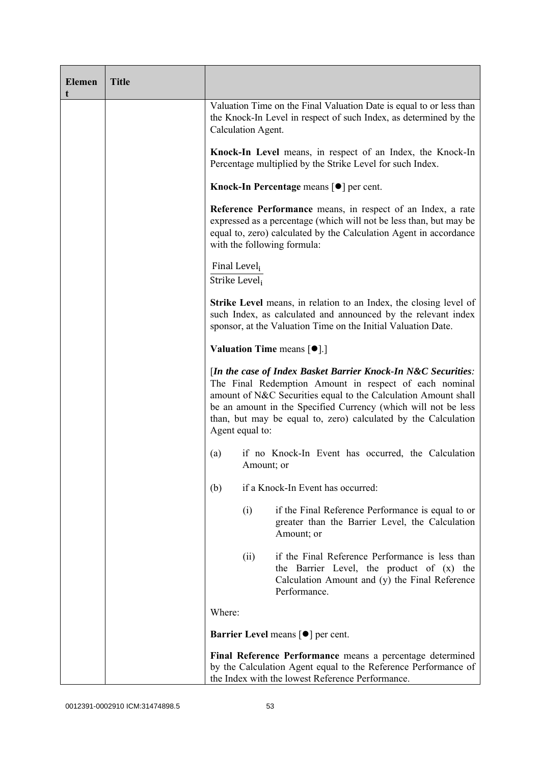| <b>Elemen</b><br>t | <b>Title</b> |                                                       |            |                                                                                                                                                                                                                                                                                                                               |
|--------------------|--------------|-------------------------------------------------------|------------|-------------------------------------------------------------------------------------------------------------------------------------------------------------------------------------------------------------------------------------------------------------------------------------------------------------------------------|
|                    |              | Calculation Agent.                                    |            | Valuation Time on the Final Valuation Date is equal to or less than<br>the Knock-In Level in respect of such Index, as determined by the                                                                                                                                                                                      |
|                    |              |                                                       |            | Knock-In Level means, in respect of an Index, the Knock-In<br>Percentage multiplied by the Strike Level for such Index.                                                                                                                                                                                                       |
|                    |              |                                                       |            | Knock-In Percentage means $\lceil \bullet \rceil$ per cent.                                                                                                                                                                                                                                                                   |
|                    |              |                                                       |            | Reference Performance means, in respect of an Index, a rate<br>expressed as a percentage (which will not be less than, but may be<br>equal to, zero) calculated by the Calculation Agent in accordance<br>with the following formula:                                                                                         |
|                    |              | Final Level <sub>i</sub><br>Strike Level <sub>i</sub> |            |                                                                                                                                                                                                                                                                                                                               |
|                    |              |                                                       |            | <b>Strike Level</b> means, in relation to an Index, the closing level of<br>such Index, as calculated and announced by the relevant index<br>sponsor, at the Valuation Time on the Initial Valuation Date.                                                                                                                    |
|                    |              |                                                       |            | <b>Valuation Time means <math>\lceil \bullet \rceil</math>.</b>                                                                                                                                                                                                                                                               |
|                    |              | Agent equal to:                                       |            | [In the case of Index Basket Barrier Knock-In N&C Securities:<br>The Final Redemption Amount in respect of each nominal<br>amount of N&C Securities equal to the Calculation Amount shall<br>be an amount in the Specified Currency (which will not be less<br>than, but may be equal to, zero) calculated by the Calculation |
|                    |              | (a)                                                   | Amount; or | if no Knock-In Event has occurred, the Calculation                                                                                                                                                                                                                                                                            |
|                    |              | (b)                                                   |            | if a Knock-In Event has occurred:                                                                                                                                                                                                                                                                                             |
|                    |              |                                                       | (i)        | if the Final Reference Performance is equal to or<br>greater than the Barrier Level, the Calculation<br>Amount; or                                                                                                                                                                                                            |
|                    |              |                                                       | (ii)       | if the Final Reference Performance is less than<br>the Barrier Level, the product of (x) the<br>Calculation Amount and (y) the Final Reference<br>Performance.                                                                                                                                                                |
|                    |              | Where:                                                |            |                                                                                                                                                                                                                                                                                                                               |
|                    |              |                                                       |            | <b>Barrier Level</b> means $\lceil \bullet \rceil$ per cent.                                                                                                                                                                                                                                                                  |
|                    |              |                                                       |            | Final Reference Performance means a percentage determined<br>by the Calculation Agent equal to the Reference Performance of<br>the Index with the lowest Reference Performance.                                                                                                                                               |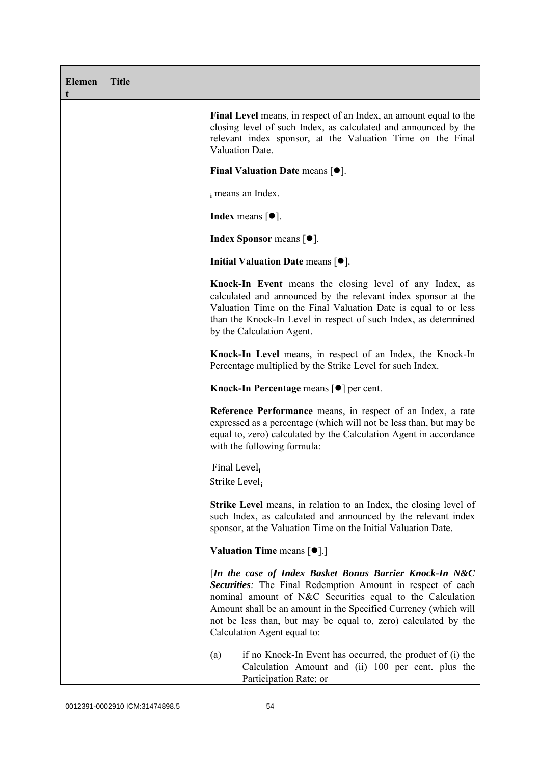| <b>Elemen</b><br>t | <b>Title</b> |                                                                                                                                                                                                                                                                                                                                                        |
|--------------------|--------------|--------------------------------------------------------------------------------------------------------------------------------------------------------------------------------------------------------------------------------------------------------------------------------------------------------------------------------------------------------|
|                    |              | Final Level means, in respect of an Index, an amount equal to the<br>closing level of such Index, as calculated and announced by the<br>relevant index sponsor, at the Valuation Time on the Final<br>Valuation Date.                                                                                                                                  |
|                    |              | Final Valuation Date means $[•]$ .                                                                                                                                                                                                                                                                                                                     |
|                    |              | i means an Index.                                                                                                                                                                                                                                                                                                                                      |
|                    |              | <b>Index</b> means $[•]$ .                                                                                                                                                                                                                                                                                                                             |
|                    |              | <b>Index Sponsor</b> means $[•]$ .                                                                                                                                                                                                                                                                                                                     |
|                    |              | Initial Valuation Date means $[•]$ .                                                                                                                                                                                                                                                                                                                   |
|                    |              | Knock-In Event means the closing level of any Index, as<br>calculated and announced by the relevant index sponsor at the<br>Valuation Time on the Final Valuation Date is equal to or less<br>than the Knock-In Level in respect of such Index, as determined<br>by the Calculation Agent.                                                             |
|                    |              | Knock-In Level means, in respect of an Index, the Knock-In<br>Percentage multiplied by the Strike Level for such Index.                                                                                                                                                                                                                                |
|                    |              | Knock-In Percentage means [●] per cent.                                                                                                                                                                                                                                                                                                                |
|                    |              | <b>Reference Performance</b> means, in respect of an Index, a rate<br>expressed as a percentage (which will not be less than, but may be<br>equal to, zero) calculated by the Calculation Agent in accordance<br>with the following formula:                                                                                                           |
|                    |              | Final Level,<br>Strike Level <sub>i</sub>                                                                                                                                                                                                                                                                                                              |
|                    |              | <b>Strike Level</b> means, in relation to an Index, the closing level of<br>such Index, as calculated and announced by the relevant index<br>sponsor, at the Valuation Time on the Initial Valuation Date.                                                                                                                                             |
|                    |              | <b>Valuation Time means <math>\lceil \bullet \rceil</math>.</b>                                                                                                                                                                                                                                                                                        |
|                    |              | [In the case of Index Basket Bonus Barrier Knock-In N&C<br>Securities: The Final Redemption Amount in respect of each<br>nominal amount of N&C Securities equal to the Calculation<br>Amount shall be an amount in the Specified Currency (which will<br>not be less than, but may be equal to, zero) calculated by the<br>Calculation Agent equal to: |
|                    |              | if no Knock-In Event has occurred, the product of (i) the<br>(a)<br>Calculation Amount and (ii) 100 per cent. plus the<br>Participation Rate; or                                                                                                                                                                                                       |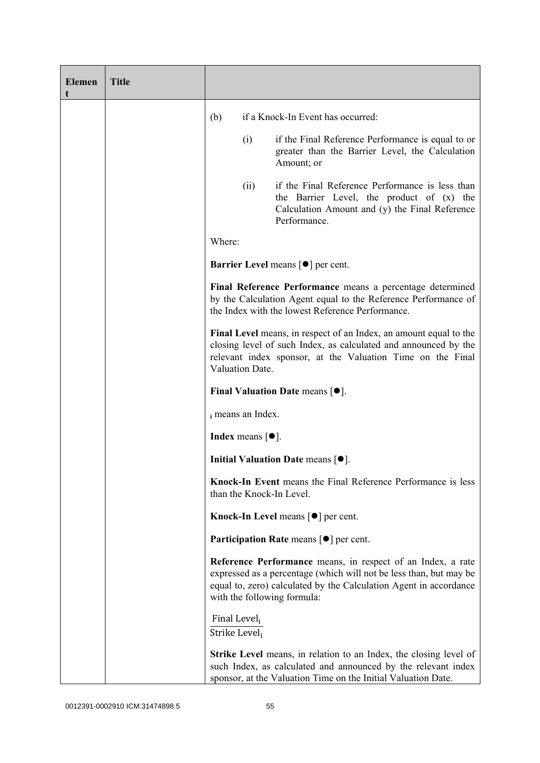| <b>Elemen</b><br>t | <b>Title</b> |                                                       |                                       |                                                                                                                                                                                                                                       |
|--------------------|--------------|-------------------------------------------------------|---------------------------------------|---------------------------------------------------------------------------------------------------------------------------------------------------------------------------------------------------------------------------------------|
|                    |              | (b)                                                   |                                       | if a Knock-In Event has occurred:                                                                                                                                                                                                     |
|                    |              |                                                       | (i)                                   | if the Final Reference Performance is equal to or<br>greater than the Barrier Level, the Calculation<br>Amount; or                                                                                                                    |
|                    |              |                                                       | (ii)                                  | if the Final Reference Performance is less than<br>the Barrier Level, the product of (x) the<br>Calculation Amount and (y) the Final Reference<br>Performance.                                                                        |
|                    |              | Where:                                                |                                       |                                                                                                                                                                                                                                       |
|                    |              |                                                       |                                       | <b>Barrier Level</b> means $\lceil \bullet \rceil$ per cent.                                                                                                                                                                          |
|                    |              |                                                       |                                       | Final Reference Performance means a percentage determined<br>by the Calculation Agent equal to the Reference Performance of<br>the Index with the lowest Reference Performance.                                                       |
|                    |              |                                                       | Valuation Date.                       | Final Level means, in respect of an Index, an amount equal to the<br>closing level of such Index, as calculated and announced by the<br>relevant index sponsor, at the Valuation Time on the Final                                    |
|                    |              |                                                       |                                       | Final Valuation Date means $[•]$ .                                                                                                                                                                                                    |
|                    |              |                                                       | i means an Index.                     |                                                                                                                                                                                                                                       |
|                    |              |                                                       | Index means $\lceil \bullet \rceil$ . |                                                                                                                                                                                                                                       |
|                    |              |                                                       |                                       | Initial Valuation Date means $[•]$ .                                                                                                                                                                                                  |
|                    |              |                                                       |                                       | Knock-In Event means the Final Reference Performance is less<br>than the Knock-In Level.                                                                                                                                              |
|                    |              |                                                       |                                       | <b>Knock-In Level means <math>\lceil \bullet \rceil</math> per cent.</b>                                                                                                                                                              |
|                    |              |                                                       |                                       | <b>Participation Rate</b> means $\lceil \bullet \rceil$ per cent.                                                                                                                                                                     |
|                    |              |                                                       |                                       | Reference Performance means, in respect of an Index, a rate<br>expressed as a percentage (which will not be less than, but may be<br>equal to, zero) calculated by the Calculation Agent in accordance<br>with the following formula: |
|                    |              | Final Level <sub>i</sub><br>Strike Level <sub>i</sub> |                                       |                                                                                                                                                                                                                                       |
|                    |              |                                                       |                                       | <b>Strike Level</b> means, in relation to an Index, the closing level of<br>such Index, as calculated and announced by the relevant index<br>sponsor, at the Valuation Time on the Initial Valuation Date.                            |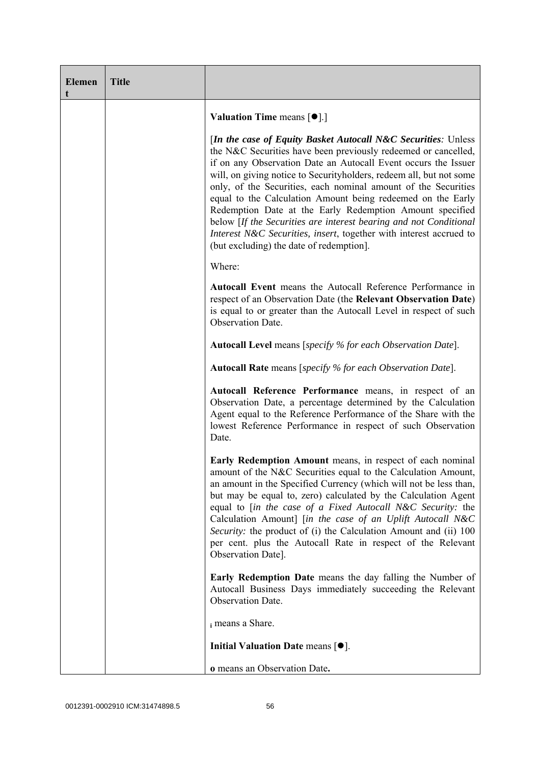| <b>Elemen</b><br>t | <b>Title</b> |                                                                                                                                                                                                                                                                                                                                                                                                                                                                                                                                                                                                                                                               |
|--------------------|--------------|---------------------------------------------------------------------------------------------------------------------------------------------------------------------------------------------------------------------------------------------------------------------------------------------------------------------------------------------------------------------------------------------------------------------------------------------------------------------------------------------------------------------------------------------------------------------------------------------------------------------------------------------------------------|
|                    |              | <b>Valuation Time means <math>\lceil \bullet \rceil</math>.</b>                                                                                                                                                                                                                                                                                                                                                                                                                                                                                                                                                                                               |
|                    |              | [In the case of Equity Basket Autocall N&C Securities: Unless<br>the N&C Securities have been previously redeemed or cancelled,<br>if on any Observation Date an Autocall Event occurs the Issuer<br>will, on giving notice to Security holders, redeem all, but not some<br>only, of the Securities, each nominal amount of the Securities<br>equal to the Calculation Amount being redeemed on the Early<br>Redemption Date at the Early Redemption Amount specified<br>below [If the Securities are interest bearing and not Conditional<br>Interest N&C Securities, insert, together with interest accrued to<br>(but excluding) the date of redemption]. |
|                    |              | Where:                                                                                                                                                                                                                                                                                                                                                                                                                                                                                                                                                                                                                                                        |
|                    |              | Autocall Event means the Autocall Reference Performance in<br>respect of an Observation Date (the Relevant Observation Date)<br>is equal to or greater than the Autocall Level in respect of such<br>Observation Date.                                                                                                                                                                                                                                                                                                                                                                                                                                        |
|                    |              | <b>Autocall Level</b> means [specify % for each Observation Date].                                                                                                                                                                                                                                                                                                                                                                                                                                                                                                                                                                                            |
|                    |              | <b>Autocall Rate</b> means [specify % for each Observation Date].                                                                                                                                                                                                                                                                                                                                                                                                                                                                                                                                                                                             |
|                    |              | Autocall Reference Performance means, in respect of an<br>Observation Date, a percentage determined by the Calculation<br>Agent equal to the Reference Performance of the Share with the<br>lowest Reference Performance in respect of such Observation<br>Date.                                                                                                                                                                                                                                                                                                                                                                                              |
|                    |              | Early Redemption Amount means, in respect of each nominal<br>amount of the N&C Securities equal to the Calculation Amount,<br>an amount in the Specified Currency (which will not be less than,<br>but may be equal to, zero) calculated by the Calculation Agent<br>equal to [in the case of a Fixed Autocall N&C Security: the<br>Calculation Amount] [in the case of an Uplift Autocall N&C<br>Security: the product of (i) the Calculation Amount and (ii) 100<br>per cent. plus the Autocall Rate in respect of the Relevant<br>Observation Date].                                                                                                       |
|                    |              | <b>Early Redemption Date</b> means the day falling the Number of<br>Autocall Business Days immediately succeeding the Relevant<br>Observation Date.                                                                                                                                                                                                                                                                                                                                                                                                                                                                                                           |
|                    |              | i means a Share.                                                                                                                                                                                                                                                                                                                                                                                                                                                                                                                                                                                                                                              |
|                    |              | Initial Valuation Date means $[•]$ .                                                                                                                                                                                                                                                                                                                                                                                                                                                                                                                                                                                                                          |
|                    |              | o means an Observation Date.                                                                                                                                                                                                                                                                                                                                                                                                                                                                                                                                                                                                                                  |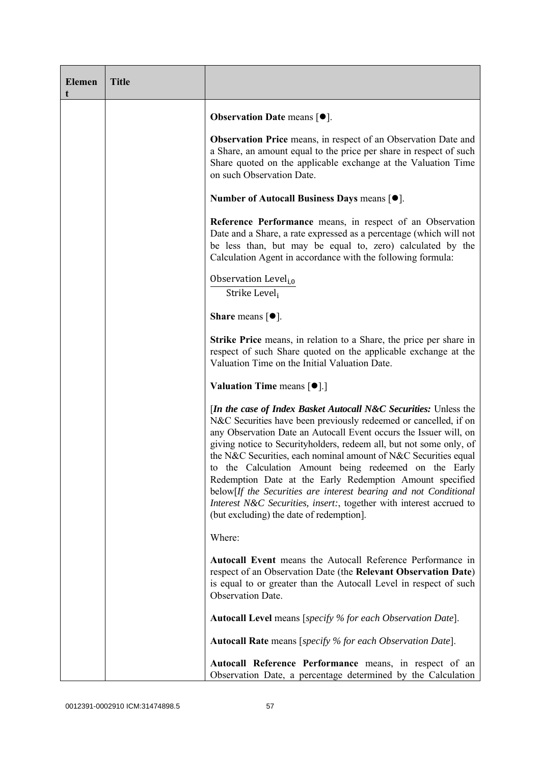| <b>Elemen</b><br>t | <b>Title</b> |                                                                                                                                                                                                                                                                                                                                                                                                                                                                                                                                                                                                                                                                 |
|--------------------|--------------|-----------------------------------------------------------------------------------------------------------------------------------------------------------------------------------------------------------------------------------------------------------------------------------------------------------------------------------------------------------------------------------------------------------------------------------------------------------------------------------------------------------------------------------------------------------------------------------------------------------------------------------------------------------------|
|                    |              | <b>Observation Date means <math>[•]</math>.</b>                                                                                                                                                                                                                                                                                                                                                                                                                                                                                                                                                                                                                 |
|                    |              | <b>Observation Price</b> means, in respect of an Observation Date and<br>a Share, an amount equal to the price per share in respect of such<br>Share quoted on the applicable exchange at the Valuation Time<br>on such Observation Date.                                                                                                                                                                                                                                                                                                                                                                                                                       |
|                    |              | Number of Autocall Business Days means [●].                                                                                                                                                                                                                                                                                                                                                                                                                                                                                                                                                                                                                     |
|                    |              | Reference Performance means, in respect of an Observation<br>Date and a Share, a rate expressed as a percentage (which will not<br>be less than, but may be equal to, zero) calculated by the<br>Calculation Agent in accordance with the following formula:                                                                                                                                                                                                                                                                                                                                                                                                    |
|                    |              | Observation Level <sub>i,0</sub><br>Strike Leveli                                                                                                                                                                                                                                                                                                                                                                                                                                                                                                                                                                                                               |
|                    |              | <b>Share</b> means $\lceil \bullet \rceil$ .                                                                                                                                                                                                                                                                                                                                                                                                                                                                                                                                                                                                                    |
|                    |              | <b>Strike Price</b> means, in relation to a Share, the price per share in<br>respect of such Share quoted on the applicable exchange at the<br>Valuation Time on the Initial Valuation Date.                                                                                                                                                                                                                                                                                                                                                                                                                                                                    |
|                    |              | <b>Valuation Time means <math>\lceil \bullet \rceil</math>.</b>                                                                                                                                                                                                                                                                                                                                                                                                                                                                                                                                                                                                 |
|                    |              | [In the case of Index Basket Autocall N&C Securities: Unless the<br>N&C Securities have been previously redeemed or cancelled, if on<br>any Observation Date an Autocall Event occurs the Issuer will, on<br>giving notice to Securityholders, redeem all, but not some only, of<br>the N&C Securities, each nominal amount of N&C Securities equal<br>to the Calculation Amount being redeemed on the Early<br>Redemption Date at the Early Redemption Amount specified<br>below[If the Securities are interest bearing and not Conditional<br>Interest N&C Securities, insert:, together with interest accrued to<br>(but excluding) the date of redemption]. |
|                    |              | Where:                                                                                                                                                                                                                                                                                                                                                                                                                                                                                                                                                                                                                                                          |
|                    |              | <b>Autocall Event</b> means the Autocall Reference Performance in<br>respect of an Observation Date (the Relevant Observation Date)<br>is equal to or greater than the Autocall Level in respect of such<br>Observation Date.                                                                                                                                                                                                                                                                                                                                                                                                                                   |
|                    |              | <b>Autocall Level</b> means [specify % for each Observation Date].                                                                                                                                                                                                                                                                                                                                                                                                                                                                                                                                                                                              |
|                    |              | <b>Autocall Rate</b> means [specify % for each Observation Date].                                                                                                                                                                                                                                                                                                                                                                                                                                                                                                                                                                                               |
|                    |              | Autocall Reference Performance means, in respect of an<br>Observation Date, a percentage determined by the Calculation                                                                                                                                                                                                                                                                                                                                                                                                                                                                                                                                          |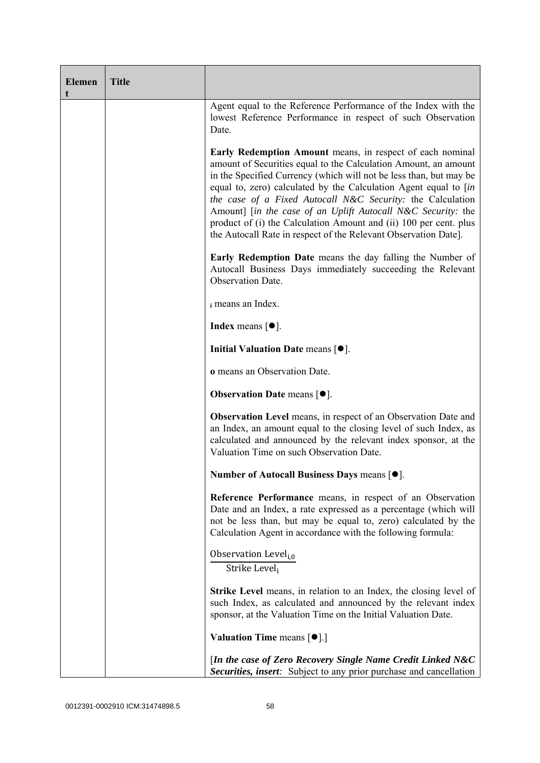| <b>Elemen</b><br>t | <b>Title</b> |                                                                                                                                                                                                                                                                                                                                                                                                                                                                                                                                              |
|--------------------|--------------|----------------------------------------------------------------------------------------------------------------------------------------------------------------------------------------------------------------------------------------------------------------------------------------------------------------------------------------------------------------------------------------------------------------------------------------------------------------------------------------------------------------------------------------------|
|                    |              | Agent equal to the Reference Performance of the Index with the<br>lowest Reference Performance in respect of such Observation<br>Date.                                                                                                                                                                                                                                                                                                                                                                                                       |
|                    |              | Early Redemption Amount means, in respect of each nominal<br>amount of Securities equal to the Calculation Amount, an amount<br>in the Specified Currency (which will not be less than, but may be<br>equal to, zero) calculated by the Calculation Agent equal to [in<br>the case of a Fixed Autocall N&C Security: the Calculation<br>Amount] [in the case of an Uplift Autocall N&C Security: the<br>product of (i) the Calculation Amount and (ii) 100 per cent. plus<br>the Autocall Rate in respect of the Relevant Observation Date]. |
|                    |              | <b>Early Redemption Date</b> means the day falling the Number of<br>Autocall Business Days immediately succeeding the Relevant<br><b>Observation Date.</b>                                                                                                                                                                                                                                                                                                                                                                                   |
|                    |              | i means an Index.                                                                                                                                                                                                                                                                                                                                                                                                                                                                                                                            |
|                    |              | Index means $[•]$ .                                                                                                                                                                                                                                                                                                                                                                                                                                                                                                                          |
|                    |              | Initial Valuation Date means [ $\bullet$ ].                                                                                                                                                                                                                                                                                                                                                                                                                                                                                                  |
|                    |              | o means an Observation Date.                                                                                                                                                                                                                                                                                                                                                                                                                                                                                                                 |
|                    |              | <b>Observation Date means <math>\lceil \bullet \rceil</math>.</b>                                                                                                                                                                                                                                                                                                                                                                                                                                                                            |
|                    |              | <b>Observation Level</b> means, in respect of an Observation Date and<br>an Index, an amount equal to the closing level of such Index, as<br>calculated and announced by the relevant index sponsor, at the<br>Valuation Time on such Observation Date.                                                                                                                                                                                                                                                                                      |
|                    |              | Number of Autocall Business Days means [●].                                                                                                                                                                                                                                                                                                                                                                                                                                                                                                  |
|                    |              | Reference Performance means, in respect of an Observation<br>Date and an Index, a rate expressed as a percentage (which will<br>not be less than, but may be equal to, zero) calculated by the<br>Calculation Agent in accordance with the following formula:                                                                                                                                                                                                                                                                                |
|                    |              | Observation Level <sub>i,0</sub><br>Strike Level <sub>i</sub>                                                                                                                                                                                                                                                                                                                                                                                                                                                                                |
|                    |              | <b>Strike Level</b> means, in relation to an Index, the closing level of<br>such Index, as calculated and announced by the relevant index<br>sponsor, at the Valuation Time on the Initial Valuation Date.                                                                                                                                                                                                                                                                                                                                   |
|                    |              | <b>Valuation Time means <math>\lceil \bullet \rceil</math>.</b>                                                                                                                                                                                                                                                                                                                                                                                                                                                                              |
|                    |              | [In the case of Zero Recovery Single Name Credit Linked N&C<br><b>Securities, insert:</b> Subject to any prior purchase and cancellation                                                                                                                                                                                                                                                                                                                                                                                                     |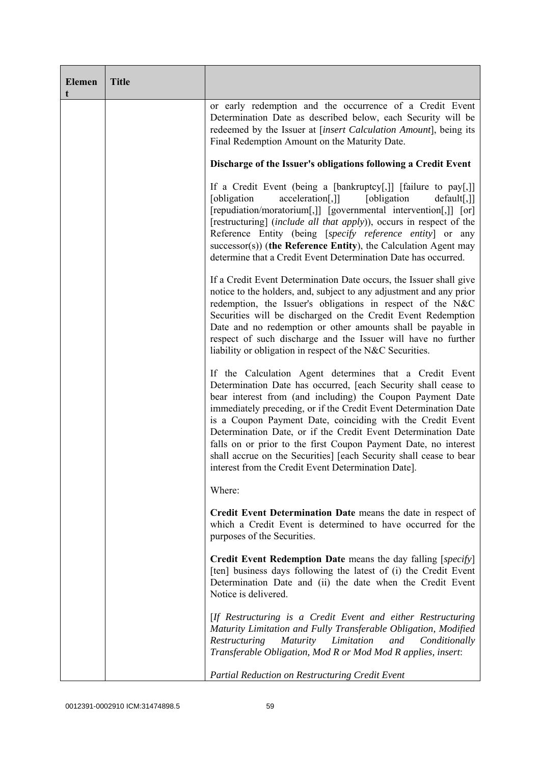| <b>Elemen</b><br>t | <b>Title</b> |                                                                                                                                                                                                                                                                                                                                                                                                                                                                                                                                                                                            |
|--------------------|--------------|--------------------------------------------------------------------------------------------------------------------------------------------------------------------------------------------------------------------------------------------------------------------------------------------------------------------------------------------------------------------------------------------------------------------------------------------------------------------------------------------------------------------------------------------------------------------------------------------|
|                    |              | or early redemption and the occurrence of a Credit Event<br>Determination Date as described below, each Security will be<br>redeemed by the Issuer at [insert Calculation Amount], being its<br>Final Redemption Amount on the Maturity Date.                                                                                                                                                                                                                                                                                                                                              |
|                    |              | Discharge of the Issuer's obligations following a Credit Event                                                                                                                                                                                                                                                                                                                                                                                                                                                                                                                             |
|                    |              | If a Credit Event (being a [bankruptcy[,]] [failure to pay[,]]<br>acceleration[,]]<br>[obligation]<br>[obligation]<br>$default[,$ ]<br>[repudiation/moratorium[,]] [governmental intervention[,]] [or]<br>[restructuring] ( <i>include all that apply</i> )), occurs in respect of the<br>Reference Entity (being [specify reference entity] or any<br>$successor(s)$ ) (the Reference Entity), the Calculation Agent may<br>determine that a Credit Event Determination Date has occurred.                                                                                                |
|                    |              | If a Credit Event Determination Date occurs, the Issuer shall give<br>notice to the holders, and, subject to any adjustment and any prior<br>redemption, the Issuer's obligations in respect of the N&C<br>Securities will be discharged on the Credit Event Redemption<br>Date and no redemption or other amounts shall be payable in<br>respect of such discharge and the Issuer will have no further<br>liability or obligation in respect of the N&C Securities.                                                                                                                       |
|                    |              | If the Calculation Agent determines that a Credit Event<br>Determination Date has occurred, [each Security shall cease to<br>bear interest from (and including) the Coupon Payment Date<br>immediately preceding, or if the Credit Event Determination Date<br>is a Coupon Payment Date, coinciding with the Credit Event<br>Determination Date, or if the Credit Event Determination Date<br>falls on or prior to the first Coupon Payment Date, no interest<br>shall accrue on the Securities] [each Security shall cease to bear<br>interest from the Credit Event Determination Date]. |
|                    |              | Where:                                                                                                                                                                                                                                                                                                                                                                                                                                                                                                                                                                                     |
|                    |              | Credit Event Determination Date means the date in respect of<br>which a Credit Event is determined to have occurred for the<br>purposes of the Securities.                                                                                                                                                                                                                                                                                                                                                                                                                                 |
|                    |              | <b>Credit Event Redemption Date</b> means the day falling [specify]<br>[ten] business days following the latest of (i) the Credit Event<br>Determination Date and (ii) the date when the Credit Event<br>Notice is delivered.                                                                                                                                                                                                                                                                                                                                                              |
|                    |              | [If Restructuring is a Credit Event and either Restructuring<br>Maturity Limitation and Fully Transferable Obligation, Modified<br>Limitation<br>Restructuring<br><b>Maturity</b><br>and<br>Conditionally<br>Transferable Obligation, Mod R or Mod Mod R applies, insert:                                                                                                                                                                                                                                                                                                                  |
|                    |              | Partial Reduction on Restructuring Credit Event                                                                                                                                                                                                                                                                                                                                                                                                                                                                                                                                            |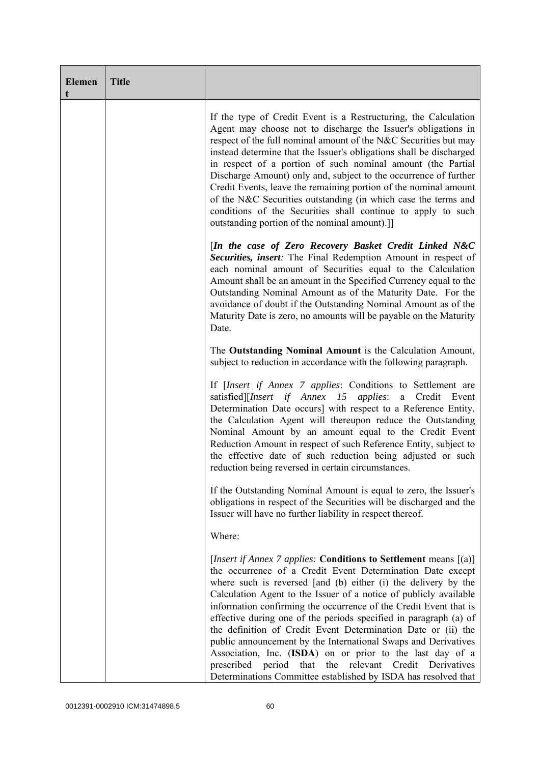| <b>Elemen</b><br>t | <b>Title</b> |                                                                                                                                                                                                                                                                                                                                                                                                                                                                                                                                                                                                                                                                                                                                                          |
|--------------------|--------------|----------------------------------------------------------------------------------------------------------------------------------------------------------------------------------------------------------------------------------------------------------------------------------------------------------------------------------------------------------------------------------------------------------------------------------------------------------------------------------------------------------------------------------------------------------------------------------------------------------------------------------------------------------------------------------------------------------------------------------------------------------|
|                    |              | If the type of Credit Event is a Restructuring, the Calculation<br>Agent may choose not to discharge the Issuer's obligations in<br>respect of the full nominal amount of the N&C Securities but may<br>instead determine that the Issuer's obligations shall be discharged<br>in respect of a portion of such nominal amount (the Partial<br>Discharge Amount) only and, subject to the occurrence of further<br>Credit Events, leave the remaining portion of the nominal amount<br>of the N&C Securities outstanding (in which case the terms and<br>conditions of the Securities shall continue to apply to such<br>outstanding portion of the nominal amount).]                                                                                     |
|                    |              | [In the case of Zero Recovery Basket Credit Linked N&C<br>Securities, insert: The Final Redemption Amount in respect of<br>each nominal amount of Securities equal to the Calculation<br>Amount shall be an amount in the Specified Currency equal to the<br>Outstanding Nominal Amount as of the Maturity Date. For the<br>avoidance of doubt if the Outstanding Nominal Amount as of the<br>Maturity Date is zero, no amounts will be payable on the Maturity<br>Date.                                                                                                                                                                                                                                                                                 |
|                    |              | The Outstanding Nominal Amount is the Calculation Amount,<br>subject to reduction in accordance with the following paragraph.                                                                                                                                                                                                                                                                                                                                                                                                                                                                                                                                                                                                                            |
|                    |              | If <i>[Insert if Annex 7 applies: Conditions to Settlement are</i><br>satisfied][Insert if Annex 15 applies: a Credit Event<br>Determination Date occurs] with respect to a Reference Entity,<br>the Calculation Agent will thereupon reduce the Outstanding<br>Nominal Amount by an amount equal to the Credit Event<br>Reduction Amount in respect of such Reference Entity, subject to<br>the effective date of such reduction being adjusted or such<br>reduction being reversed in certain circumstances.                                                                                                                                                                                                                                           |
|                    |              | If the Outstanding Nominal Amount is equal to zero, the Issuer's<br>obligations in respect of the Securities will be discharged and the<br>Issuer will have no further liability in respect thereof.                                                                                                                                                                                                                                                                                                                                                                                                                                                                                                                                                     |
|                    |              | Where:                                                                                                                                                                                                                                                                                                                                                                                                                                                                                                                                                                                                                                                                                                                                                   |
|                    |              | [ <i>Insert if Annex 7 applies:</i> Conditions to Settlement means $[(a)]$<br>the occurrence of a Credit Event Determination Date except<br>where such is reversed [and (b) either (i) the delivery by the<br>Calculation Agent to the Issuer of a notice of publicly available<br>information confirming the occurrence of the Credit Event that is<br>effective during one of the periods specified in paragraph (a) of<br>the definition of Credit Event Determination Date or (ii) the<br>public announcement by the International Swaps and Derivatives<br>Association, Inc. (ISDA) on or prior to the last day of a<br>prescribed period that<br>the relevant Credit Derivatives<br>Determinations Committee established by ISDA has resolved that |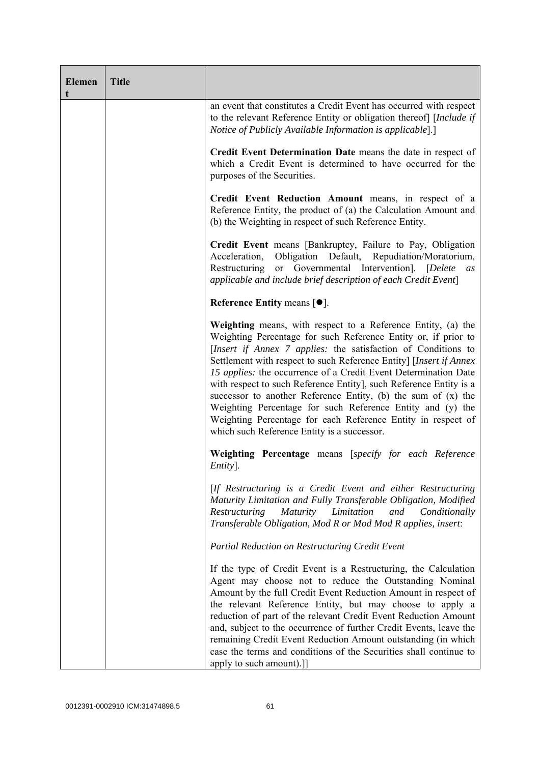| <b>Elemen</b><br>t | <b>Title</b> |                                                                                                                                                                                                                                                                                                                                                                                                                                                                                                                                                                                                                                                              |
|--------------------|--------------|--------------------------------------------------------------------------------------------------------------------------------------------------------------------------------------------------------------------------------------------------------------------------------------------------------------------------------------------------------------------------------------------------------------------------------------------------------------------------------------------------------------------------------------------------------------------------------------------------------------------------------------------------------------|
|                    |              | an event that constitutes a Credit Event has occurred with respect<br>to the relevant Reference Entity or obligation thereof [Include if<br>Notice of Publicly Available Information is applicable].]                                                                                                                                                                                                                                                                                                                                                                                                                                                        |
|                    |              | Credit Event Determination Date means the date in respect of<br>which a Credit Event is determined to have occurred for the<br>purposes of the Securities.                                                                                                                                                                                                                                                                                                                                                                                                                                                                                                   |
|                    |              | Credit Event Reduction Amount means, in respect of a<br>Reference Entity, the product of (a) the Calculation Amount and<br>(b) the Weighting in respect of such Reference Entity.                                                                                                                                                                                                                                                                                                                                                                                                                                                                            |
|                    |              | Credit Event means [Bankruptcy, Failure to Pay, Obligation<br>Obligation Default, Repudiation/Moratorium,<br>Acceleration,<br>Restructuring or Governmental Intervention]. [Delete<br>as<br>applicable and include brief description of each Credit Event]                                                                                                                                                                                                                                                                                                                                                                                                   |
|                    |              | Reference Entity means $[•]$ .                                                                                                                                                                                                                                                                                                                                                                                                                                                                                                                                                                                                                               |
|                    |              | Weighting means, with respect to a Reference Entity, (a) the<br>Weighting Percentage for such Reference Entity or, if prior to<br>[Insert if Annex 7 applies: the satisfaction of Conditions to<br>Settlement with respect to such Reference Entity] [Insert if Annex<br>15 applies: the occurrence of a Credit Event Determination Date<br>with respect to such Reference Entity], such Reference Entity is a<br>successor to another Reference Entity, (b) the sum of (x) the<br>Weighting Percentage for such Reference Entity and (y) the<br>Weighting Percentage for each Reference Entity in respect of<br>which such Reference Entity is a successor. |
|                    |              | Weighting Percentage means [specify for each Reference<br>Entity].                                                                                                                                                                                                                                                                                                                                                                                                                                                                                                                                                                                           |
|                    |              | [If Restructuring is a Credit Event and either Restructuring<br>Maturity Limitation and Fully Transferable Obligation, Modified<br><i>Maturity</i><br>Limitation<br>Restructuring<br>and<br>Conditionally<br>Transferable Obligation, Mod R or Mod Mod R applies, insert:                                                                                                                                                                                                                                                                                                                                                                                    |
|                    |              | Partial Reduction on Restructuring Credit Event                                                                                                                                                                                                                                                                                                                                                                                                                                                                                                                                                                                                              |
|                    |              | If the type of Credit Event is a Restructuring, the Calculation<br>Agent may choose not to reduce the Outstanding Nominal<br>Amount by the full Credit Event Reduction Amount in respect of<br>the relevant Reference Entity, but may choose to apply a<br>reduction of part of the relevant Credit Event Reduction Amount<br>and, subject to the occurrence of further Credit Events, leave the<br>remaining Credit Event Reduction Amount outstanding (in which<br>case the terms and conditions of the Securities shall continue to<br>apply to such amount).]]                                                                                           |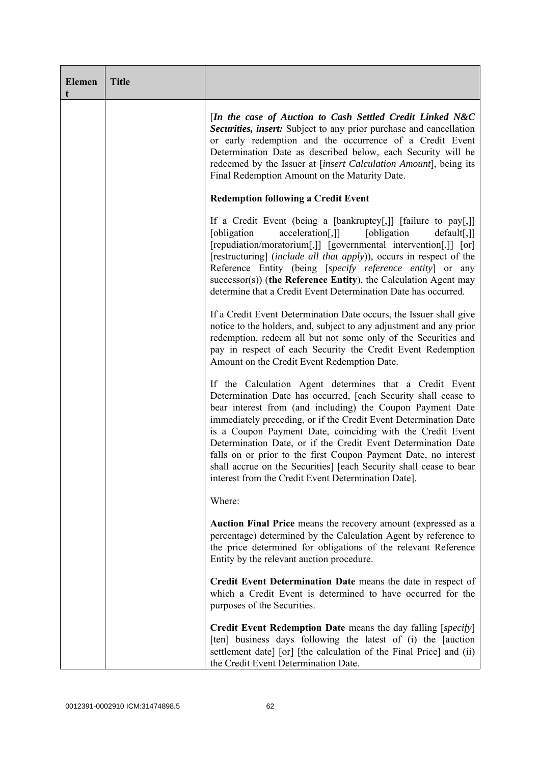| <b>Elemen</b><br>t | <b>Title</b> |                                                                                                                                                                                                                                                                                                                                                                                                                                                                                                                                                                                            |
|--------------------|--------------|--------------------------------------------------------------------------------------------------------------------------------------------------------------------------------------------------------------------------------------------------------------------------------------------------------------------------------------------------------------------------------------------------------------------------------------------------------------------------------------------------------------------------------------------------------------------------------------------|
|                    |              | [In the case of Auction to Cash Settled Credit Linked N&C<br>Securities, insert: Subject to any prior purchase and cancellation<br>or early redemption and the occurrence of a Credit Event<br>Determination Date as described below, each Security will be<br>redeemed by the Issuer at [insert Calculation Amount], being its<br>Final Redemption Amount on the Maturity Date.                                                                                                                                                                                                           |
|                    |              | <b>Redemption following a Credit Event</b>                                                                                                                                                                                                                                                                                                                                                                                                                                                                                                                                                 |
|                    |              | If a Credit Event (being a [bankruptcy[,]] [failure to pay[,]]<br>[obligation<br>acceleration[,]]<br>[obligation]<br>$default[,$ ]]<br>[repudiation/moratorium[,]] [governmental intervention[,]] [or]<br>[restructuring] (include all that apply)), occurs in respect of the<br>Reference Entity (being [specify reference entity] or any<br>successor(s)) (the Reference Entity), the Calculation Agent may<br>determine that a Credit Event Determination Date has occurred.                                                                                                            |
|                    |              | If a Credit Event Determination Date occurs, the Issuer shall give<br>notice to the holders, and, subject to any adjustment and any prior<br>redemption, redeem all but not some only of the Securities and<br>pay in respect of each Security the Credit Event Redemption<br>Amount on the Credit Event Redemption Date.                                                                                                                                                                                                                                                                  |
|                    |              | If the Calculation Agent determines that a Credit Event<br>Determination Date has occurred, [each Security shall cease to<br>bear interest from (and including) the Coupon Payment Date<br>immediately preceding, or if the Credit Event Determination Date<br>is a Coupon Payment Date, coinciding with the Credit Event<br>Determination Date, or if the Credit Event Determination Date<br>falls on or prior to the first Coupon Payment Date, no interest<br>shall accrue on the Securities] [each Security shall cease to bear<br>interest from the Credit Event Determination Date]. |
|                    |              | Where:                                                                                                                                                                                                                                                                                                                                                                                                                                                                                                                                                                                     |
|                    |              | Auction Final Price means the recovery amount (expressed as a<br>percentage) determined by the Calculation Agent by reference to<br>the price determined for obligations of the relevant Reference<br>Entity by the relevant auction procedure.                                                                                                                                                                                                                                                                                                                                            |
|                    |              | Credit Event Determination Date means the date in respect of<br>which a Credit Event is determined to have occurred for the<br>purposes of the Securities.                                                                                                                                                                                                                                                                                                                                                                                                                                 |
|                    |              | Credit Event Redemption Date means the day falling [specify]<br>[ten] business days following the latest of (i) the [auction<br>settlement date] [or] [the calculation of the Final Price] and (ii)<br>the Credit Event Determination Date.                                                                                                                                                                                                                                                                                                                                                |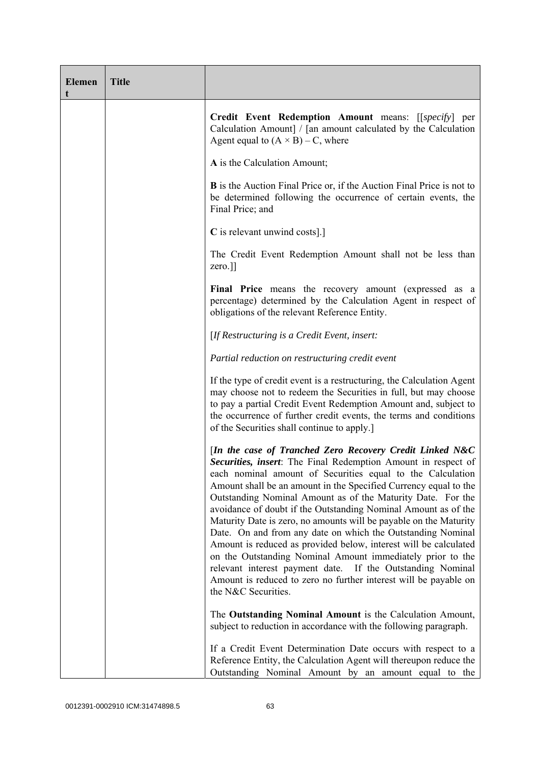| <b>Elemen</b><br>t | <b>Title</b> |                                                                                                                                                                                                                                                                                                                                                                                                                                                                                                                                                                                                                                                                                                                                                                                                                             |
|--------------------|--------------|-----------------------------------------------------------------------------------------------------------------------------------------------------------------------------------------------------------------------------------------------------------------------------------------------------------------------------------------------------------------------------------------------------------------------------------------------------------------------------------------------------------------------------------------------------------------------------------------------------------------------------------------------------------------------------------------------------------------------------------------------------------------------------------------------------------------------------|
|                    |              | Credit Event Redemption Amount means: [[specify] per<br>Calculation Amount] / [an amount calculated by the Calculation<br>Agent equal to $(A \times B) - C$ , where                                                                                                                                                                                                                                                                                                                                                                                                                                                                                                                                                                                                                                                         |
|                    |              | A is the Calculation Amount;                                                                                                                                                                                                                                                                                                                                                                                                                                                                                                                                                                                                                                                                                                                                                                                                |
|                    |              | <b>B</b> is the Auction Final Price or, if the Auction Final Price is not to<br>be determined following the occurrence of certain events, the<br>Final Price; and                                                                                                                                                                                                                                                                                                                                                                                                                                                                                                                                                                                                                                                           |
|                    |              | C is relevant unwind costs].]                                                                                                                                                                                                                                                                                                                                                                                                                                                                                                                                                                                                                                                                                                                                                                                               |
|                    |              | The Credit Event Redemption Amount shall not be less than<br>zero.]]                                                                                                                                                                                                                                                                                                                                                                                                                                                                                                                                                                                                                                                                                                                                                        |
|                    |              | Final Price means the recovery amount (expressed as a<br>percentage) determined by the Calculation Agent in respect of<br>obligations of the relevant Reference Entity.                                                                                                                                                                                                                                                                                                                                                                                                                                                                                                                                                                                                                                                     |
|                    |              | [If Restructuring is a Credit Event, insert:                                                                                                                                                                                                                                                                                                                                                                                                                                                                                                                                                                                                                                                                                                                                                                                |
|                    |              | Partial reduction on restructuring credit event                                                                                                                                                                                                                                                                                                                                                                                                                                                                                                                                                                                                                                                                                                                                                                             |
|                    |              | If the type of credit event is a restructuring, the Calculation Agent<br>may choose not to redeem the Securities in full, but may choose<br>to pay a partial Credit Event Redemption Amount and, subject to<br>the occurrence of further credit events, the terms and conditions<br>of the Securities shall continue to apply.                                                                                                                                                                                                                                                                                                                                                                                                                                                                                              |
|                    |              | [In the case of Tranched Zero Recovery Credit Linked N&C<br>Securities, insert: The Final Redemption Amount in respect of<br>each nominal amount of Securities equal to the Calculation<br>Amount shall be an amount in the Specified Currency equal to the<br>Outstanding Nominal Amount as of the Maturity Date. For the<br>avoidance of doubt if the Outstanding Nominal Amount as of the<br>Maturity Date is zero, no amounts will be payable on the Maturity<br>Date. On and from any date on which the Outstanding Nominal<br>Amount is reduced as provided below, interest will be calculated<br>on the Outstanding Nominal Amount immediately prior to the<br>relevant interest payment date. If the Outstanding Nominal<br>Amount is reduced to zero no further interest will be payable on<br>the N&C Securities. |
|                    |              | The Outstanding Nominal Amount is the Calculation Amount,<br>subject to reduction in accordance with the following paragraph.                                                                                                                                                                                                                                                                                                                                                                                                                                                                                                                                                                                                                                                                                               |
|                    |              | If a Credit Event Determination Date occurs with respect to a<br>Reference Entity, the Calculation Agent will thereupon reduce the<br>Outstanding Nominal Amount by an amount equal to the                                                                                                                                                                                                                                                                                                                                                                                                                                                                                                                                                                                                                                  |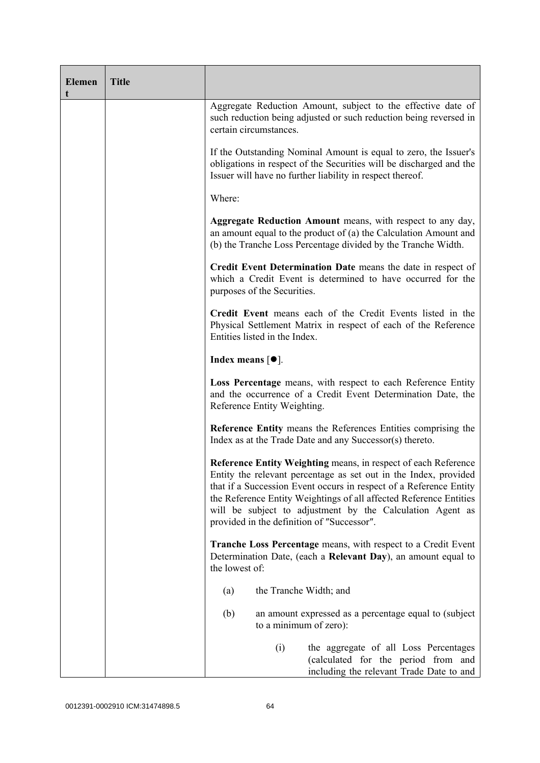| <b>Elemen</b><br>t | <b>Title</b> |                                                                                                                                                                                                                                                                                                                                                                                           |
|--------------------|--------------|-------------------------------------------------------------------------------------------------------------------------------------------------------------------------------------------------------------------------------------------------------------------------------------------------------------------------------------------------------------------------------------------|
|                    |              | Aggregate Reduction Amount, subject to the effective date of<br>such reduction being adjusted or such reduction being reversed in<br>certain circumstances.                                                                                                                                                                                                                               |
|                    |              | If the Outstanding Nominal Amount is equal to zero, the Issuer's<br>obligations in respect of the Securities will be discharged and the<br>Issuer will have no further liability in respect thereof.                                                                                                                                                                                      |
|                    |              | Where:                                                                                                                                                                                                                                                                                                                                                                                    |
|                    |              | Aggregate Reduction Amount means, with respect to any day,<br>an amount equal to the product of (a) the Calculation Amount and<br>(b) the Tranche Loss Percentage divided by the Tranche Width.                                                                                                                                                                                           |
|                    |              | Credit Event Determination Date means the date in respect of<br>which a Credit Event is determined to have occurred for the<br>purposes of the Securities.                                                                                                                                                                                                                                |
|                    |              | Credit Event means each of the Credit Events listed in the<br>Physical Settlement Matrix in respect of each of the Reference<br>Entities listed in the Index.                                                                                                                                                                                                                             |
|                    |              | Index means $[•]$ .                                                                                                                                                                                                                                                                                                                                                                       |
|                    |              | Loss Percentage means, with respect to each Reference Entity<br>and the occurrence of a Credit Event Determination Date, the<br>Reference Entity Weighting.                                                                                                                                                                                                                               |
|                    |              | <b>Reference Entity means the References Entities comprising the</b><br>Index as at the Trade Date and any Successor(s) thereto.                                                                                                                                                                                                                                                          |
|                    |              | Reference Entity Weighting means, in respect of each Reference<br>Entity the relevant percentage as set out in the Index, provided<br>that if a Succession Event occurs in respect of a Reference Entity<br>the Reference Entity Weightings of all affected Reference Entities<br>will be subject to adjustment by the Calculation Agent as<br>provided in the definition of "Successor". |
|                    |              | <b>Tranche Loss Percentage</b> means, with respect to a Credit Event<br>Determination Date, (each a Relevant Day), an amount equal to<br>the lowest of:                                                                                                                                                                                                                                   |
|                    |              | the Tranche Width; and<br>(a)                                                                                                                                                                                                                                                                                                                                                             |
|                    |              | (b)<br>an amount expressed as a percentage equal to (subject)<br>to a minimum of zero):                                                                                                                                                                                                                                                                                                   |
|                    |              | (i)<br>the aggregate of all Loss Percentages<br>(calculated for the period from and<br>including the relevant Trade Date to and                                                                                                                                                                                                                                                           |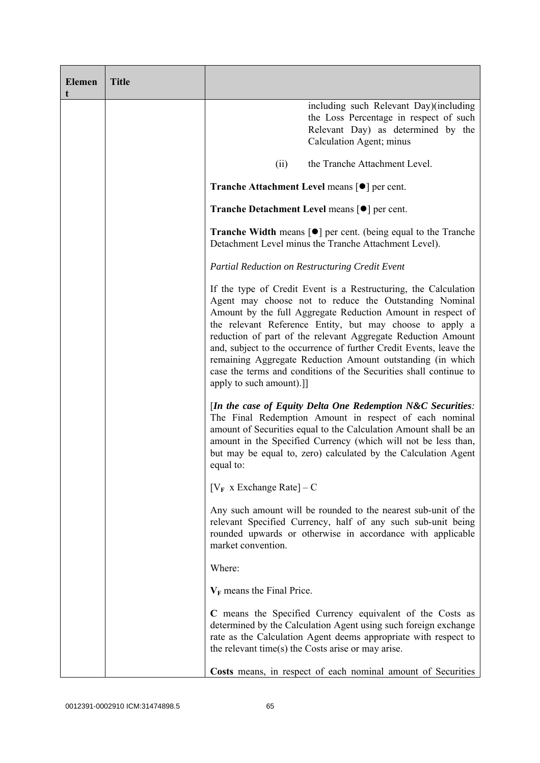| <b>Elemen</b> | <b>Title</b> |                                                                                                                                                                                                                                                                                                                                                                                                                                                                                                                                                          |
|---------------|--------------|----------------------------------------------------------------------------------------------------------------------------------------------------------------------------------------------------------------------------------------------------------------------------------------------------------------------------------------------------------------------------------------------------------------------------------------------------------------------------------------------------------------------------------------------------------|
|               |              | including such Relevant Day)(including<br>the Loss Percentage in respect of such<br>Relevant Day) as determined by the<br>Calculation Agent; minus                                                                                                                                                                                                                                                                                                                                                                                                       |
|               |              | the Tranche Attachment Level.<br>(ii)                                                                                                                                                                                                                                                                                                                                                                                                                                                                                                                    |
|               |              | <b>Tranche Attachment Level means <math>\lceil \bullet \rceil</math> per cent.</b>                                                                                                                                                                                                                                                                                                                                                                                                                                                                       |
|               |              | <b>Tranche Detachment Level means [●] per cent.</b>                                                                                                                                                                                                                                                                                                                                                                                                                                                                                                      |
|               |              | <b>Tranche Width</b> means $\lceil \bullet \rceil$ per cent. (being equal to the Tranche<br>Detachment Level minus the Tranche Attachment Level).                                                                                                                                                                                                                                                                                                                                                                                                        |
|               |              | Partial Reduction on Restructuring Credit Event                                                                                                                                                                                                                                                                                                                                                                                                                                                                                                          |
|               |              | If the type of Credit Event is a Restructuring, the Calculation<br>Agent may choose not to reduce the Outstanding Nominal<br>Amount by the full Aggregate Reduction Amount in respect of<br>the relevant Reference Entity, but may choose to apply a<br>reduction of part of the relevant Aggregate Reduction Amount<br>and, subject to the occurrence of further Credit Events, leave the<br>remaining Aggregate Reduction Amount outstanding (in which<br>case the terms and conditions of the Securities shall continue to<br>apply to such amount).] |
|               |              | [In the case of Equity Delta One Redemption $N\&C$ Securities:<br>The Final Redemption Amount in respect of each nominal<br>amount of Securities equal to the Calculation Amount shall be an<br>amount in the Specified Currency (which will not be less than,<br>but may be equal to, zero) calculated by the Calculation Agent<br>equal to:                                                                                                                                                                                                            |
|               |              | $[V_F \times Exchange Rate] - C$                                                                                                                                                                                                                                                                                                                                                                                                                                                                                                                         |
|               |              | Any such amount will be rounded to the nearest sub-unit of the<br>relevant Specified Currency, half of any such sub-unit being<br>rounded upwards or otherwise in accordance with applicable<br>market convention.                                                                                                                                                                                                                                                                                                                                       |
|               |              | Where:                                                                                                                                                                                                                                                                                                                                                                                                                                                                                                                                                   |
|               |              | $V_F$ means the Final Price.                                                                                                                                                                                                                                                                                                                                                                                                                                                                                                                             |
|               |              | C means the Specified Currency equivalent of the Costs as<br>determined by the Calculation Agent using such foreign exchange<br>rate as the Calculation Agent deems appropriate with respect to<br>the relevant time(s) the Costs arise or may arise.                                                                                                                                                                                                                                                                                                    |
|               |              | Costs means, in respect of each nominal amount of Securities                                                                                                                                                                                                                                                                                                                                                                                                                                                                                             |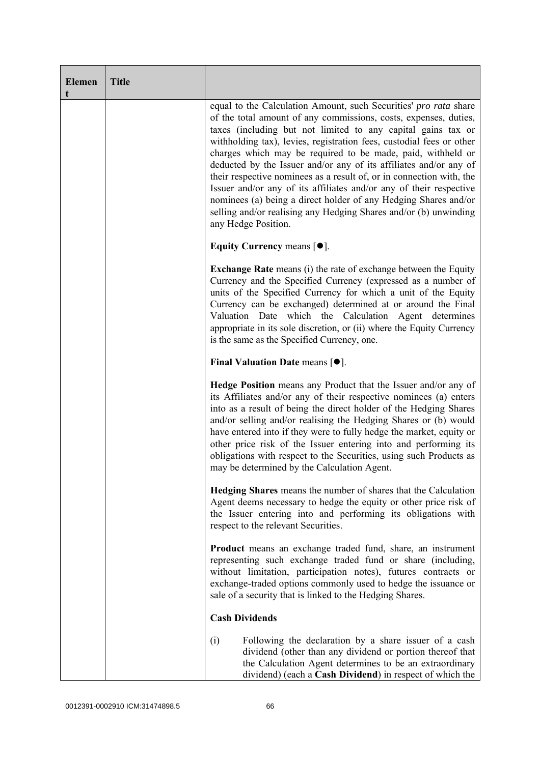| <b>Elemen</b><br>t | <b>Title</b> |                                                                                                                                                                                                                                                                                                                                                                                                                                                                                                                                                                                                                                                                                                                              |
|--------------------|--------------|------------------------------------------------------------------------------------------------------------------------------------------------------------------------------------------------------------------------------------------------------------------------------------------------------------------------------------------------------------------------------------------------------------------------------------------------------------------------------------------------------------------------------------------------------------------------------------------------------------------------------------------------------------------------------------------------------------------------------|
|                    |              | equal to the Calculation Amount, such Securities' pro rata share<br>of the total amount of any commissions, costs, expenses, duties,<br>taxes (including but not limited to any capital gains tax or<br>withholding tax), levies, registration fees, custodial fees or other<br>charges which may be required to be made, paid, withheld or<br>deducted by the Issuer and/or any of its affiliates and/or any of<br>their respective nominees as a result of, or in connection with, the<br>Issuer and/or any of its affiliates and/or any of their respective<br>nominees (a) being a direct holder of any Hedging Shares and/or<br>selling and/or realising any Hedging Shares and/or (b) unwinding<br>any Hedge Position. |
|                    |              | Equity Currency means $[\bullet].$                                                                                                                                                                                                                                                                                                                                                                                                                                                                                                                                                                                                                                                                                           |
|                    |              | <b>Exchange Rate</b> means (i) the rate of exchange between the Equity<br>Currency and the Specified Currency (expressed as a number of<br>units of the Specified Currency for which a unit of the Equity<br>Currency can be exchanged) determined at or around the Final<br>Valuation Date which the Calculation Agent determines<br>appropriate in its sole discretion, or (ii) where the Equity Currency<br>is the same as the Specified Currency, one.                                                                                                                                                                                                                                                                   |
|                    |              | Final Valuation Date means $[•]$ .                                                                                                                                                                                                                                                                                                                                                                                                                                                                                                                                                                                                                                                                                           |
|                    |              | <b>Hedge Position</b> means any Product that the Issuer and/or any of<br>its Affiliates and/or any of their respective nominees (a) enters<br>into as a result of being the direct holder of the Hedging Shares<br>and/or selling and/or realising the Hedging Shares or (b) would<br>have entered into if they were to fully hedge the market, equity or<br>other price risk of the Issuer entering into and performing its<br>obligations with respect to the Securities, using such Products as<br>may be determined by the Calculation Agent.                                                                                                                                                                            |
|                    |              | <b>Hedging Shares</b> means the number of shares that the Calculation<br>Agent deems necessary to hedge the equity or other price risk of<br>the Issuer entering into and performing its obligations with<br>respect to the relevant Securities.                                                                                                                                                                                                                                                                                                                                                                                                                                                                             |
|                    |              | <b>Product</b> means an exchange traded fund, share, an instrument<br>representing such exchange traded fund or share (including,<br>without limitation, participation notes), futures contracts or<br>exchange-traded options commonly used to hedge the issuance or<br>sale of a security that is linked to the Hedging Shares.                                                                                                                                                                                                                                                                                                                                                                                            |
|                    |              | <b>Cash Dividends</b>                                                                                                                                                                                                                                                                                                                                                                                                                                                                                                                                                                                                                                                                                                        |
|                    |              | Following the declaration by a share issuer of a cash<br>(i)<br>dividend (other than any dividend or portion thereof that<br>the Calculation Agent determines to be an extraordinary<br>dividend) (each a Cash Dividend) in respect of which the                                                                                                                                                                                                                                                                                                                                                                                                                                                                             |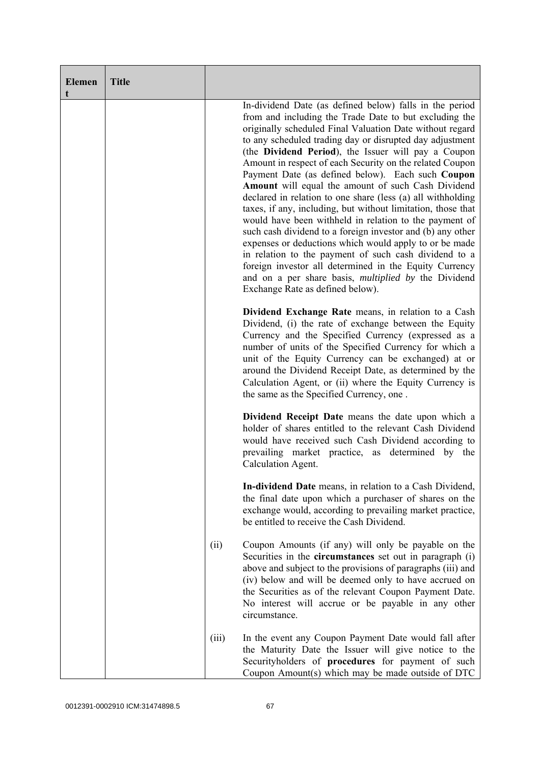| <b>Elemen</b><br>t | <b>Title</b> |       |                                                                                                                                                                                                                                                                                                                                                                                                                                                                                                                                                                                                                                                                                                                                                                                                                                                                                                                                                                                                                |
|--------------------|--------------|-------|----------------------------------------------------------------------------------------------------------------------------------------------------------------------------------------------------------------------------------------------------------------------------------------------------------------------------------------------------------------------------------------------------------------------------------------------------------------------------------------------------------------------------------------------------------------------------------------------------------------------------------------------------------------------------------------------------------------------------------------------------------------------------------------------------------------------------------------------------------------------------------------------------------------------------------------------------------------------------------------------------------------|
|                    |              |       | In-dividend Date (as defined below) falls in the period<br>from and including the Trade Date to but excluding the<br>originally scheduled Final Valuation Date without regard<br>to any scheduled trading day or disrupted day adjustment<br>(the Dividend Period), the Issuer will pay a Coupon<br>Amount in respect of each Security on the related Coupon<br>Payment Date (as defined below). Each such Coupon<br>Amount will equal the amount of such Cash Dividend<br>declared in relation to one share (less (a) all withholding<br>taxes, if any, including, but without limitation, those that<br>would have been withheld in relation to the payment of<br>such cash dividend to a foreign investor and (b) any other<br>expenses or deductions which would apply to or be made<br>in relation to the payment of such cash dividend to a<br>foreign investor all determined in the Equity Currency<br>and on a per share basis, <i>multiplied by</i> the Dividend<br>Exchange Rate as defined below). |
|                    |              |       | Dividend Exchange Rate means, in relation to a Cash<br>Dividend, (i) the rate of exchange between the Equity<br>Currency and the Specified Currency (expressed as a<br>number of units of the Specified Currency for which a<br>unit of the Equity Currency can be exchanged) at or<br>around the Dividend Receipt Date, as determined by the<br>Calculation Agent, or (ii) where the Equity Currency is<br>the same as the Specified Currency, one.                                                                                                                                                                                                                                                                                                                                                                                                                                                                                                                                                           |
|                    |              |       | Dividend Receipt Date means the date upon which a<br>holder of shares entitled to the relevant Cash Dividend<br>would have received such Cash Dividend according to<br>prevailing market practice, as determined by the<br>Calculation Agent.                                                                                                                                                                                                                                                                                                                                                                                                                                                                                                                                                                                                                                                                                                                                                                  |
|                    |              |       | In-dividend Date means, in relation to a Cash Dividend,<br>the final date upon which a purchaser of shares on the<br>exchange would, according to prevailing market practice,<br>be entitled to receive the Cash Dividend.                                                                                                                                                                                                                                                                                                                                                                                                                                                                                                                                                                                                                                                                                                                                                                                     |
|                    |              | (ii)  | Coupon Amounts (if any) will only be payable on the<br>Securities in the <b>circumstances</b> set out in paragraph (i)<br>above and subject to the provisions of paragraphs (iii) and<br>(iv) below and will be deemed only to have accrued on<br>the Securities as of the relevant Coupon Payment Date.<br>No interest will accrue or be payable in any other<br>circumstance.                                                                                                                                                                                                                                                                                                                                                                                                                                                                                                                                                                                                                                |
|                    |              | (iii) | In the event any Coupon Payment Date would fall after<br>the Maturity Date the Issuer will give notice to the<br>Securityholders of procedures for payment of such<br>Coupon Amount(s) which may be made outside of DTC                                                                                                                                                                                                                                                                                                                                                                                                                                                                                                                                                                                                                                                                                                                                                                                        |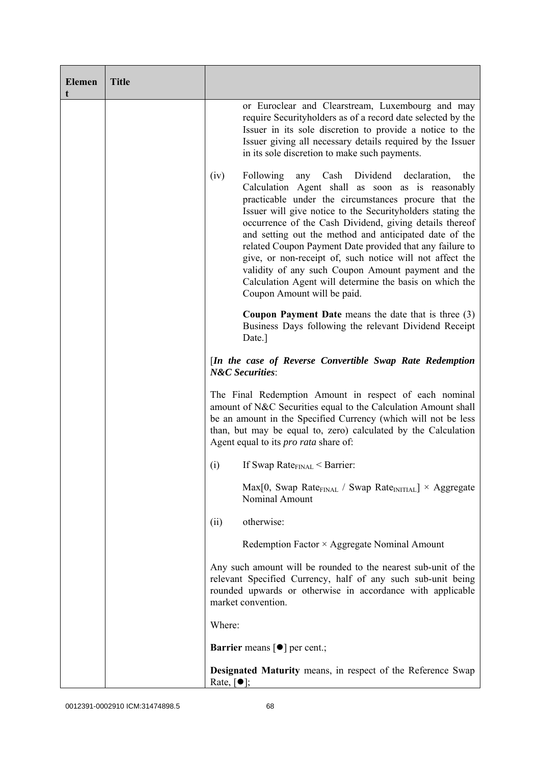| <b>Elemen</b><br>t | <b>Title</b> |                                                                                                                                                                                                                                                                                                                                                                                                                                                                                                                                                                                                                                      |
|--------------------|--------------|--------------------------------------------------------------------------------------------------------------------------------------------------------------------------------------------------------------------------------------------------------------------------------------------------------------------------------------------------------------------------------------------------------------------------------------------------------------------------------------------------------------------------------------------------------------------------------------------------------------------------------------|
|                    |              | or Euroclear and Clearstream, Luxembourg and may<br>require Securityholders as of a record date selected by the<br>Issuer in its sole discretion to provide a notice to the<br>Issuer giving all necessary details required by the Issuer<br>in its sole discretion to make such payments.                                                                                                                                                                                                                                                                                                                                           |
|                    |              | Cash Dividend declaration,<br>(iv)<br>Following<br>any<br>the<br>Calculation Agent shall as soon as is reasonably<br>practicable under the circumstances procure that the<br>Issuer will give notice to the Securityholders stating the<br>occurrence of the Cash Dividend, giving details thereof<br>and setting out the method and anticipated date of the<br>related Coupon Payment Date provided that any failure to<br>give, or non-receipt of, such notice will not affect the<br>validity of any such Coupon Amount payment and the<br>Calculation Agent will determine the basis on which the<br>Coupon Amount will be paid. |
|                    |              | <b>Coupon Payment Date</b> means the date that is three $(3)$<br>Business Days following the relevant Dividend Receipt<br>Date.]                                                                                                                                                                                                                                                                                                                                                                                                                                                                                                     |
|                    |              | [In the case of Reverse Convertible Swap Rate Redemption<br><b>N&amp;C</b> Securities:                                                                                                                                                                                                                                                                                                                                                                                                                                                                                                                                               |
|                    |              | The Final Redemption Amount in respect of each nominal<br>amount of N&C Securities equal to the Calculation Amount shall<br>be an amount in the Specified Currency (which will not be less<br>than, but may be equal to, zero) calculated by the Calculation<br>Agent equal to its <i>pro rata</i> share of:                                                                                                                                                                                                                                                                                                                         |
|                    |              | If Swap Rate <sub>FINAL</sub> < Barrier:<br>(i)                                                                                                                                                                                                                                                                                                                                                                                                                                                                                                                                                                                      |
|                    |              | $Max[0, Swap Rate_{FINAL} / Swap Rate_{INITIAL}] \times Aggregate$<br><b>Nominal Amount</b>                                                                                                                                                                                                                                                                                                                                                                                                                                                                                                                                          |
|                    |              | otherwise:<br>(ii)                                                                                                                                                                                                                                                                                                                                                                                                                                                                                                                                                                                                                   |
|                    |              | Redemption Factor × Aggregate Nominal Amount                                                                                                                                                                                                                                                                                                                                                                                                                                                                                                                                                                                         |
|                    |              | Any such amount will be rounded to the nearest sub-unit of the<br>relevant Specified Currency, half of any such sub-unit being<br>rounded upwards or otherwise in accordance with applicable<br>market convention.                                                                                                                                                                                                                                                                                                                                                                                                                   |
|                    |              | Where:                                                                                                                                                                                                                                                                                                                                                                                                                                                                                                                                                                                                                               |
|                    |              | <b>Barrier</b> means $\lceil \bullet \rceil$ per cent.;                                                                                                                                                                                                                                                                                                                                                                                                                                                                                                                                                                              |
|                    |              | <b>Designated Maturity means, in respect of the Reference Swap</b><br>Rate, $\lceil \bullet \rceil$ ;                                                                                                                                                                                                                                                                                                                                                                                                                                                                                                                                |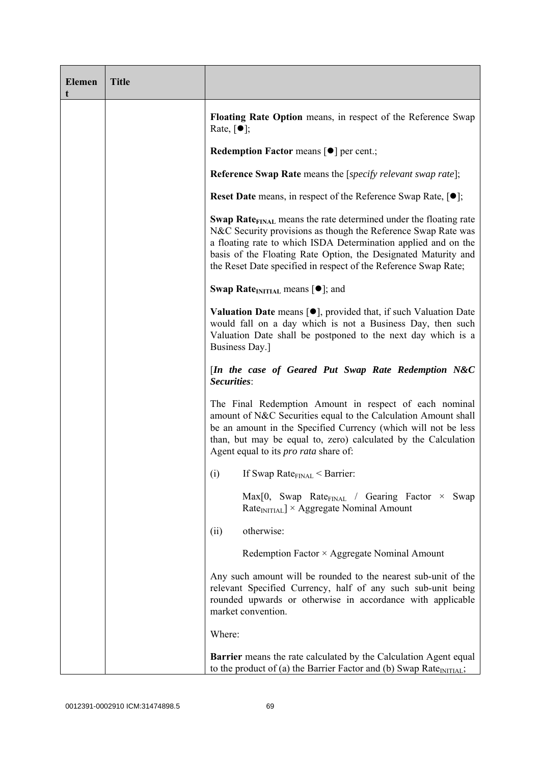| <b>Elemen</b><br>t | <b>Title</b> |                                                                                                                                                                                                                                                                                                                                                             |
|--------------------|--------------|-------------------------------------------------------------------------------------------------------------------------------------------------------------------------------------------------------------------------------------------------------------------------------------------------------------------------------------------------------------|
|                    |              | Floating Rate Option means, in respect of the Reference Swap<br>Rate, $\lceil \bullet \rceil$ ;                                                                                                                                                                                                                                                             |
|                    |              | <b>Redemption Factor means <math>\lceil \bullet \rceil</math> per cent.;</b>                                                                                                                                                                                                                                                                                |
|                    |              | <b>Reference Swap Rate</b> means the [ <i>specify relevant swap rate</i> ];                                                                                                                                                                                                                                                                                 |
|                    |              | <b>Reset Date</b> means, in respect of the Reference Swap Rate, $[•]$ ;                                                                                                                                                                                                                                                                                     |
|                    |              | <b>Swap Rate</b> <sub>FINAL</sub> means the rate determined under the floating rate<br>N&C Security provisions as though the Reference Swap Rate was<br>a floating rate to which ISDA Determination applied and on the<br>basis of the Floating Rate Option, the Designated Maturity and<br>the Reset Date specified in respect of the Reference Swap Rate; |
|                    |              | <b>Swap Rate</b> INITIAL means $[•]$ ; and                                                                                                                                                                                                                                                                                                                  |
|                    |              | <b>Valuation Date</b> means $[\bullet]$ , provided that, if such Valuation Date<br>would fall on a day which is not a Business Day, then such<br>Valuation Date shall be postponed to the next day which is a<br>Business Day.]                                                                                                                             |
|                    |              | [In the case of Geared Put Swap Rate Redemption N&C<br>Securities:                                                                                                                                                                                                                                                                                          |
|                    |              | The Final Redemption Amount in respect of each nominal<br>amount of N&C Securities equal to the Calculation Amount shall<br>be an amount in the Specified Currency (which will not be less<br>than, but may be equal to, zero) calculated by the Calculation<br>Agent equal to its <i>pro rata</i> share of:                                                |
|                    |              | If Swap Rate $_{\text{FINAL}}$ < Barrier:<br>(i)                                                                                                                                                                                                                                                                                                            |
|                    |              | $Max[0, Swap Rate_{FINAL} / Gearing Factor \times$<br>Swap<br>$RateINITIAL$ × Aggregate Nominal Amount                                                                                                                                                                                                                                                      |
|                    |              | otherwise:<br>(ii)                                                                                                                                                                                                                                                                                                                                          |
|                    |              | Redemption Factor × Aggregate Nominal Amount                                                                                                                                                                                                                                                                                                                |
|                    |              | Any such amount will be rounded to the nearest sub-unit of the<br>relevant Specified Currency, half of any such sub-unit being<br>rounded upwards or otherwise in accordance with applicable<br>market convention.                                                                                                                                          |
|                    |              | Where:                                                                                                                                                                                                                                                                                                                                                      |
|                    |              | <b>Barrier</b> means the rate calculated by the Calculation Agent equal<br>to the product of (a) the Barrier Factor and (b) Swap Rate $_{\text{INITIAL}}$ ;                                                                                                                                                                                                 |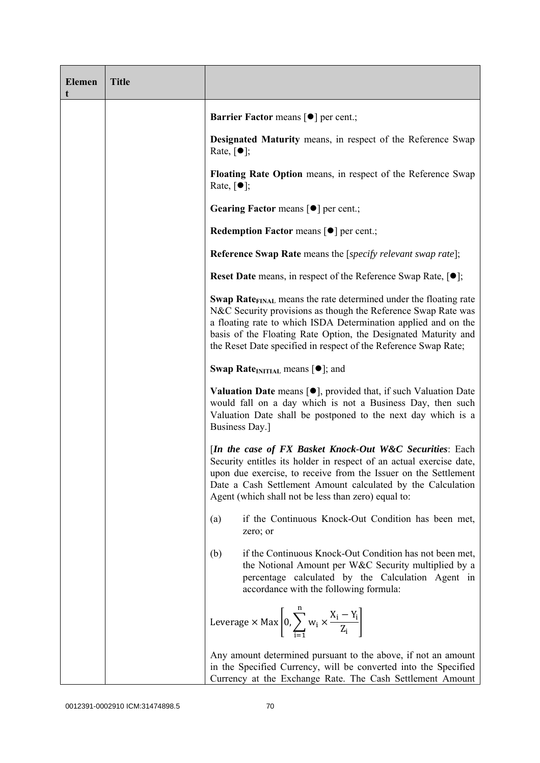| <b>Elemen</b> | <b>Title</b> |                                                                                                                                                                                                                                                                                                                                                             |
|---------------|--------------|-------------------------------------------------------------------------------------------------------------------------------------------------------------------------------------------------------------------------------------------------------------------------------------------------------------------------------------------------------------|
|               |              | <b>Barrier Factor means [<math>\bullet</math>] per cent.;</b>                                                                                                                                                                                                                                                                                               |
|               |              | Designated Maturity means, in respect of the Reference Swap<br>Rate, $\lceil \bullet \rceil$ ;                                                                                                                                                                                                                                                              |
|               |              | Floating Rate Option means, in respect of the Reference Swap<br>Rate, $\lceil \bullet \rceil$ ;                                                                                                                                                                                                                                                             |
|               |              | Gearing Factor means [ $\bullet$ ] per cent.;                                                                                                                                                                                                                                                                                                               |
|               |              | Redemption Factor means [ $\bullet$ ] per cent.;                                                                                                                                                                                                                                                                                                            |
|               |              | <b>Reference Swap Rate</b> means the [ <i>specify relevant swap rate</i> ];                                                                                                                                                                                                                                                                                 |
|               |              | <b>Reset Date</b> means, in respect of the Reference Swap Rate, $[•]$ ;                                                                                                                                                                                                                                                                                     |
|               |              | <b>Swap Rate</b> <sub>FINAL</sub> means the rate determined under the floating rate<br>N&C Security provisions as though the Reference Swap Rate was<br>a floating rate to which ISDA Determination applied and on the<br>basis of the Floating Rate Option, the Designated Maturity and<br>the Reset Date specified in respect of the Reference Swap Rate; |
|               |              | <b>Swap Rate</b> <sub>INITIAL</sub> means $[\bullet]$ ; and                                                                                                                                                                                                                                                                                                 |
|               |              | <b>Valuation Date</b> means $[\bullet]$ , provided that, if such Valuation Date<br>would fall on a day which is not a Business Day, then such<br>Valuation Date shall be postponed to the next day which is a<br>Business Day.]                                                                                                                             |
|               |              | [In the case of FX Basket Knock-Out W&C Securities: Each<br>Security entitles its holder in respect of an actual exercise date,<br>upon due exercise, to receive from the Issuer on the Settlement<br>Date a Cash Settlement Amount calculated by the Calculation<br>Agent (which shall not be less than zero) equal to:                                    |
|               |              | if the Continuous Knock-Out Condition has been met,<br>(a)<br>zero; or                                                                                                                                                                                                                                                                                      |
|               |              | (b)<br>if the Continuous Knock-Out Condition has not been met,<br>the Notional Amount per W&C Security multiplied by a<br>percentage calculated by the Calculation Agent in<br>accordance with the following formula:                                                                                                                                       |
|               |              | Leverage $\times$ Max $\left  0, \sum_{i=1}^{n} w_i \times \frac{X_i - Y_i}{Z_i} \right $                                                                                                                                                                                                                                                                   |
|               |              | Any amount determined pursuant to the above, if not an amount<br>in the Specified Currency, will be converted into the Specified<br>Currency at the Exchange Rate. The Cash Settlement Amount                                                                                                                                                               |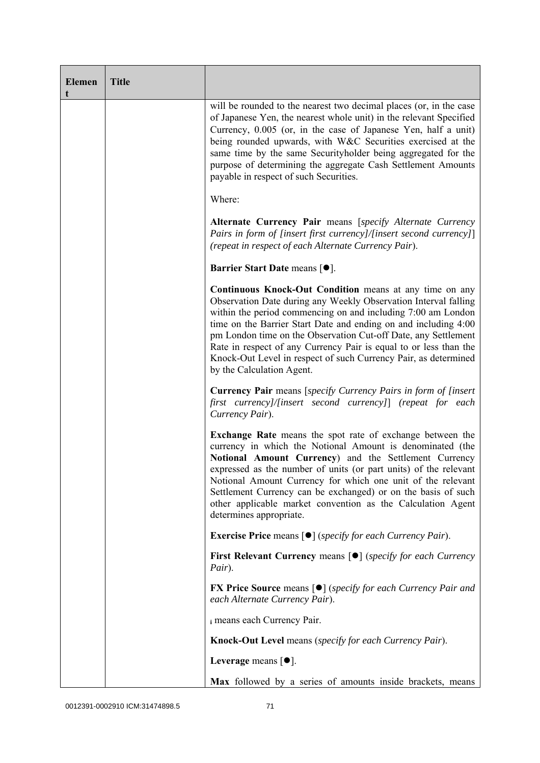| <b>Elemen</b><br>t | <b>Title</b> |                                                                                                                                                                                                                                                                                                                                                                                                                                                                                                      |
|--------------------|--------------|------------------------------------------------------------------------------------------------------------------------------------------------------------------------------------------------------------------------------------------------------------------------------------------------------------------------------------------------------------------------------------------------------------------------------------------------------------------------------------------------------|
|                    |              | will be rounded to the nearest two decimal places (or, in the case<br>of Japanese Yen, the nearest whole unit) in the relevant Specified<br>Currency, 0.005 (or, in the case of Japanese Yen, half a unit)<br>being rounded upwards, with W&C Securities exercised at the<br>same time by the same Securityholder being aggregated for the<br>purpose of determining the aggregate Cash Settlement Amounts<br>payable in respect of such Securities.                                                 |
|                    |              | Where:                                                                                                                                                                                                                                                                                                                                                                                                                                                                                               |
|                    |              | Alternate Currency Pair means [specify Alternate Currency<br>Pairs in form of [insert first currency]/[insert second currency]]<br>(repeat in respect of each Alternate Currency Pair).                                                                                                                                                                                                                                                                                                              |
|                    |              | Barrier Start Date means [ $\bullet$ ].                                                                                                                                                                                                                                                                                                                                                                                                                                                              |
|                    |              | Continuous Knock-Out Condition means at any time on any<br>Observation Date during any Weekly Observation Interval falling<br>within the period commencing on and including 7:00 am London<br>time on the Barrier Start Date and ending on and including 4:00<br>pm London time on the Observation Cut-off Date, any Settlement<br>Rate in respect of any Currency Pair is equal to or less than the<br>Knock-Out Level in respect of such Currency Pair, as determined<br>by the Calculation Agent. |
|                    |              | <b>Currency Pair</b> means [specify Currency Pairs in form of [insert]<br>first currency]/[insert second currency]] (repeat for each<br>Currency Pair).                                                                                                                                                                                                                                                                                                                                              |
|                    |              | <b>Exchange Rate</b> means the spot rate of exchange between the<br>currency in which the Notional Amount is denominated (the<br>Notional Amount Currency) and the Settlement Currency<br>expressed as the number of units (or part units) of the relevant<br>Notional Amount Currency for which one unit of the relevant<br>Settlement Currency can be exchanged) or on the basis of such<br>other applicable market convention as the Calculation Agent<br>determines appropriate.                 |
|                    |              | <b>Exercise Price</b> means $\lceil \bullet \rceil$ ( <i>specify for each Currency Pair</i> ).                                                                                                                                                                                                                                                                                                                                                                                                       |
|                    |              | <b>First Relevant Currency means <math>\lceil \bullet \rceil</math> (specify for each Currency</b><br>Pair).                                                                                                                                                                                                                                                                                                                                                                                         |
|                    |              | <b>FX Price Source</b> means $[\bullet]$ (specify for each Currency Pair and<br>each Alternate Currency Pair).                                                                                                                                                                                                                                                                                                                                                                                       |
|                    |              | i means each Currency Pair.                                                                                                                                                                                                                                                                                                                                                                                                                                                                          |
|                    |              | <b>Knock-Out Level</b> means (specify for each Currency Pair).                                                                                                                                                                                                                                                                                                                                                                                                                                       |
|                    |              | Leverage means $[•]$ .                                                                                                                                                                                                                                                                                                                                                                                                                                                                               |
|                    |              | Max followed by a series of amounts inside brackets, means                                                                                                                                                                                                                                                                                                                                                                                                                                           |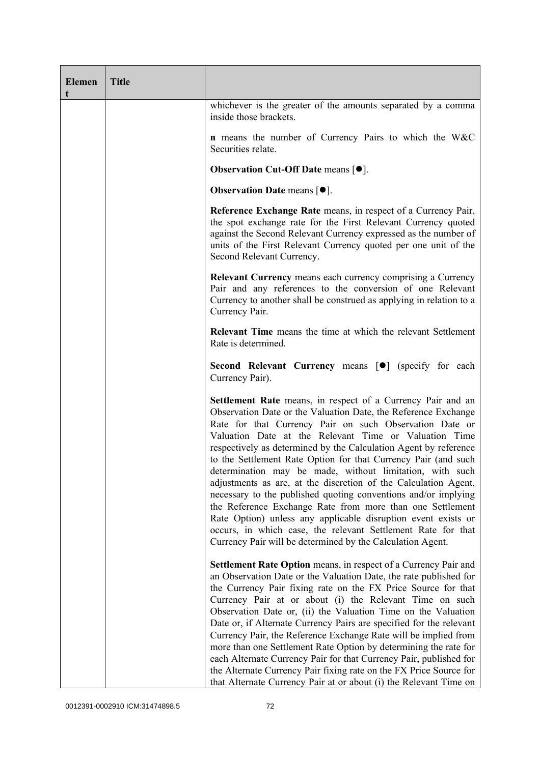| <b>Elemen</b><br>t | <b>Title</b> |                                                                                                                                                                                                                                                                                                                                                                                                                                                                                                                                                                                                                                                                                                                                                                                                                                                             |
|--------------------|--------------|-------------------------------------------------------------------------------------------------------------------------------------------------------------------------------------------------------------------------------------------------------------------------------------------------------------------------------------------------------------------------------------------------------------------------------------------------------------------------------------------------------------------------------------------------------------------------------------------------------------------------------------------------------------------------------------------------------------------------------------------------------------------------------------------------------------------------------------------------------------|
|                    |              | whichever is the greater of the amounts separated by a comma<br>inside those brackets.                                                                                                                                                                                                                                                                                                                                                                                                                                                                                                                                                                                                                                                                                                                                                                      |
|                    |              | <b>n</b> means the number of Currency Pairs to which the W&C<br>Securities relate.                                                                                                                                                                                                                                                                                                                                                                                                                                                                                                                                                                                                                                                                                                                                                                          |
|                    |              | <b>Observation Cut-Off Date means <math>[•]</math>.</b>                                                                                                                                                                                                                                                                                                                                                                                                                                                                                                                                                                                                                                                                                                                                                                                                     |
|                    |              | <b>Observation Date means <math>[•]</math>.</b>                                                                                                                                                                                                                                                                                                                                                                                                                                                                                                                                                                                                                                                                                                                                                                                                             |
|                    |              | Reference Exchange Rate means, in respect of a Currency Pair,<br>the spot exchange rate for the First Relevant Currency quoted<br>against the Second Relevant Currency expressed as the number of<br>units of the First Relevant Currency quoted per one unit of the<br>Second Relevant Currency.                                                                                                                                                                                                                                                                                                                                                                                                                                                                                                                                                           |
|                    |              | <b>Relevant Currency</b> means each currency comprising a Currency<br>Pair and any references to the conversion of one Relevant<br>Currency to another shall be construed as applying in relation to a<br>Currency Pair.                                                                                                                                                                                                                                                                                                                                                                                                                                                                                                                                                                                                                                    |
|                    |              | <b>Relevant Time</b> means the time at which the relevant Settlement<br>Rate is determined.                                                                                                                                                                                                                                                                                                                                                                                                                                                                                                                                                                                                                                                                                                                                                                 |
|                    |              | Second Relevant Currency means [ $\bullet$ ] (specify for each<br>Currency Pair).                                                                                                                                                                                                                                                                                                                                                                                                                                                                                                                                                                                                                                                                                                                                                                           |
|                    |              | <b>Settlement Rate</b> means, in respect of a Currency Pair and an<br>Observation Date or the Valuation Date, the Reference Exchange<br>Rate for that Currency Pair on such Observation Date or<br>Valuation Date at the Relevant Time or Valuation Time<br>respectively as determined by the Calculation Agent by reference<br>to the Settlement Rate Option for that Currency Pair (and such<br>determination may be made, without limitation, with such<br>adjustments as are, at the discretion of the Calculation Agent,<br>necessary to the published quoting conventions and/or implying<br>the Reference Exchange Rate from more than one Settlement<br>Rate Option) unless any applicable disruption event exists or<br>occurs, in which case, the relevant Settlement Rate for that<br>Currency Pair will be determined by the Calculation Agent. |
|                    |              | Settlement Rate Option means, in respect of a Currency Pair and<br>an Observation Date or the Valuation Date, the rate published for<br>the Currency Pair fixing rate on the FX Price Source for that<br>Currency Pair at or about (i) the Relevant Time on such<br>Observation Date or, (ii) the Valuation Time on the Valuation<br>Date or, if Alternate Currency Pairs are specified for the relevant<br>Currency Pair, the Reference Exchange Rate will be implied from<br>more than one Settlement Rate Option by determining the rate for<br>each Alternate Currency Pair for that Currency Pair, published for<br>the Alternate Currency Pair fixing rate on the FX Price Source for<br>that Alternate Currency Pair at or about (i) the Relevant Time on                                                                                            |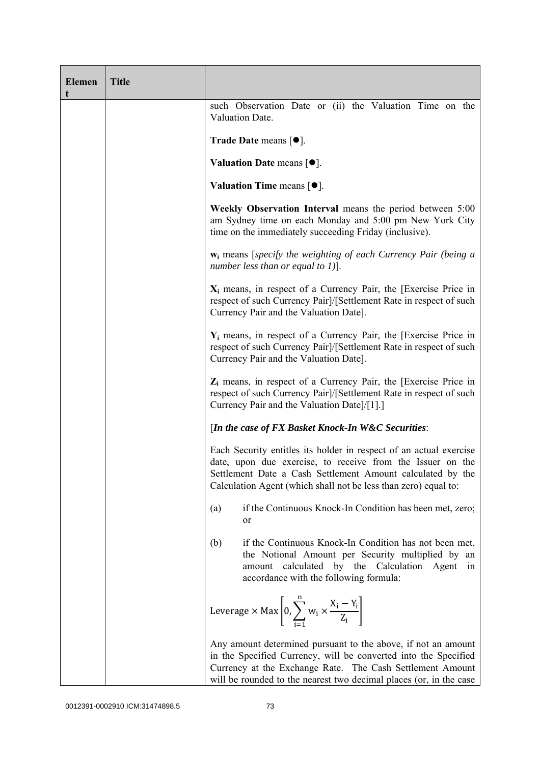| <b>Elemen</b><br>t | <b>Title</b> |                                                                                                                                                                                                                                                                     |
|--------------------|--------------|---------------------------------------------------------------------------------------------------------------------------------------------------------------------------------------------------------------------------------------------------------------------|
|                    |              | such Observation Date or (ii) the Valuation Time on the<br>Valuation Date.                                                                                                                                                                                          |
|                    |              | <b>Trade Date means <math>\lceil \bullet \rceil</math>.</b>                                                                                                                                                                                                         |
|                    |              | Valuation Date means $[•]$ .                                                                                                                                                                                                                                        |
|                    |              | Valuation Time means $[•]$ .                                                                                                                                                                                                                                        |
|                    |              | Weekly Observation Interval means the period between 5:00<br>am Sydney time on each Monday and 5:00 pm New York City<br>time on the immediately succeeding Friday (inclusive).                                                                                      |
|                    |              | $w_i$ means [specify the weighting of each Currency Pair (being a<br>number less than or equal to $1$ ].                                                                                                                                                            |
|                    |              | $X_i$ means, in respect of a Currency Pair, the [Exercise Price in<br>respect of such Currency Pair]/[Settlement Rate in respect of such<br>Currency Pair and the Valuation Date].                                                                                  |
|                    |              | $Y_i$ means, in respect of a Currency Pair, the [Exercise Price in<br>respect of such Currency Pair]/[Settlement Rate in respect of such<br>Currency Pair and the Valuation Date].                                                                                  |
|                    |              | $Z_i$ means, in respect of a Currency Pair, the [Exercise Price in<br>respect of such Currency Pair]/[Settlement Rate in respect of such<br>Currency Pair and the Valuation Date]/[1].]                                                                             |
|                    |              | [In the case of FX Basket Knock-In W&C Securities:                                                                                                                                                                                                                  |
|                    |              | Each Security entitles its holder in respect of an actual exercise<br>date, upon due exercise, to receive from the Issuer on the<br>Settlement Date a Cash Settlement Amount calculated by the<br>Calculation Agent (which shall not be less than zero) equal to:   |
|                    |              | if the Continuous Knock-In Condition has been met, zero;<br>(a)<br><sub>or</sub>                                                                                                                                                                                    |
|                    |              | if the Continuous Knock-In Condition has not been met,<br>(b)<br>the Notional Amount per Security multiplied by an<br>amount calculated by the Calculation Agent<br>1n<br>accordance with the following formula:                                                    |
|                    |              | Leverage $\times$ Max $\left[0, \sum_{i=1}^{n} w_i \times \frac{X_i - Y_i}{Z_i}\right]$                                                                                                                                                                             |
|                    |              | Any amount determined pursuant to the above, if not an amount<br>in the Specified Currency, will be converted into the Specified<br>Currency at the Exchange Rate. The Cash Settlement Amount<br>will be rounded to the nearest two decimal places (or, in the case |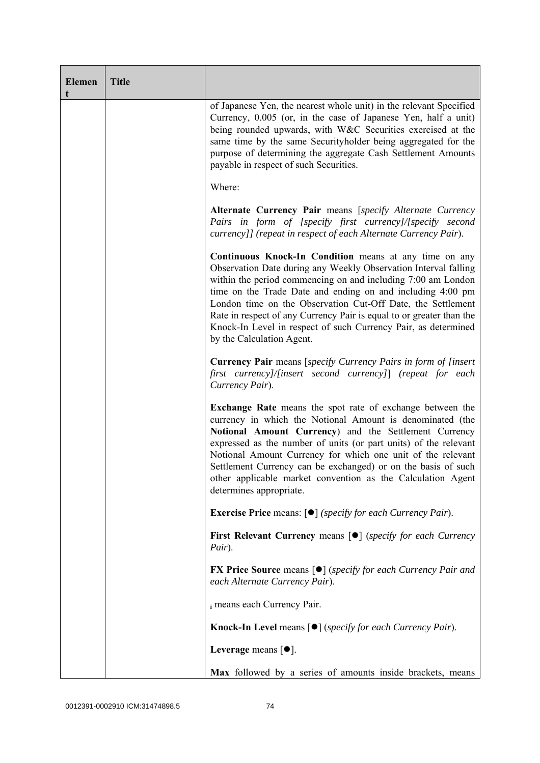| <b>Elemen</b><br>t | <b>Title</b> |                                                                                                                                                                                                                                                                                                                                                                                                                                                                                               |
|--------------------|--------------|-----------------------------------------------------------------------------------------------------------------------------------------------------------------------------------------------------------------------------------------------------------------------------------------------------------------------------------------------------------------------------------------------------------------------------------------------------------------------------------------------|
|                    |              | of Japanese Yen, the nearest whole unit) in the relevant Specified<br>Currency, 0.005 (or, in the case of Japanese Yen, half a unit)<br>being rounded upwards, with W&C Securities exercised at the<br>same time by the same Securityholder being aggregated for the<br>purpose of determining the aggregate Cash Settlement Amounts<br>payable in respect of such Securities.                                                                                                                |
|                    |              | Where:                                                                                                                                                                                                                                                                                                                                                                                                                                                                                        |
|                    |              | Alternate Currency Pair means [specify Alternate Currency<br>Pairs in form of [specify first currency]/[specify second<br>currency]] (repeat in respect of each Alternate Currency Pair).                                                                                                                                                                                                                                                                                                     |
|                    |              | Continuous Knock-In Condition means at any time on any<br>Observation Date during any Weekly Observation Interval falling<br>within the period commencing on and including 7:00 am London<br>time on the Trade Date and ending on and including 4:00 pm<br>London time on the Observation Cut-Off Date, the Settlement<br>Rate in respect of any Currency Pair is equal to or greater than the<br>Knock-In Level in respect of such Currency Pair, as determined<br>by the Calculation Agent. |
|                    |              | <b>Currency Pair</b> means [specify Currency Pairs in form of [insert]<br>first currency]/[insert second currency]] (repeat for each<br>Currency Pair).                                                                                                                                                                                                                                                                                                                                       |
|                    |              | Exchange Rate means the spot rate of exchange between the<br>currency in which the Notional Amount is denominated (the<br>Notional Amount Currency) and the Settlement Currency<br>expressed as the number of units (or part units) of the relevant<br>Notional Amount Currency for which one unit of the relevant<br>Settlement Currency can be exchanged) or on the basis of such<br>other applicable market convention as the Calculation Agent<br>determines appropriate.                 |
|                    |              | <b>Exercise Price</b> means: $\lceil \bullet \rceil$ ( <i>specify for each Currency Pair</i> ).                                                                                                                                                                                                                                                                                                                                                                                               |
|                    |              | First Relevant Currency means [ $\bullet$ ] (specify for each Currency<br>Pair).                                                                                                                                                                                                                                                                                                                                                                                                              |
|                    |              | <b>FX Price Source</b> means $\lceil \bullet \rceil$ (specify for each Currency Pair and<br>each Alternate Currency Pair).                                                                                                                                                                                                                                                                                                                                                                    |
|                    |              | i means each Currency Pair.                                                                                                                                                                                                                                                                                                                                                                                                                                                                   |
|                    |              | Knock-In Level means [ $\bullet$ ] (specify for each Currency Pair).                                                                                                                                                                                                                                                                                                                                                                                                                          |
|                    |              | Leverage means $[•]$ .                                                                                                                                                                                                                                                                                                                                                                                                                                                                        |
|                    |              | Max followed by a series of amounts inside brackets, means                                                                                                                                                                                                                                                                                                                                                                                                                                    |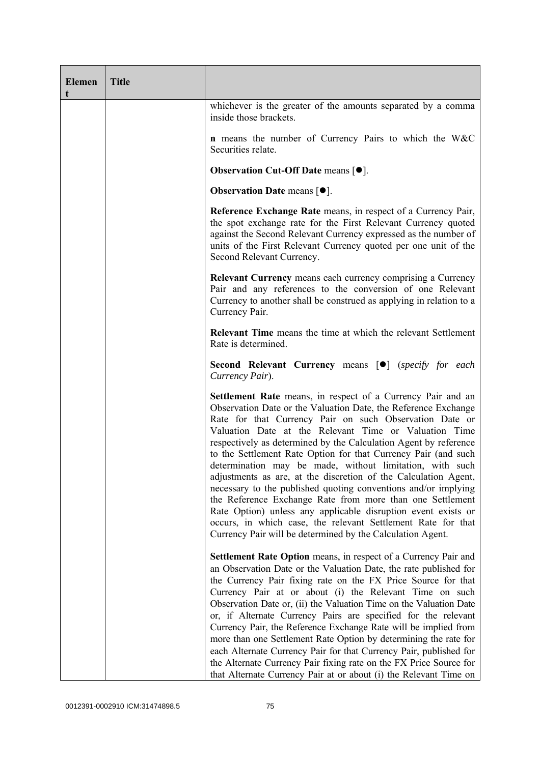| <b>Elemen</b><br>t | <b>Title</b> |                                                                                                                                                                                                                                                                                                                                                                                                                                                                                                                                                                                                                                                                                                                                                                                                                                                      |
|--------------------|--------------|------------------------------------------------------------------------------------------------------------------------------------------------------------------------------------------------------------------------------------------------------------------------------------------------------------------------------------------------------------------------------------------------------------------------------------------------------------------------------------------------------------------------------------------------------------------------------------------------------------------------------------------------------------------------------------------------------------------------------------------------------------------------------------------------------------------------------------------------------|
|                    |              | whichever is the greater of the amounts separated by a comma<br>inside those brackets.                                                                                                                                                                                                                                                                                                                                                                                                                                                                                                                                                                                                                                                                                                                                                               |
|                    |              | <b>n</b> means the number of Currency Pairs to which the W&C<br>Securities relate.                                                                                                                                                                                                                                                                                                                                                                                                                                                                                                                                                                                                                                                                                                                                                                   |
|                    |              | Observation Cut-Off Date means [ $\bullet$ ].                                                                                                                                                                                                                                                                                                                                                                                                                                                                                                                                                                                                                                                                                                                                                                                                        |
|                    |              | <b>Observation Date means <math>\lceil \bullet \rceil</math>.</b>                                                                                                                                                                                                                                                                                                                                                                                                                                                                                                                                                                                                                                                                                                                                                                                    |
|                    |              | Reference Exchange Rate means, in respect of a Currency Pair,<br>the spot exchange rate for the First Relevant Currency quoted<br>against the Second Relevant Currency expressed as the number of<br>units of the First Relevant Currency quoted per one unit of the<br>Second Relevant Currency.                                                                                                                                                                                                                                                                                                                                                                                                                                                                                                                                                    |
|                    |              | <b>Relevant Currency</b> means each currency comprising a Currency<br>Pair and any references to the conversion of one Relevant<br>Currency to another shall be construed as applying in relation to a<br>Currency Pair.                                                                                                                                                                                                                                                                                                                                                                                                                                                                                                                                                                                                                             |
|                    |              | <b>Relevant Time</b> means the time at which the relevant Settlement<br>Rate is determined.                                                                                                                                                                                                                                                                                                                                                                                                                                                                                                                                                                                                                                                                                                                                                          |
|                    |              | Second Relevant Currency means [ $\bullet$ ] (specify for each<br>Currency Pair).                                                                                                                                                                                                                                                                                                                                                                                                                                                                                                                                                                                                                                                                                                                                                                    |
|                    |              | Settlement Rate means, in respect of a Currency Pair and an<br>Observation Date or the Valuation Date, the Reference Exchange<br>Rate for that Currency Pair on such Observation Date or<br>Valuation Date at the Relevant Time or Valuation Time<br>respectively as determined by the Calculation Agent by reference<br>to the Settlement Rate Option for that Currency Pair (and such<br>determination may be made, without limitation, with such<br>adjustments as are, at the discretion of the Calculation Agent,<br>necessary to the published quoting conventions and/or implying<br>the Reference Exchange Rate from more than one Settlement<br>Rate Option) unless any applicable disruption event exists or<br>occurs, in which case, the relevant Settlement Rate for that<br>Currency Pair will be determined by the Calculation Agent. |
|                    |              | <b>Settlement Rate Option</b> means, in respect of a Currency Pair and<br>an Observation Date or the Valuation Date, the rate published for<br>the Currency Pair fixing rate on the FX Price Source for that<br>Currency Pair at or about (i) the Relevant Time on such<br>Observation Date or, (ii) the Valuation Time on the Valuation Date<br>or, if Alternate Currency Pairs are specified for the relevant<br>Currency Pair, the Reference Exchange Rate will be implied from<br>more than one Settlement Rate Option by determining the rate for<br>each Alternate Currency Pair for that Currency Pair, published for<br>the Alternate Currency Pair fixing rate on the FX Price Source for<br>that Alternate Currency Pair at or about (i) the Relevant Time on                                                                              |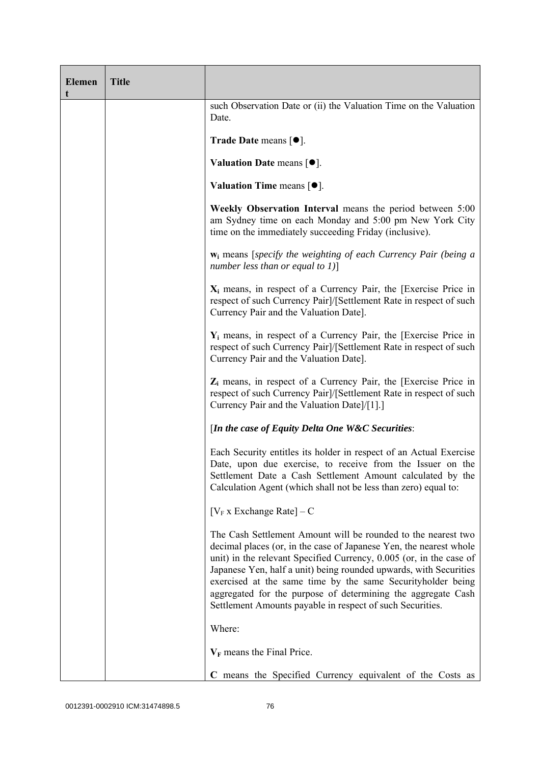| <b>Elemen</b><br>t | <b>Title</b> |                                                                                                                                                                                                                                                                                                                                                                                                                                                                              |
|--------------------|--------------|------------------------------------------------------------------------------------------------------------------------------------------------------------------------------------------------------------------------------------------------------------------------------------------------------------------------------------------------------------------------------------------------------------------------------------------------------------------------------|
|                    |              | such Observation Date or (ii) the Valuation Time on the Valuation<br>Date.                                                                                                                                                                                                                                                                                                                                                                                                   |
|                    |              | <b>Trade Date means <math>\lceil \bullet \rceil</math>.</b>                                                                                                                                                                                                                                                                                                                                                                                                                  |
|                    |              | Valuation Date means [ $\bullet$ ].                                                                                                                                                                                                                                                                                                                                                                                                                                          |
|                    |              | Valuation Time means $[•]$ .                                                                                                                                                                                                                                                                                                                                                                                                                                                 |
|                    |              | Weekly Observation Interval means the period between 5:00<br>am Sydney time on each Monday and 5:00 pm New York City<br>time on the immediately succeeding Friday (inclusive).                                                                                                                                                                                                                                                                                               |
|                    |              | $w_i$ means [specify the weighting of each Currency Pair (being a<br>number less than or equal to $1$ ]                                                                                                                                                                                                                                                                                                                                                                      |
|                    |              | $X_i$ means, in respect of a Currency Pair, the [Exercise Price in<br>respect of such Currency Pair]/[Settlement Rate in respect of such<br>Currency Pair and the Valuation Date].                                                                                                                                                                                                                                                                                           |
|                    |              | $Y_i$ means, in respect of a Currency Pair, the [Exercise Price in<br>respect of such Currency Pair]/[Settlement Rate in respect of such<br>Currency Pair and the Valuation Date].                                                                                                                                                                                                                                                                                           |
|                    |              | $Z_i$ means, in respect of a Currency Pair, the [Exercise Price in<br>respect of such Currency Pair]/[Settlement Rate in respect of such<br>Currency Pair and the Valuation Date]/[1].]                                                                                                                                                                                                                                                                                      |
|                    |              | [In the case of Equity Delta One W&C Securities:                                                                                                                                                                                                                                                                                                                                                                                                                             |
|                    |              | Each Security entitles its holder in respect of an Actual Exercise<br>Date, upon due exercise, to receive from the Issuer on the<br>Settlement Date a Cash Settlement Amount calculated by the<br>Calculation Agent (which shall not be less than zero) equal to:                                                                                                                                                                                                            |
|                    |              | $[V_F x]$ Exchange Rate $] - C$                                                                                                                                                                                                                                                                                                                                                                                                                                              |
|                    |              | The Cash Settlement Amount will be rounded to the nearest two<br>decimal places (or, in the case of Japanese Yen, the nearest whole<br>unit) in the relevant Specified Currency, 0.005 (or, in the case of<br>Japanese Yen, half a unit) being rounded upwards, with Securities<br>exercised at the same time by the same Security holder being<br>aggregated for the purpose of determining the aggregate Cash<br>Settlement Amounts payable in respect of such Securities. |
|                    |              | Where:                                                                                                                                                                                                                                                                                                                                                                                                                                                                       |
|                    |              | $V_F$ means the Final Price.                                                                                                                                                                                                                                                                                                                                                                                                                                                 |
|                    |              | C means the Specified Currency equivalent of the Costs as                                                                                                                                                                                                                                                                                                                                                                                                                    |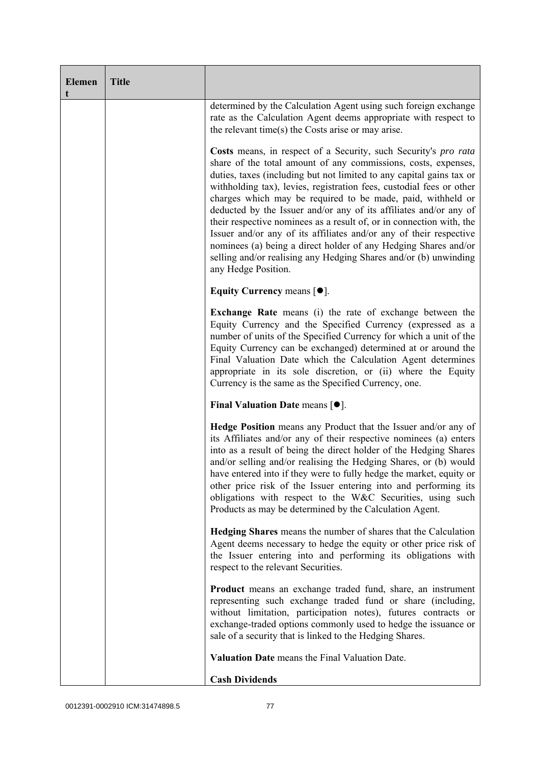| <b>Elemen</b><br>t | <b>Title</b> |                                                                                                                                                                                                                                                                                                                                                                                                                                                                                                                                                                                                                                                                                                                                   |
|--------------------|--------------|-----------------------------------------------------------------------------------------------------------------------------------------------------------------------------------------------------------------------------------------------------------------------------------------------------------------------------------------------------------------------------------------------------------------------------------------------------------------------------------------------------------------------------------------------------------------------------------------------------------------------------------------------------------------------------------------------------------------------------------|
|                    |              | determined by the Calculation Agent using such foreign exchange<br>rate as the Calculation Agent deems appropriate with respect to<br>the relevant time(s) the Costs arise or may arise.                                                                                                                                                                                                                                                                                                                                                                                                                                                                                                                                          |
|                    |              | Costs means, in respect of a Security, such Security's pro rata<br>share of the total amount of any commissions, costs, expenses,<br>duties, taxes (including but not limited to any capital gains tax or<br>withholding tax), levies, registration fees, custodial fees or other<br>charges which may be required to be made, paid, withheld or<br>deducted by the Issuer and/or any of its affiliates and/or any of<br>their respective nominees as a result of, or in connection with, the<br>Issuer and/or any of its affiliates and/or any of their respective<br>nominees (a) being a direct holder of any Hedging Shares and/or<br>selling and/or realising any Hedging Shares and/or (b) unwinding<br>any Hedge Position. |
|                    |              | Equity Currency means $[\bullet].$                                                                                                                                                                                                                                                                                                                                                                                                                                                                                                                                                                                                                                                                                                |
|                    |              | Exchange Rate means (i) the rate of exchange between the<br>Equity Currency and the Specified Currency (expressed as a<br>number of units of the Specified Currency for which a unit of the<br>Equity Currency can be exchanged) determined at or around the<br>Final Valuation Date which the Calculation Agent determines<br>appropriate in its sole discretion, or (ii) where the Equity<br>Currency is the same as the Specified Currency, one.                                                                                                                                                                                                                                                                               |
|                    |              | Final Valuation Date means $[•]$ .                                                                                                                                                                                                                                                                                                                                                                                                                                                                                                                                                                                                                                                                                                |
|                    |              | Hedge Position means any Product that the Issuer and/or any of<br>its Affiliates and/or any of their respective nominees (a) enters<br>into as a result of being the direct holder of the Hedging Shares<br>and/or selling and/or realising the Hedging Shares, or (b) would<br>have entered into if they were to fully hedge the market, equity or<br>other price risk of the Issuer entering into and performing its<br>obligations with respect to the W&C Securities, using such<br>Products as may be determined by the Calculation Agent.                                                                                                                                                                                   |
|                    |              | <b>Hedging Shares</b> means the number of shares that the Calculation<br>Agent deems necessary to hedge the equity or other price risk of<br>the Issuer entering into and performing its obligations with<br>respect to the relevant Securities.                                                                                                                                                                                                                                                                                                                                                                                                                                                                                  |
|                    |              | <b>Product</b> means an exchange traded fund, share, an instrument<br>representing such exchange traded fund or share (including,<br>without limitation, participation notes), futures contracts or<br>exchange-traded options commonly used to hedge the issuance or<br>sale of a security that is linked to the Hedging Shares.                                                                                                                                                                                                                                                                                                                                                                                                 |
|                    |              | Valuation Date means the Final Valuation Date.                                                                                                                                                                                                                                                                                                                                                                                                                                                                                                                                                                                                                                                                                    |
|                    |              | <b>Cash Dividends</b>                                                                                                                                                                                                                                                                                                                                                                                                                                                                                                                                                                                                                                                                                                             |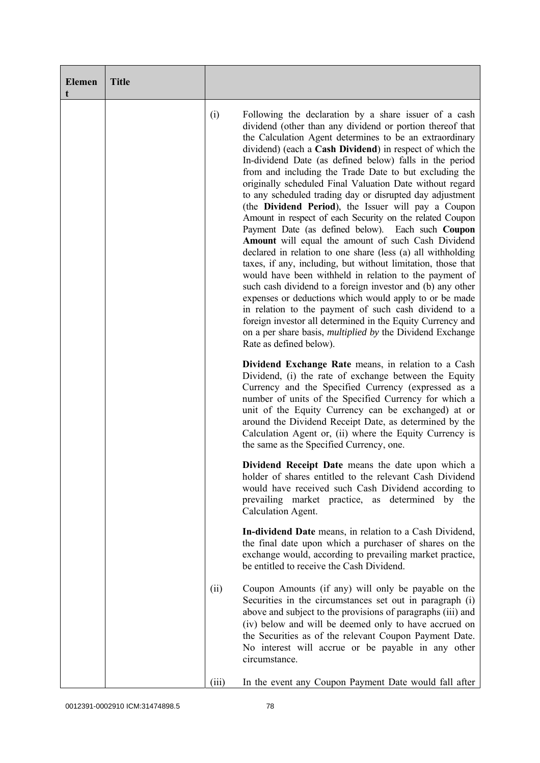| <b>Elemen</b><br>t | <b>Title</b> |       |                                                                                                                                                                                                                                                                                                                                                                                                                                                                                                                                                                                                                                                                                                                                                                                                                                                                                                                                                                                                                                                                                                                                                                                                                                                             |
|--------------------|--------------|-------|-------------------------------------------------------------------------------------------------------------------------------------------------------------------------------------------------------------------------------------------------------------------------------------------------------------------------------------------------------------------------------------------------------------------------------------------------------------------------------------------------------------------------------------------------------------------------------------------------------------------------------------------------------------------------------------------------------------------------------------------------------------------------------------------------------------------------------------------------------------------------------------------------------------------------------------------------------------------------------------------------------------------------------------------------------------------------------------------------------------------------------------------------------------------------------------------------------------------------------------------------------------|
|                    |              | (i)   | Following the declaration by a share issuer of a cash<br>dividend (other than any dividend or portion thereof that<br>the Calculation Agent determines to be an extraordinary<br>dividend) (each a Cash Dividend) in respect of which the<br>In-dividend Date (as defined below) falls in the period<br>from and including the Trade Date to but excluding the<br>originally scheduled Final Valuation Date without regard<br>to any scheduled trading day or disrupted day adjustment<br>(the Dividend Period), the Issuer will pay a Coupon<br>Amount in respect of each Security on the related Coupon<br>Payment Date (as defined below). Each such Coupon<br>Amount will equal the amount of such Cash Dividend<br>declared in relation to one share (less (a) all withholding<br>taxes, if any, including, but without limitation, those that<br>would have been withheld in relation to the payment of<br>such cash dividend to a foreign investor and (b) any other<br>expenses or deductions which would apply to or be made<br>in relation to the payment of such cash dividend to a<br>foreign investor all determined in the Equity Currency and<br>on a per share basis, <i>multiplied by</i> the Dividend Exchange<br>Rate as defined below). |
|                    |              |       | Dividend Exchange Rate means, in relation to a Cash<br>Dividend, (i) the rate of exchange between the Equity<br>Currency and the Specified Currency (expressed as a<br>number of units of the Specified Currency for which a<br>unit of the Equity Currency can be exchanged) at or<br>around the Dividend Receipt Date, as determined by the<br>Calculation Agent or, (ii) where the Equity Currency is<br>the same as the Specified Currency, one.                                                                                                                                                                                                                                                                                                                                                                                                                                                                                                                                                                                                                                                                                                                                                                                                        |
|                    |              |       | <b>Dividend Receipt Date</b> means the date upon which a<br>holder of shares entitled to the relevant Cash Dividend<br>would have received such Cash Dividend according to<br>prevailing market practice, as determined by the<br>Calculation Agent.                                                                                                                                                                                                                                                                                                                                                                                                                                                                                                                                                                                                                                                                                                                                                                                                                                                                                                                                                                                                        |
|                    |              |       | In-dividend Date means, in relation to a Cash Dividend,<br>the final date upon which a purchaser of shares on the<br>exchange would, according to prevailing market practice,<br>be entitled to receive the Cash Dividend.                                                                                                                                                                                                                                                                                                                                                                                                                                                                                                                                                                                                                                                                                                                                                                                                                                                                                                                                                                                                                                  |
|                    |              | (ii)  | Coupon Amounts (if any) will only be payable on the<br>Securities in the circumstances set out in paragraph (i)<br>above and subject to the provisions of paragraphs (iii) and<br>(iv) below and will be deemed only to have accrued on<br>the Securities as of the relevant Coupon Payment Date.<br>No interest will accrue or be payable in any other<br>circumstance.                                                                                                                                                                                                                                                                                                                                                                                                                                                                                                                                                                                                                                                                                                                                                                                                                                                                                    |
|                    |              | (iii) | In the event any Coupon Payment Date would fall after                                                                                                                                                                                                                                                                                                                                                                                                                                                                                                                                                                                                                                                                                                                                                                                                                                                                                                                                                                                                                                                                                                                                                                                                       |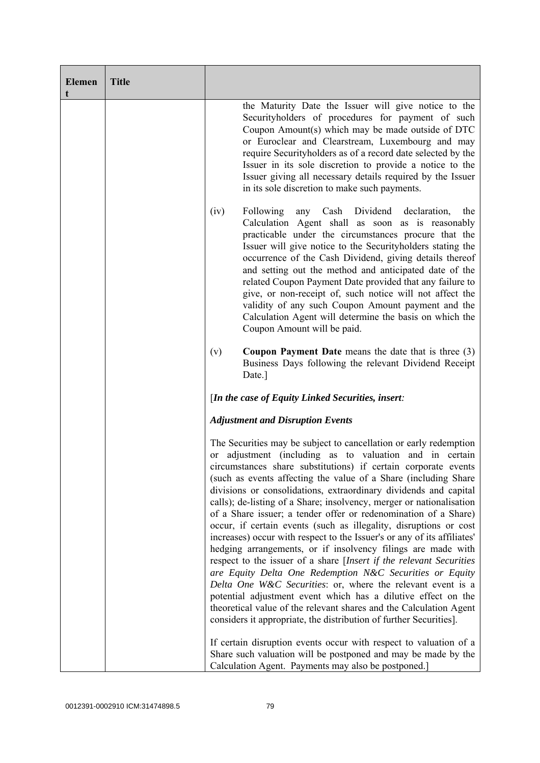| <b>Elemen</b><br>t | <b>Title</b> |                                                                                                                                                                                                                                                                                                                                                                                                                                                                                                                                                                                                                                                                                                                                                                                                                                                                                                                                                                                                                                                                                                                 |
|--------------------|--------------|-----------------------------------------------------------------------------------------------------------------------------------------------------------------------------------------------------------------------------------------------------------------------------------------------------------------------------------------------------------------------------------------------------------------------------------------------------------------------------------------------------------------------------------------------------------------------------------------------------------------------------------------------------------------------------------------------------------------------------------------------------------------------------------------------------------------------------------------------------------------------------------------------------------------------------------------------------------------------------------------------------------------------------------------------------------------------------------------------------------------|
|                    |              | the Maturity Date the Issuer will give notice to the<br>Securityholders of procedures for payment of such<br>Coupon Amount(s) which may be made outside of DTC<br>or Euroclear and Clearstream, Luxembourg and may<br>require Securityholders as of a record date selected by the<br>Issuer in its sole discretion to provide a notice to the<br>Issuer giving all necessary details required by the Issuer<br>in its sole discretion to make such payments.                                                                                                                                                                                                                                                                                                                                                                                                                                                                                                                                                                                                                                                    |
|                    |              | Cash Dividend declaration,<br>(iv)<br>Following<br>any<br>the<br>Calculation Agent shall as soon as is reasonably<br>practicable under the circumstances procure that the<br>Issuer will give notice to the Securityholders stating the<br>occurrence of the Cash Dividend, giving details thereof<br>and setting out the method and anticipated date of the<br>related Coupon Payment Date provided that any failure to<br>give, or non-receipt of, such notice will not affect the<br>validity of any such Coupon Amount payment and the<br>Calculation Agent will determine the basis on which the<br>Coupon Amount will be paid.                                                                                                                                                                                                                                                                                                                                                                                                                                                                            |
|                    |              | <b>Coupon Payment Date</b> means the date that is three $(3)$<br>(v)<br>Business Days following the relevant Dividend Receipt<br>Date.]                                                                                                                                                                                                                                                                                                                                                                                                                                                                                                                                                                                                                                                                                                                                                                                                                                                                                                                                                                         |
|                    |              | [In the case of Equity Linked Securities, insert:                                                                                                                                                                                                                                                                                                                                                                                                                                                                                                                                                                                                                                                                                                                                                                                                                                                                                                                                                                                                                                                               |
|                    |              | <b>Adjustment and Disruption Events</b>                                                                                                                                                                                                                                                                                                                                                                                                                                                                                                                                                                                                                                                                                                                                                                                                                                                                                                                                                                                                                                                                         |
|                    |              | The Securities may be subject to cancellation or early redemption<br>or adjustment (including as to valuation and in certain<br>circumstances share substitutions) if certain corporate events<br>(such as events affecting the value of a Share (including Share<br>divisions or consolidations, extraordinary dividends and capital<br>calls); de-listing of a Share; insolvency, merger or nationalisation<br>of a Share issuer; a tender offer or redenomination of a Share)<br>occur, if certain events (such as illegality, disruptions or cost<br>increases) occur with respect to the Issuer's or any of its affiliates'<br>hedging arrangements, or if insolvency filings are made with<br>respect to the issuer of a share [Insert if the relevant Securities<br>are Equity Delta One Redemption N&C Securities or Equity<br>Delta One W&C Securities: or, where the relevant event is a<br>potential adjustment event which has a dilutive effect on the<br>theoretical value of the relevant shares and the Calculation Agent<br>considers it appropriate, the distribution of further Securities]. |
|                    |              | If certain disruption events occur with respect to valuation of a<br>Share such valuation will be postponed and may be made by the<br>Calculation Agent. Payments may also be postponed.]                                                                                                                                                                                                                                                                                                                                                                                                                                                                                                                                                                                                                                                                                                                                                                                                                                                                                                                       |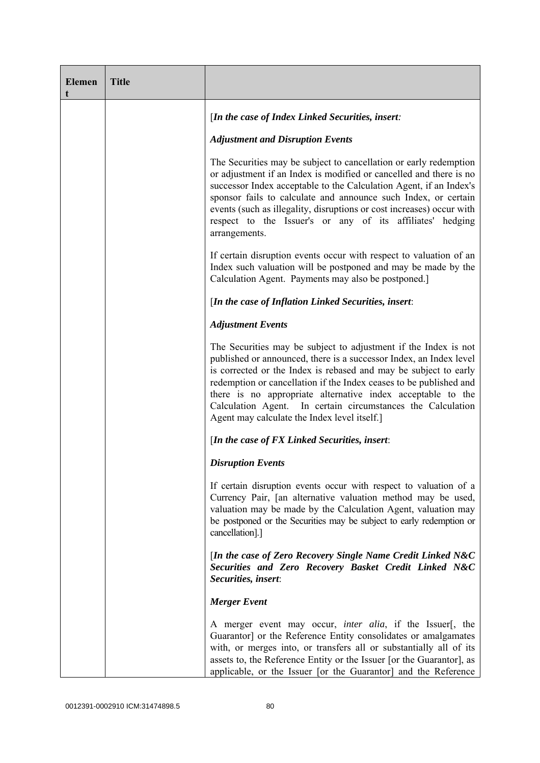| <b>Elemen</b> | <b>Title</b> |                                                                                                                                                                                                                                                                                                                                                                                                                                                               |
|---------------|--------------|---------------------------------------------------------------------------------------------------------------------------------------------------------------------------------------------------------------------------------------------------------------------------------------------------------------------------------------------------------------------------------------------------------------------------------------------------------------|
|               |              | [In the case of Index Linked Securities, insert:                                                                                                                                                                                                                                                                                                                                                                                                              |
|               |              | <b>Adjustment and Disruption Events</b>                                                                                                                                                                                                                                                                                                                                                                                                                       |
|               |              | The Securities may be subject to cancellation or early redemption<br>or adjustment if an Index is modified or cancelled and there is no<br>successor Index acceptable to the Calculation Agent, if an Index's<br>sponsor fails to calculate and announce such Index, or certain<br>events (such as illegality, disruptions or cost increases) occur with<br>respect to the Issuer's or any of its affiliates' hedging<br>arrangements.                        |
|               |              | If certain disruption events occur with respect to valuation of an<br>Index such valuation will be postponed and may be made by the<br>Calculation Agent. Payments may also be postponed.]                                                                                                                                                                                                                                                                    |
|               |              | [In the case of Inflation Linked Securities, insert:                                                                                                                                                                                                                                                                                                                                                                                                          |
|               |              | <b>Adjustment Events</b>                                                                                                                                                                                                                                                                                                                                                                                                                                      |
|               |              | The Securities may be subject to adjustment if the Index is not<br>published or announced, there is a successor Index, an Index level<br>is corrected or the Index is rebased and may be subject to early<br>redemption or cancellation if the Index ceases to be published and<br>there is no appropriate alternative index acceptable to the<br>Calculation Agent. In certain circumstances the Calculation<br>Agent may calculate the Index level itself.] |
|               |              | [In the case of FX Linked Securities, insert:                                                                                                                                                                                                                                                                                                                                                                                                                 |
|               |              | <b>Disruption Events</b>                                                                                                                                                                                                                                                                                                                                                                                                                                      |
|               |              | If certain disruption events occur with respect to valuation of a<br>Currency Pair, [an alternative valuation method may be used,<br>valuation may be made by the Calculation Agent, valuation may<br>be postponed or the Securities may be subject to early redemption or<br>cancellation].]                                                                                                                                                                 |
|               |              | [In the case of Zero Recovery Single Name Credit Linked N&C<br>Securities and Zero Recovery Basket Credit Linked N&C<br>Securities, insert:                                                                                                                                                                                                                                                                                                                   |
|               |              | <b>Merger</b> Event                                                                                                                                                                                                                                                                                                                                                                                                                                           |
|               |              | A merger event may occur, <i>inter alia</i> , if the Issuer[, the<br>Guarantor] or the Reference Entity consolidates or amalgamates<br>with, or merges into, or transfers all or substantially all of its<br>assets to, the Reference Entity or the Issuer [or the Guarantor], as<br>applicable, or the Issuer [or the Guarantor] and the Reference                                                                                                           |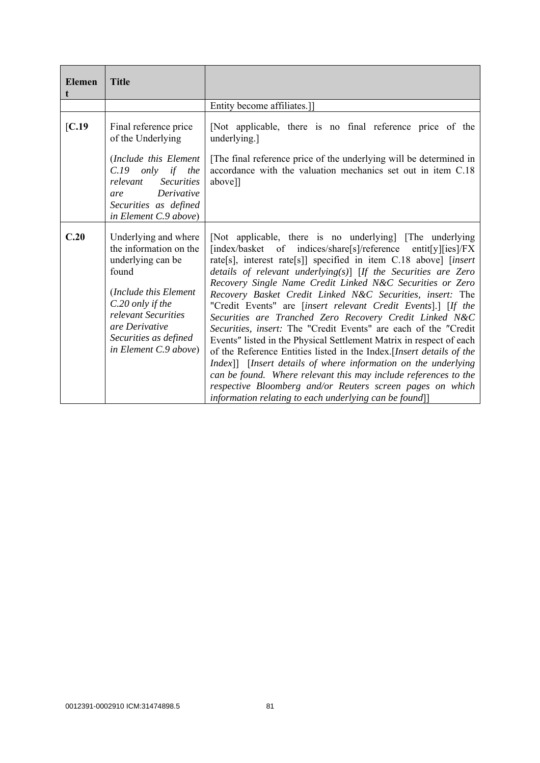| <b>Elemen</b> | <b>Title</b>                                                                                                                                                                                                         |                                                                                                                                                                                                                                                                                                                                                                                                                                                                                                                                                                                                                                                                                                                                                                                                                                                                                                                                                                                                              |
|---------------|----------------------------------------------------------------------------------------------------------------------------------------------------------------------------------------------------------------------|--------------------------------------------------------------------------------------------------------------------------------------------------------------------------------------------------------------------------------------------------------------------------------------------------------------------------------------------------------------------------------------------------------------------------------------------------------------------------------------------------------------------------------------------------------------------------------------------------------------------------------------------------------------------------------------------------------------------------------------------------------------------------------------------------------------------------------------------------------------------------------------------------------------------------------------------------------------------------------------------------------------|
|               |                                                                                                                                                                                                                      | Entity become affiliates.]                                                                                                                                                                                                                                                                                                                                                                                                                                                                                                                                                                                                                                                                                                                                                                                                                                                                                                                                                                                   |
| [C.19]        | Final reference price<br>of the Underlying<br>(Include this Element<br>$C.19$ only if the<br>relevant<br><b>Securities</b><br>Derivative<br>are<br>Securities as defined<br>in Element C.9 above)                    | [Not applicable, there is no final reference price of the<br>underlying.]<br>[The final reference price of the underlying will be determined in<br>accordance with the valuation mechanics set out in item C.18<br>above]]                                                                                                                                                                                                                                                                                                                                                                                                                                                                                                                                                                                                                                                                                                                                                                                   |
| C.20          | Underlying and where<br>the information on the<br>underlying can be<br>found<br>(Include this Element<br>C.20 only if the<br>relevant Securities<br>are Derivative<br>Securities as defined<br>in Element C.9 above) | [Not applicable, there is no underlying] [The underlying]<br>[index/basket of indices/share[s]/reference<br>entit[y][ies]/ $FX$<br>rate[s], interest rate[s]] specified in item C.18 above] [insert<br>details of relevant underlying $(s)$ [If the Securities are Zero<br>Recovery Single Name Credit Linked N&C Securities or Zero<br>Recovery Basket Credit Linked N&C Securities, insert: The<br>"Credit Events" are [insert relevant Credit Events].] [If the<br>Securities are Tranched Zero Recovery Credit Linked N&C<br>Securities, insert: The "Credit Events" are each of the "Credit<br>Events" listed in the Physical Settlement Matrix in respect of each<br>of the Reference Entities listed in the Index. [Insert details of the<br>Index]] [Insert details of where information on the underlying<br>can be found. Where relevant this may include references to the<br>respective Bloomberg and/or Reuters screen pages on which<br>information relating to each underlying can be found]] |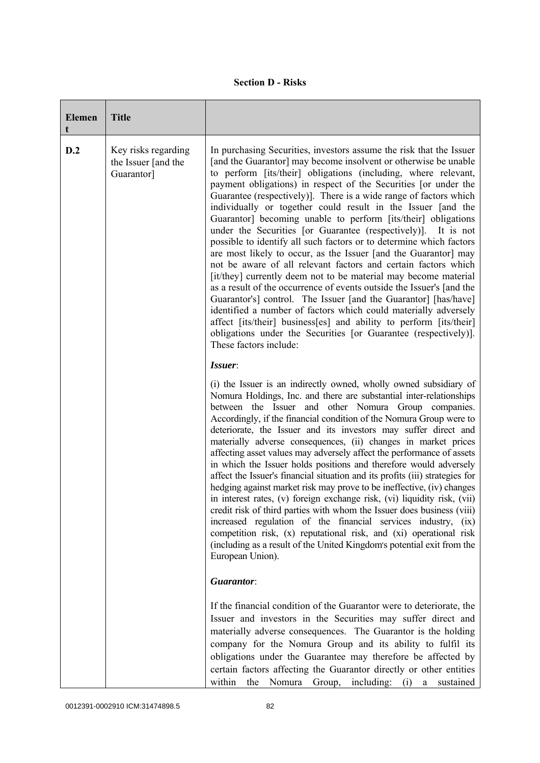|  | <b>Section D - Risks</b> |
|--|--------------------------|
|--|--------------------------|

| <b>Elemen</b> | <b>Title</b>                                             |                                                                                                                                                                                                                                                                                                                                                                                                                                                                                                                                                                                                                                                                                                                                                                                                                                                                                                                                                                                                                                                                                                                                                                                                                     |
|---------------|----------------------------------------------------------|---------------------------------------------------------------------------------------------------------------------------------------------------------------------------------------------------------------------------------------------------------------------------------------------------------------------------------------------------------------------------------------------------------------------------------------------------------------------------------------------------------------------------------------------------------------------------------------------------------------------------------------------------------------------------------------------------------------------------------------------------------------------------------------------------------------------------------------------------------------------------------------------------------------------------------------------------------------------------------------------------------------------------------------------------------------------------------------------------------------------------------------------------------------------------------------------------------------------|
| D.2           | Key risks regarding<br>the Issuer [and the<br>Guarantor] | In purchasing Securities, investors assume the risk that the Issuer<br>[and the Guarantor] may become insolvent or otherwise be unable<br>to perform [its/their] obligations (including, where relevant,<br>payment obligations) in respect of the Securities [or under the<br>Guarantee (respectively)]. There is a wide range of factors which<br>individually or together could result in the Issuer [and the<br>Guarantor] becoming unable to perform [its/their] obligations<br>under the Securities [or Guarantee (respectively)]. It is not<br>possible to identify all such factors or to determine which factors<br>are most likely to occur, as the Issuer [and the Guarantor] may<br>not be aware of all relevant factors and certain factors which<br>[it/they] currently deem not to be material may become material<br>as a result of the occurrence of events outside the Issuer's [and the<br>Guarantor's] control. The Issuer [and the Guarantor] [has/have]<br>identified a number of factors which could materially adversely<br>affect [its/their] business[es] and ability to perform [its/their]<br>obligations under the Securities [or Guarantee (respectively)].<br>These factors include: |
|               |                                                          | Issuer:                                                                                                                                                                                                                                                                                                                                                                                                                                                                                                                                                                                                                                                                                                                                                                                                                                                                                                                                                                                                                                                                                                                                                                                                             |
|               |                                                          | (i) the Issuer is an indirectly owned, wholly owned subsidiary of<br>Nomura Holdings, Inc. and there are substantial inter-relationships<br>between the Issuer and other Nomura Group companies.<br>Accordingly, if the financial condition of the Nomura Group were to<br>deteriorate, the Issuer and its investors may suffer direct and<br>materially adverse consequences, (ii) changes in market prices<br>affecting asset values may adversely affect the performance of assets<br>in which the Issuer holds positions and therefore would adversely<br>affect the Issuer's financial situation and its profits (iii) strategies for<br>hedging against market risk may prove to be ineffective, (iv) changes<br>in interest rates, (v) foreign exchange risk, (vi) liquidity risk, (vii)<br>credit risk of third parties with whom the Issuer does business (viii)<br>increased regulation of the financial services industry, (ix)<br>competition risk, (x) reputational risk, and (xi) operational risk<br>(including as a result of the United Kingdom's potential exit from the<br>European Union).                                                                                                      |
|               |                                                          | Guarantor:                                                                                                                                                                                                                                                                                                                                                                                                                                                                                                                                                                                                                                                                                                                                                                                                                                                                                                                                                                                                                                                                                                                                                                                                          |
|               |                                                          | If the financial condition of the Guarantor were to deteriorate, the<br>Issuer and investors in the Securities may suffer direct and<br>materially adverse consequences. The Guarantor is the holding<br>company for the Nomura Group and its ability to fulfil its<br>obligations under the Guarantee may therefore be affected by<br>certain factors affecting the Guarantor directly or other entities<br>the Nomura Group, including: (i) a sustained<br>within                                                                                                                                                                                                                                                                                                                                                                                                                                                                                                                                                                                                                                                                                                                                                 |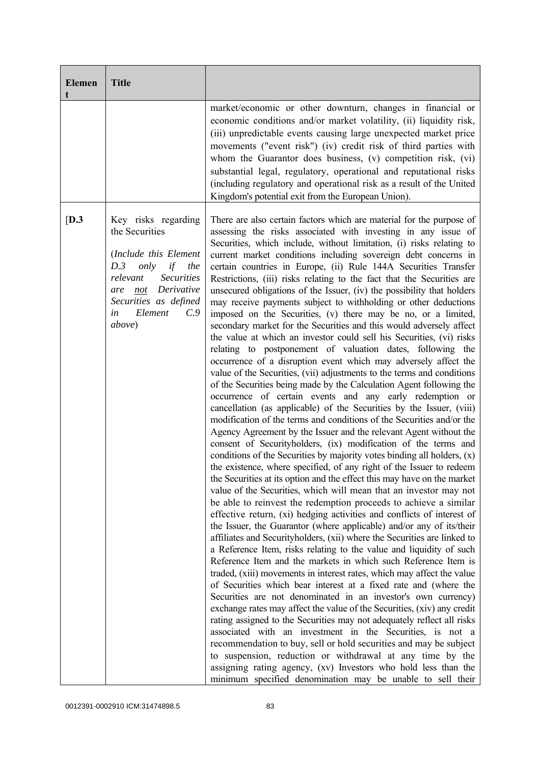| <b>Elemen</b><br>t | <b>Title</b>                                                                                                                                                                                                    |                                                                                                                                                                                                                                                                                                                                                                                                                                                                                                                                                                                                                                                                                                                                                                                                                                                                                                                                                                                                                                                                                                                                                                                                                                                                                                                                                                                                                                                                                                                                                                                                                                                                                                                                                                                                                                                                                                                                                                                                                                                                                                                                                                                                                                                                                                                                                                                                                                                                                                                                                                                                                                                                                                                                                                                                                                                                                  |
|--------------------|-----------------------------------------------------------------------------------------------------------------------------------------------------------------------------------------------------------------|----------------------------------------------------------------------------------------------------------------------------------------------------------------------------------------------------------------------------------------------------------------------------------------------------------------------------------------------------------------------------------------------------------------------------------------------------------------------------------------------------------------------------------------------------------------------------------------------------------------------------------------------------------------------------------------------------------------------------------------------------------------------------------------------------------------------------------------------------------------------------------------------------------------------------------------------------------------------------------------------------------------------------------------------------------------------------------------------------------------------------------------------------------------------------------------------------------------------------------------------------------------------------------------------------------------------------------------------------------------------------------------------------------------------------------------------------------------------------------------------------------------------------------------------------------------------------------------------------------------------------------------------------------------------------------------------------------------------------------------------------------------------------------------------------------------------------------------------------------------------------------------------------------------------------------------------------------------------------------------------------------------------------------------------------------------------------------------------------------------------------------------------------------------------------------------------------------------------------------------------------------------------------------------------------------------------------------------------------------------------------------------------------------------------------------------------------------------------------------------------------------------------------------------------------------------------------------------------------------------------------------------------------------------------------------------------------------------------------------------------------------------------------------------------------------------------------------------------------------------------------------|
|                    |                                                                                                                                                                                                                 | market/economic or other downturn, changes in financial or<br>economic conditions and/or market volatility, (ii) liquidity risk,<br>(iii) unpredictable events causing large unexpected market price<br>movements ("event risk") (iv) credit risk of third parties with<br>whom the Guarantor does business, (v) competition risk, (vi)<br>substantial legal, regulatory, operational and reputational risks<br>(including regulatory and operational risk as a result of the United<br>Kingdom's potential exit from the European Union).                                                                                                                                                                                                                                                                                                                                                                                                                                                                                                                                                                                                                                                                                                                                                                                                                                                                                                                                                                                                                                                                                                                                                                                                                                                                                                                                                                                                                                                                                                                                                                                                                                                                                                                                                                                                                                                                                                                                                                                                                                                                                                                                                                                                                                                                                                                                       |
| [D.3]              | Key risks regarding<br>the Securities<br>(Include this Element<br>D.3<br>only<br>if<br>the<br><b>Securities</b><br>relevant<br>not Derivative<br>are<br>Securities as defined<br>Element<br>C.9<br>in<br>above) | There are also certain factors which are material for the purpose of<br>assessing the risks associated with investing in any issue of<br>Securities, which include, without limitation, (i) risks relating to<br>current market conditions including sovereign debt concerns in<br>certain countries in Europe, (ii) Rule 144A Securities Transfer<br>Restrictions, (iii) risks relating to the fact that the Securities are<br>unsecured obligations of the Issuer, (iv) the possibility that holders<br>may receive payments subject to withholding or other deductions<br>imposed on the Securities, (v) there may be no, or a limited,<br>secondary market for the Securities and this would adversely affect<br>the value at which an investor could sell his Securities, (vi) risks<br>relating to postponement of valuation dates, following the<br>occurrence of a disruption event which may adversely affect the<br>value of the Securities, (vii) adjustments to the terms and conditions<br>of the Securities being made by the Calculation Agent following the<br>occurrence of certain events and any early redemption or<br>cancellation (as applicable) of the Securities by the Issuer, (viii)<br>modification of the terms and conditions of the Securities and/or the<br>Agency Agreement by the Issuer and the relevant Agent without the<br>consent of Securityholders, (ix) modification of the terms and<br>conditions of the Securities by majority votes binding all holders, (x)<br>the existence, where specified, of any right of the Issuer to redeem<br>the Securities at its option and the effect this may have on the market<br>value of the Securities, which will mean that an investor may not<br>be able to reinvest the redemption proceeds to achieve a similar<br>effective return, (xi) hedging activities and conflicts of interest of<br>the Issuer, the Guarantor (where applicable) and/or any of its/their<br>affiliates and Securityholders, (xii) where the Securities are linked to<br>a Reference Item, risks relating to the value and liquidity of such<br>Reference Item and the markets in which such Reference Item is<br>traded, (xiii) movements in interest rates, which may affect the value<br>of Securities which bear interest at a fixed rate and (where the<br>Securities are not denominated in an investor's own currency)<br>exchange rates may affect the value of the Securities, (xiv) any credit<br>rating assigned to the Securities may not adequately reflect all risks<br>associated with an investment in the Securities, is not a<br>recommendation to buy, sell or hold securities and may be subject<br>to suspension, reduction or withdrawal at any time by the<br>assigning rating agency, (xv) Investors who hold less than the<br>minimum specified denomination may be unable to sell their |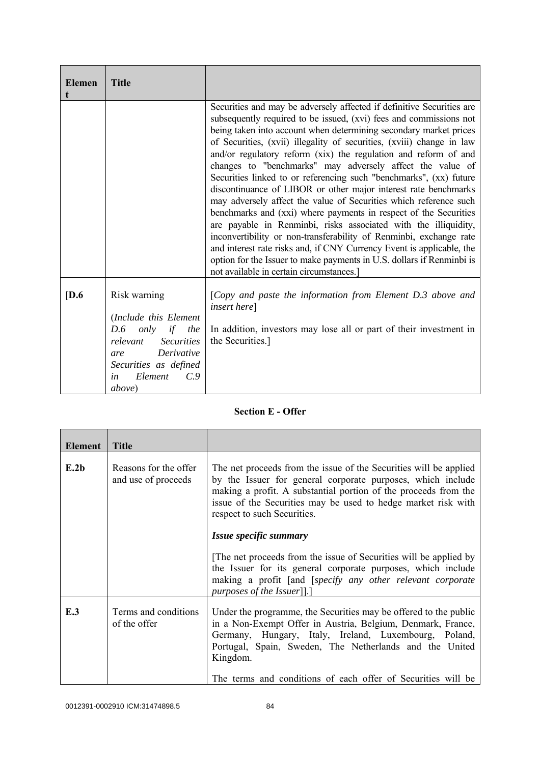| <b>Elemen</b> | <b>Title</b>                                                                                                                                                                                         |                                                                                                                                                                                                                                                                                                                                                                                                                                                                                                                                                                                                                                                                                                                                                                                                                                                                                                                                                                                                                                                    |
|---------------|------------------------------------------------------------------------------------------------------------------------------------------------------------------------------------------------------|----------------------------------------------------------------------------------------------------------------------------------------------------------------------------------------------------------------------------------------------------------------------------------------------------------------------------------------------------------------------------------------------------------------------------------------------------------------------------------------------------------------------------------------------------------------------------------------------------------------------------------------------------------------------------------------------------------------------------------------------------------------------------------------------------------------------------------------------------------------------------------------------------------------------------------------------------------------------------------------------------------------------------------------------------|
|               |                                                                                                                                                                                                      | Securities and may be adversely affected if definitive Securities are<br>subsequently required to be issued, (xvi) fees and commissions not<br>being taken into account when determining secondary market prices<br>of Securities, (xvii) illegality of securities, (xviii) change in law<br>and/or regulatory reform (xix) the regulation and reform of and<br>changes to "benchmarks" may adversely affect the value of<br>Securities linked to or referencing such "benchmarks", (xx) future<br>discontinuance of LIBOR or other major interest rate benchmarks<br>may adversely affect the value of Securities which reference such<br>benchmarks and (xxi) where payments in respect of the Securities<br>are payable in Renminbi, risks associated with the illiquidity,<br>inconvertibility or non-transferability of Renminbi, exchange rate<br>and interest rate risks and, if CNY Currency Event is applicable, the<br>option for the Issuer to make payments in U.S. dollars if Renminbi is<br>not available in certain circumstances.] |
| [D.6]         | Risk warning<br>(Include this Element<br>D.6<br>only<br>if<br>the<br><b>Securities</b><br>relevant<br>Derivative<br>are<br>Securities as defined<br>Element<br>$C_{\cdot}$ 9<br>in<br><i>above</i> ) | [Copy and paste the information from Element D.3 above and<br><i>insert here</i> ]<br>In addition, investors may lose all or part of their investment in<br>the Securities.]                                                                                                                                                                                                                                                                                                                                                                                                                                                                                                                                                                                                                                                                                                                                                                                                                                                                       |

## **Section E - Offer**

| Element | <b>Title</b>                                 |                                                                                                                                                                                                                                                                                                                                 |
|---------|----------------------------------------------|---------------------------------------------------------------------------------------------------------------------------------------------------------------------------------------------------------------------------------------------------------------------------------------------------------------------------------|
| E.2b    | Reasons for the offer<br>and use of proceeds | The net proceeds from the issue of the Securities will be applied<br>by the Issuer for general corporate purposes, which include<br>making a profit. A substantial portion of the proceeds from the<br>issue of the Securities may be used to hedge market risk with<br>respect to such Securities.                             |
|         |                                              | Issue specific summary                                                                                                                                                                                                                                                                                                          |
|         |                                              | The net proceeds from the issue of Securities will be applied by<br>the Issuer for its general corporate purposes, which include<br>making a profit [and [specify any other relevant corporate<br>purposes of the Issuer]].                                                                                                     |
| E.3     | Terms and conditions<br>of the offer         | Under the programme, the Securities may be offered to the public<br>in a Non-Exempt Offer in Austria, Belgium, Denmark, France,<br>Germany, Hungary, Italy, Ireland, Luxembourg, Poland,<br>Portugal, Spain, Sweden, The Netherlands and the United<br>Kingdom.<br>The terms and conditions of each offer of Securities will be |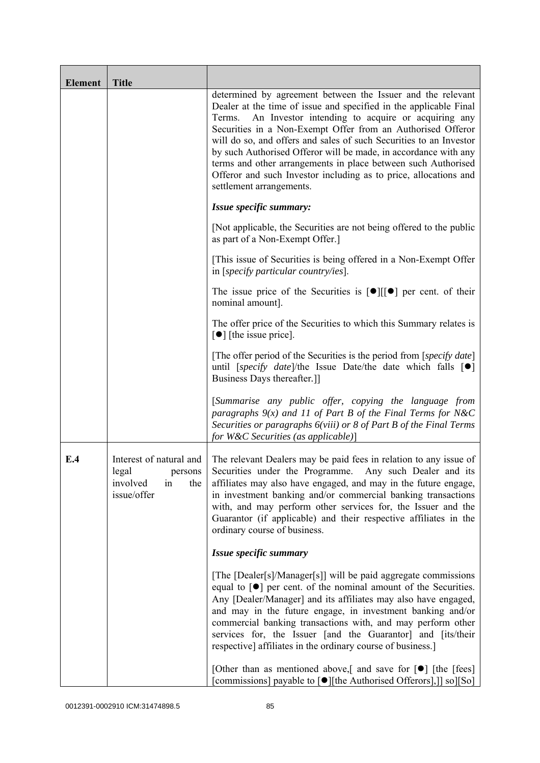| <b>Element</b> | <b>Title</b>                                                                        |                                                                                                                                                                                                                                                                                                                                                                                                                                                                                                                                                                          |
|----------------|-------------------------------------------------------------------------------------|--------------------------------------------------------------------------------------------------------------------------------------------------------------------------------------------------------------------------------------------------------------------------------------------------------------------------------------------------------------------------------------------------------------------------------------------------------------------------------------------------------------------------------------------------------------------------|
|                |                                                                                     | determined by agreement between the Issuer and the relevant<br>Dealer at the time of issue and specified in the applicable Final<br>An Investor intending to acquire or acquiring any<br>Terms.<br>Securities in a Non-Exempt Offer from an Authorised Offeror<br>will do so, and offers and sales of such Securities to an Investor<br>by such Authorised Offeror will be made, in accordance with any<br>terms and other arrangements in place between such Authorised<br>Offeror and such Investor including as to price, allocations and<br>settlement arrangements. |
|                |                                                                                     | Issue specific summary:                                                                                                                                                                                                                                                                                                                                                                                                                                                                                                                                                  |
|                |                                                                                     | [Not applicable, the Securities are not being offered to the public<br>as part of a Non-Exempt Offer.]                                                                                                                                                                                                                                                                                                                                                                                                                                                                   |
|                |                                                                                     | [This issue of Securities is being offered in a Non-Exempt Offer<br>in [specify particular country/ies].                                                                                                                                                                                                                                                                                                                                                                                                                                                                 |
|                |                                                                                     | The issue price of the Securities is $[\bullet][[\bullet]]$ per cent. of their<br>nominal amount].                                                                                                                                                                                                                                                                                                                                                                                                                                                                       |
|                |                                                                                     | The offer price of the Securities to which this Summary relates is<br>$\lceil \bullet \rceil$ [the issue price].                                                                                                                                                                                                                                                                                                                                                                                                                                                         |
|                |                                                                                     | [The offer period of the Securities is the period from [specify date]<br>until [specify date]/the Issue Date/the date which falls $[\bullet]$<br>Business Days thereafter.]                                                                                                                                                                                                                                                                                                                                                                                              |
|                |                                                                                     | [Summarise any public offer, copying the language from<br>paragraphs $9(x)$ and 11 of Part B of the Final Terms for N&C<br>Securities or paragraphs 6(viii) or 8 of Part B of the Final Terms<br>for W&C Securities (as applicable)]                                                                                                                                                                                                                                                                                                                                     |
| E.4            | Interest of natural and<br>legal<br>persons<br>involved<br>the<br>in<br>issue/offer | The relevant Dealers may be paid fees in relation to any issue of<br>Securities under the Programme. Any such Dealer and its<br>affiliates may also have engaged, and may in the future engage,<br>in investment banking and/or commercial banking transactions<br>with, and may perform other services for, the Issuer and the<br>Guarantor (if applicable) and their respective affiliates in the<br>ordinary course of business.                                                                                                                                      |
|                |                                                                                     | Issue specific summary                                                                                                                                                                                                                                                                                                                                                                                                                                                                                                                                                   |
|                |                                                                                     | [The [Dealer[s]/Manager[s]] will be paid aggregate commissions<br>equal to $\lceil \bullet \rceil$ per cent. of the nominal amount of the Securities.<br>Any [Dealer/Manager] and its affiliates may also have engaged,<br>and may in the future engage, in investment banking and/or<br>commercial banking transactions with, and may perform other<br>services for, the Issuer [and the Guarantor] and [its/their<br>respective] affiliates in the ordinary course of business.]                                                                                       |
|                |                                                                                     | [Other than as mentioned above,] and save for $\lceil \bullet \rceil$ [the [fees]<br>[commissions] payable to [●][the Authorised Offerors],]] so][So]                                                                                                                                                                                                                                                                                                                                                                                                                    |